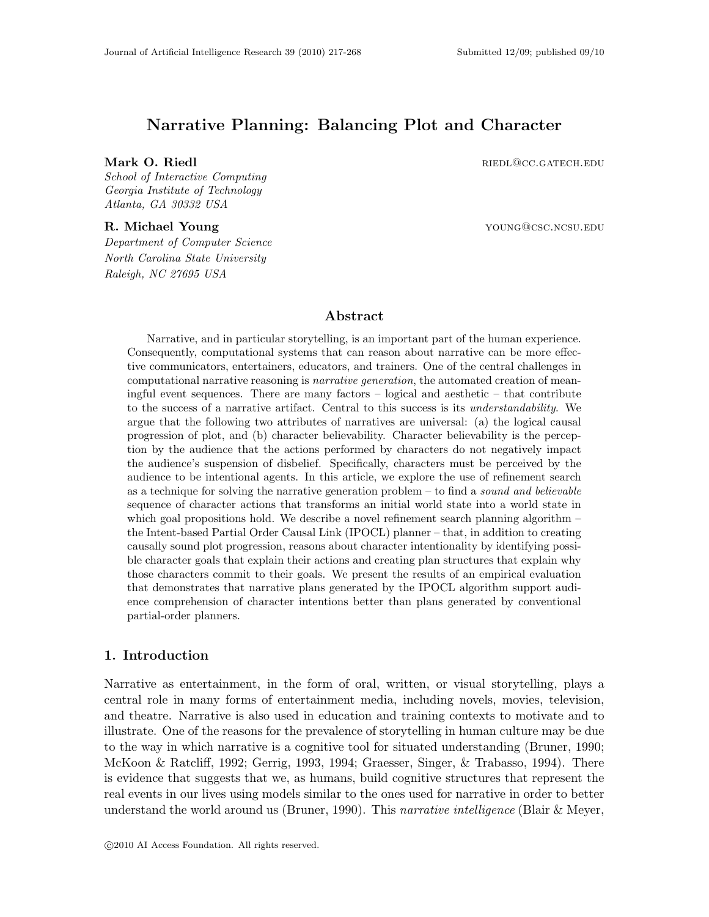# Narrative Planning: Balancing Plot and Character

Mark O. Riedl riedland riedland riedland riedland riedland riedland riedland riedland riedland riedland riedla

School of Interactive Computing Georgia Institute of Technology Atlanta, GA 30332 USA

R. Michael Young young young young young young young young young young young the set of the set of the set of the set of the set of the set of the set of the set of the set of the set of the set of the set of the set of th

Department of Computer Science North Carolina State University Raleigh, NC 27695 USA

### Abstract

Narrative, and in particular storytelling, is an important part of the human experience. Consequently, computational systems that can reason about narrative can be more effective communicators, entertainers, educators, and trainers. One of the central challenges in computational narrative reasoning is narrative generation, the automated creation of meaningful event sequences. There are many factors – logical and aesthetic – that contribute to the success of a narrative artifact. Central to this success is its *understandability*. We argue that the following two attributes of narratives are universal: (a) the logical causal progression of plot, and (b) character believability. Character believability is the perception by the audience that the actions performed by characters do not negatively impact the audience's suspension of disbelief. Specifically, characters must be perceived by the audience to be intentional agents. In this article, we explore the use of refinement search as a technique for solving the narrative generation problem  $-$  to find a *sound and believable* sequence of character actions that transforms an initial world state into a world state in which goal propositions hold. We describe a novel refinement search planning algorithm – the Intent-based Partial Order Causal Link (IPOCL) planner – that, in addition to creating causally sound plot progression, reasons about character intentionality by identifying possible character goals that explain their actions and creating plan structures that explain why those characters commit to their goals. We present the results of an empirical evaluation that demonstrates that narrative plans generated by the IPOCL algorithm support audience comprehension of character intentions better than plans generated by conventional partial-order planners.

### 1. Introduction

Narrative as entertainment, in the form of oral, written, or visual storytelling, plays a central role in many forms of entertainment media, including novels, movies, television, and theatre. Narrative is also used in education and training contexts to motivate and to illustrate. One of the reasons for the prevalence of storytelling in human culture may be due to the way in which narrative is a cognitive tool for situated understanding (Bruner, 1990; McKoon & Ratcliff, 1992; Gerrig, 1993, 1994; Graesser, Singer, & Trabasso, 1994). There is evidence that suggests that we, as humans, build cognitive structures that represent the real events in our lives using models similar to the ones used for narrative in order to better understand the world around us (Bruner, 1990). This *narrative intelligence* (Blair & Meyer,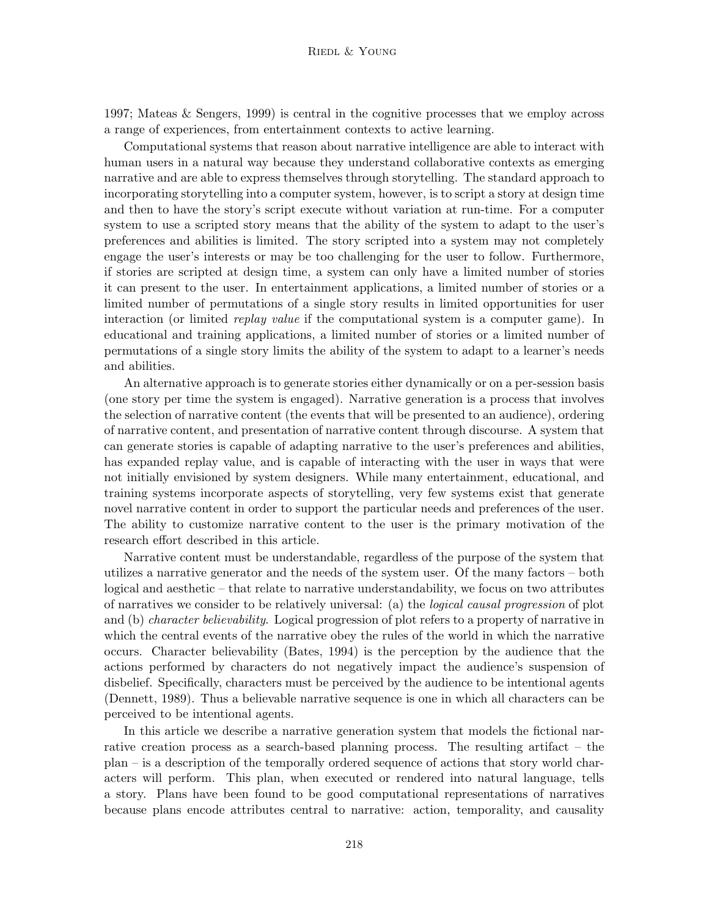1997; Mateas & Sengers, 1999) is central in the cognitive processes that we employ across a range of experiences, from entertainment contexts to active learning.

Computational systems that reason about narrative intelligence are able to interact with human users in a natural way because they understand collaborative contexts as emerging narrative and are able to express themselves through storytelling. The standard approach to incorporating storytelling into a computer system, however, is to script a story at design time and then to have the story's script execute without variation at run-time. For a computer system to use a scripted story means that the ability of the system to adapt to the user's preferences and abilities is limited. The story scripted into a system may not completely engage the user's interests or may be too challenging for the user to follow. Furthermore, if stories are scripted at design time, a system can only have a limited number of stories it can present to the user. In entertainment applications, a limited number of stories or a limited number of permutations of a single story results in limited opportunities for user interaction (or limited *replay value* if the computational system is a computer game). In educational and training applications, a limited number of stories or a limited number of permutations of a single story limits the ability of the system to adapt to a learner's needs and abilities.

An alternative approach is to generate stories either dynamically or on a per-session basis (one story per time the system is engaged). Narrative generation is a process that involves the selection of narrative content (the events that will be presented to an audience), ordering of narrative content, and presentation of narrative content through discourse. A system that can generate stories is capable of adapting narrative to the user's preferences and abilities, has expanded replay value, and is capable of interacting with the user in ways that were not initially envisioned by system designers. While many entertainment, educational, and training systems incorporate aspects of storytelling, very few systems exist that generate novel narrative content in order to support the particular needs and preferences of the user. The ability to customize narrative content to the user is the primary motivation of the research effort described in this article.

Narrative content must be understandable, regardless of the purpose of the system that utilizes a narrative generator and the needs of the system user. Of the many factors – both logical and aesthetic – that relate to narrative understandability, we focus on two attributes of narratives we consider to be relatively universal: (a) the logical causal progression of plot and (b) *character believability*. Logical progression of plot refers to a property of narrative in which the central events of the narrative obey the rules of the world in which the narrative occurs. Character believability (Bates, 1994) is the perception by the audience that the actions performed by characters do not negatively impact the audience's suspension of disbelief. Specifically, characters must be perceived by the audience to be intentional agents (Dennett, 1989). Thus a believable narrative sequence is one in which all characters can be perceived to be intentional agents.

In this article we describe a narrative generation system that models the fictional narrative creation process as a search-based planning process. The resulting artifact – the plan – is a description of the temporally ordered sequence of actions that story world characters will perform. This plan, when executed or rendered into natural language, tells a story. Plans have been found to be good computational representations of narratives because plans encode attributes central to narrative: action, temporality, and causality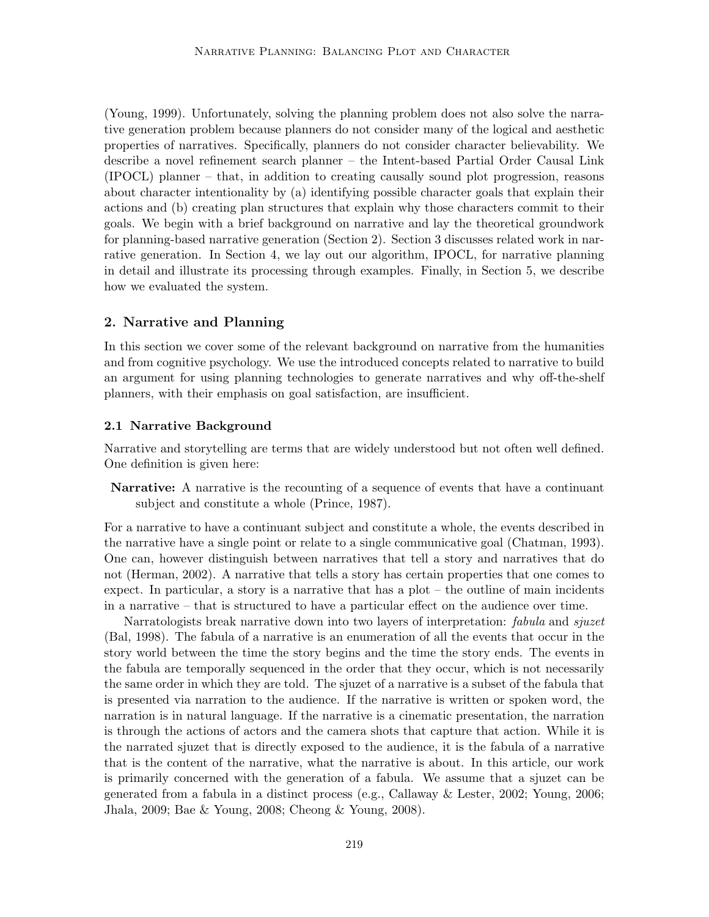(Young, 1999). Unfortunately, solving the planning problem does not also solve the narrative generation problem because planners do not consider many of the logical and aesthetic properties of narratives. Specifically, planners do not consider character believability. We describe a novel refinement search planner – the Intent-based Partial Order Causal Link (IPOCL) planner – that, in addition to creating causally sound plot progression, reasons about character intentionality by (a) identifying possible character goals that explain their actions and (b) creating plan structures that explain why those characters commit to their goals. We begin with a brief background on narrative and lay the theoretical groundwork for planning-based narrative generation (Section 2). Section 3 discusses related work in narrative generation. In Section 4, we lay out our algorithm, IPOCL, for narrative planning in detail and illustrate its processing through examples. Finally, in Section 5, we describe how we evaluated the system.

### 2. Narrative and Planning

In this section we cover some of the relevant background on narrative from the humanities and from cognitive psychology. We use the introduced concepts related to narrative to build an argument for using planning technologies to generate narratives and why off-the-shelf planners, with their emphasis on goal satisfaction, are insufficient.

### 2.1 Narrative Background

Narrative and storytelling are terms that are widely understood but not often well defined. One definition is given here:

Narrative: A narrative is the recounting of a sequence of events that have a continuant subject and constitute a whole (Prince, 1987).

For a narrative to have a continuant subject and constitute a whole, the events described in the narrative have a single point or relate to a single communicative goal (Chatman, 1993). One can, however distinguish between narratives that tell a story and narratives that do not (Herman, 2002). A narrative that tells a story has certain properties that one comes to expect. In particular, a story is a narrative that has a plot – the outline of main incidents in a narrative – that is structured to have a particular effect on the audience over time.

Narratologists break narrative down into two layers of interpretation: fabula and sjuzet (Bal, 1998). The fabula of a narrative is an enumeration of all the events that occur in the story world between the time the story begins and the time the story ends. The events in the fabula are temporally sequenced in the order that they occur, which is not necessarily the same order in which they are told. The sjuzet of a narrative is a subset of the fabula that is presented via narration to the audience. If the narrative is written or spoken word, the narration is in natural language. If the narrative is a cinematic presentation, the narration is through the actions of actors and the camera shots that capture that action. While it is the narrated sjuzet that is directly exposed to the audience, it is the fabula of a narrative that is the content of the narrative, what the narrative is about. In this article, our work is primarily concerned with the generation of a fabula. We assume that a sjuzet can be generated from a fabula in a distinct process (e.g., Callaway & Lester, 2002; Young, 2006; Jhala, 2009; Bae & Young, 2008; Cheong & Young, 2008).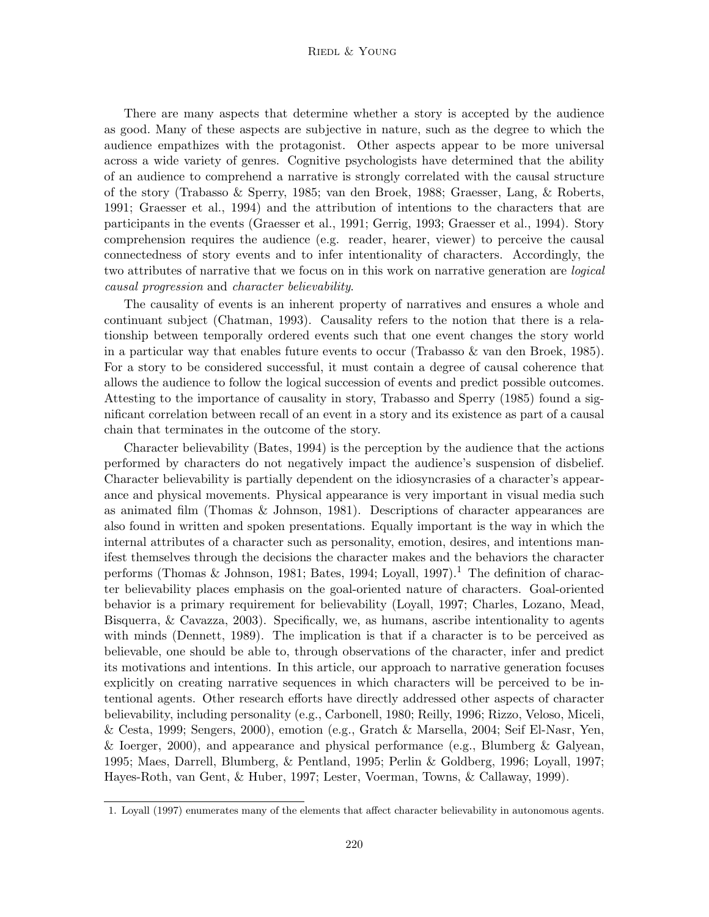There are many aspects that determine whether a story is accepted by the audience as good. Many of these aspects are subjective in nature, such as the degree to which the audience empathizes with the protagonist. Other aspects appear to be more universal across a wide variety of genres. Cognitive psychologists have determined that the ability of an audience to comprehend a narrative is strongly correlated with the causal structure of the story (Trabasso & Sperry, 1985; van den Broek, 1988; Graesser, Lang, & Roberts, 1991; Graesser et al., 1994) and the attribution of intentions to the characters that are participants in the events (Graesser et al., 1991; Gerrig, 1993; Graesser et al., 1994). Story comprehension requires the audience (e.g. reader, hearer, viewer) to perceive the causal connectedness of story events and to infer intentionality of characters. Accordingly, the two attributes of narrative that we focus on in this work on narrative generation are *logical* causal progression and character believability.

The causality of events is an inherent property of narratives and ensures a whole and continuant subject (Chatman, 1993). Causality refers to the notion that there is a relationship between temporally ordered events such that one event changes the story world in a particular way that enables future events to occur (Trabasso & van den Broek, 1985). For a story to be considered successful, it must contain a degree of causal coherence that allows the audience to follow the logical succession of events and predict possible outcomes. Attesting to the importance of causality in story, Trabasso and Sperry (1985) found a significant correlation between recall of an event in a story and its existence as part of a causal chain that terminates in the outcome of the story.

Character believability (Bates, 1994) is the perception by the audience that the actions performed by characters do not negatively impact the audience's suspension of disbelief. Character believability is partially dependent on the idiosyncrasies of a character's appearance and physical movements. Physical appearance is very important in visual media such as animated film (Thomas & Johnson, 1981). Descriptions of character appearances are also found in written and spoken presentations. Equally important is the way in which the internal attributes of a character such as personality, emotion, desires, and intentions manifest themselves through the decisions the character makes and the behaviors the character performs (Thomas & Johnson, 1981; Bates, 1994; Loyall, 1997).<sup>1</sup> The definition of character believability places emphasis on the goal-oriented nature of characters. Goal-oriented behavior is a primary requirement for believability (Loyall, 1997; Charles, Lozano, Mead, Bisquerra, & Cavazza, 2003). Specifically, we, as humans, ascribe intentionality to agents with minds (Dennett, 1989). The implication is that if a character is to be perceived as believable, one should be able to, through observations of the character, infer and predict its motivations and intentions. In this article, our approach to narrative generation focuses explicitly on creating narrative sequences in which characters will be perceived to be intentional agents. Other research efforts have directly addressed other aspects of character believability, including personality (e.g., Carbonell, 1980; Reilly, 1996; Rizzo, Veloso, Miceli, & Cesta, 1999; Sengers, 2000), emotion (e.g., Gratch & Marsella, 2004; Seif El-Nasr, Yen, & Ioerger, 2000), and appearance and physical performance (e.g., Blumberg & Galyean, 1995; Maes, Darrell, Blumberg, & Pentland, 1995; Perlin & Goldberg, 1996; Loyall, 1997; Hayes-Roth, van Gent, & Huber, 1997; Lester, Voerman, Towns, & Callaway, 1999).

<sup>1.</sup> Loyall (1997) enumerates many of the elements that affect character believability in autonomous agents.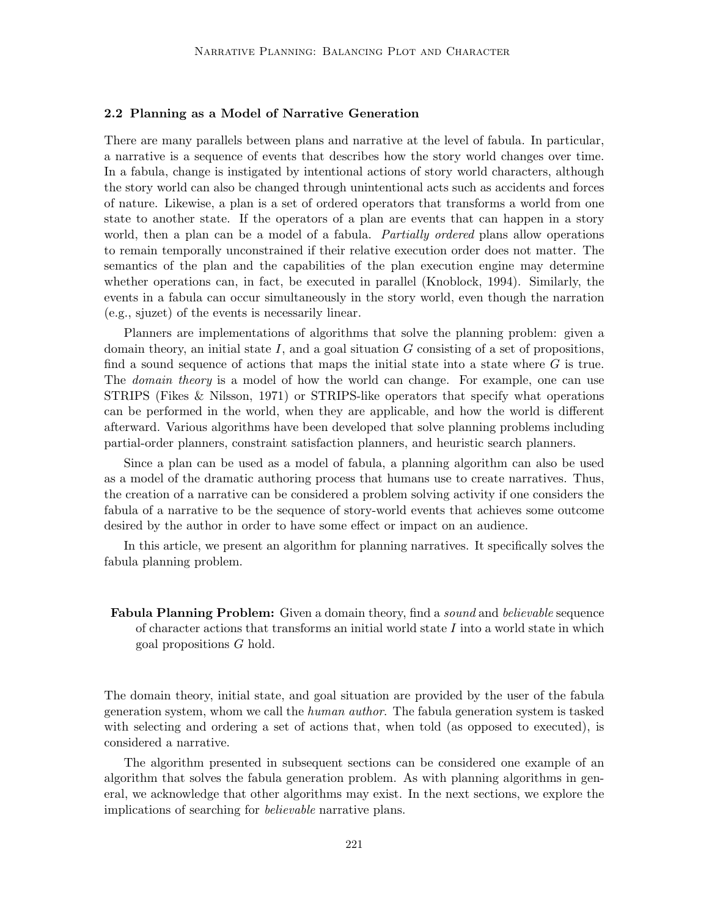#### 2.2 Planning as a Model of Narrative Generation

There are many parallels between plans and narrative at the level of fabula. In particular, a narrative is a sequence of events that describes how the story world changes over time. In a fabula, change is instigated by intentional actions of story world characters, although the story world can also be changed through unintentional acts such as accidents and forces of nature. Likewise, a plan is a set of ordered operators that transforms a world from one state to another state. If the operators of a plan are events that can happen in a story world, then a plan can be a model of a fabula. Partially ordered plans allow operations to remain temporally unconstrained if their relative execution order does not matter. The semantics of the plan and the capabilities of the plan execution engine may determine whether operations can, in fact, be executed in parallel (Knoblock, 1994). Similarly, the events in a fabula can occur simultaneously in the story world, even though the narration (e.g., sjuzet) of the events is necessarily linear.

Planners are implementations of algorithms that solve the planning problem: given a domain theory, an initial state  $I$ , and a goal situation  $G$  consisting of a set of propositions, find a sound sequence of actions that maps the initial state into a state where  $G$  is true. The *domain theory* is a model of how the world can change. For example, one can use STRIPS (Fikes & Nilsson, 1971) or STRIPS-like operators that specify what operations can be performed in the world, when they are applicable, and how the world is different afterward. Various algorithms have been developed that solve planning problems including partial-order planners, constraint satisfaction planners, and heuristic search planners.

Since a plan can be used as a model of fabula, a planning algorithm can also be used as a model of the dramatic authoring process that humans use to create narratives. Thus, the creation of a narrative can be considered a problem solving activity if one considers the fabula of a narrative to be the sequence of story-world events that achieves some outcome desired by the author in order to have some effect or impact on an audience.

In this article, we present an algorithm for planning narratives. It specifically solves the fabula planning problem.

Fabula Planning Problem: Given a domain theory, find a *sound* and *believable* sequence of character actions that transforms an initial world state  $I$  into a world state in which goal propositions G hold.

The domain theory, initial state, and goal situation are provided by the user of the fabula generation system, whom we call the human author. The fabula generation system is tasked with selecting and ordering a set of actions that, when told (as opposed to executed), is considered a narrative.

The algorithm presented in subsequent sections can be considered one example of an algorithm that solves the fabula generation problem. As with planning algorithms in general, we acknowledge that other algorithms may exist. In the next sections, we explore the implications of searching for believable narrative plans.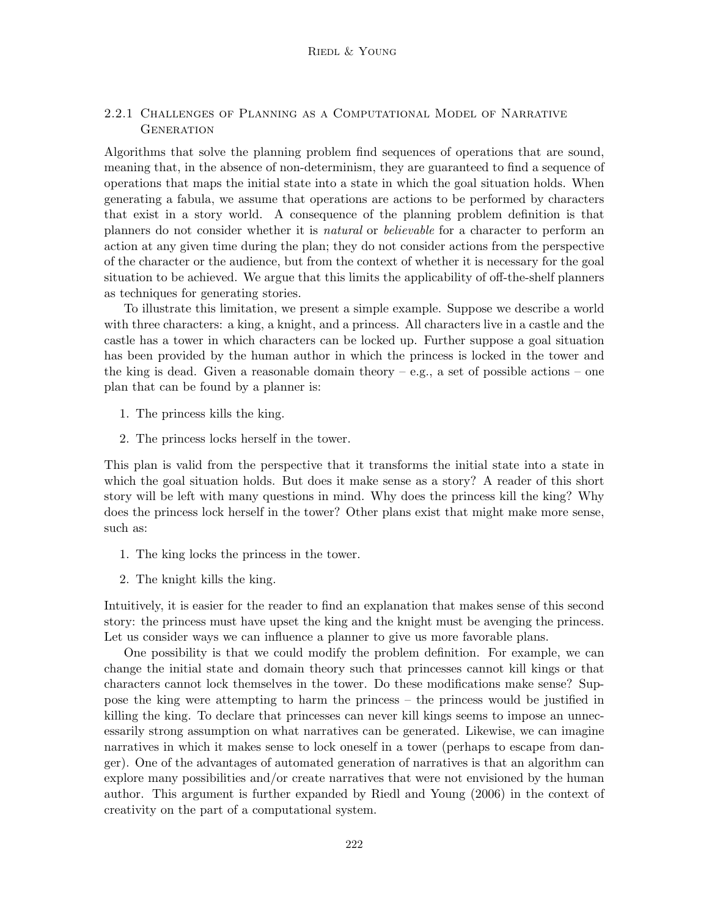# 2.2.1 Challenges of Planning as a Computational Model of Narrative **GENERATION**

Algorithms that solve the planning problem find sequences of operations that are sound, meaning that, in the absence of non-determinism, they are guaranteed to find a sequence of operations that maps the initial state into a state in which the goal situation holds. When generating a fabula, we assume that operations are actions to be performed by characters that exist in a story world. A consequence of the planning problem definition is that planners do not consider whether it is natural or believable for a character to perform an action at any given time during the plan; they do not consider actions from the perspective of the character or the audience, but from the context of whether it is necessary for the goal situation to be achieved. We argue that this limits the applicability of off-the-shelf planners as techniques for generating stories.

To illustrate this limitation, we present a simple example. Suppose we describe a world with three characters: a king, a knight, and a princess. All characters live in a castle and the castle has a tower in which characters can be locked up. Further suppose a goal situation has been provided by the human author in which the princess is locked in the tower and the king is dead. Given a reasonable domain theory  $-e.g.,$  a set of possible actions – one plan that can be found by a planner is:

- 1. The princess kills the king.
- 2. The princess locks herself in the tower.

This plan is valid from the perspective that it transforms the initial state into a state in which the goal situation holds. But does it make sense as a story? A reader of this short story will be left with many questions in mind. Why does the princess kill the king? Why does the princess lock herself in the tower? Other plans exist that might make more sense, such as:

- 1. The king locks the princess in the tower.
- 2. The knight kills the king.

Intuitively, it is easier for the reader to find an explanation that makes sense of this second story: the princess must have upset the king and the knight must be avenging the princess. Let us consider ways we can influence a planner to give us more favorable plans.

One possibility is that we could modify the problem definition. For example, we can change the initial state and domain theory such that princesses cannot kill kings or that characters cannot lock themselves in the tower. Do these modifications make sense? Suppose the king were attempting to harm the princess – the princess would be justified in killing the king. To declare that princesses can never kill kings seems to impose an unnecessarily strong assumption on what narratives can be generated. Likewise, we can imagine narratives in which it makes sense to lock oneself in a tower (perhaps to escape from danger). One of the advantages of automated generation of narratives is that an algorithm can explore many possibilities and/or create narratives that were not envisioned by the human author. This argument is further expanded by Riedl and Young (2006) in the context of creativity on the part of a computational system.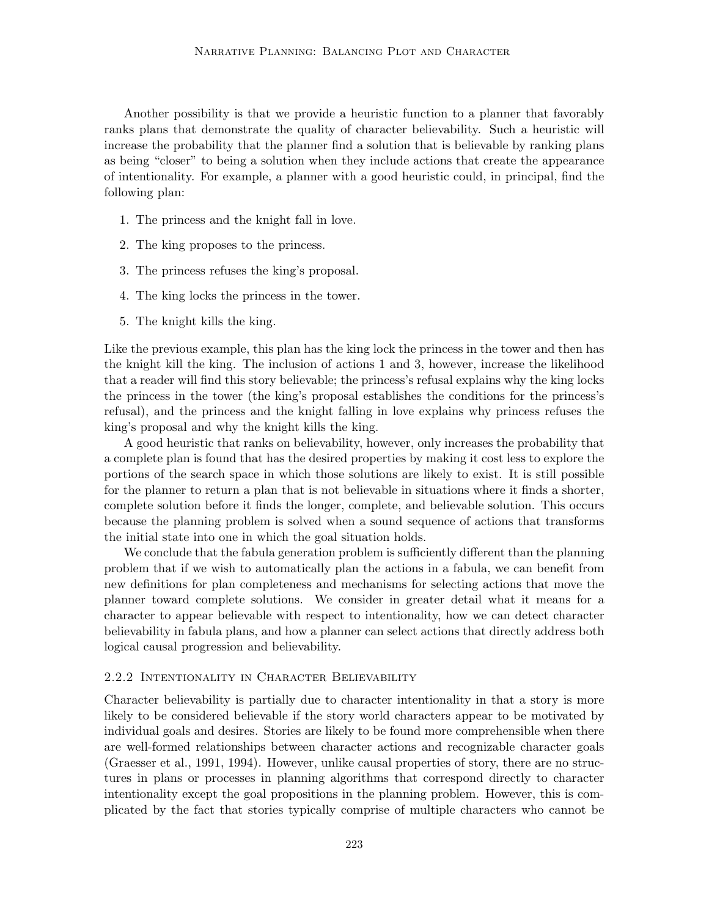Another possibility is that we provide a heuristic function to a planner that favorably ranks plans that demonstrate the quality of character believability. Such a heuristic will increase the probability that the planner find a solution that is believable by ranking plans as being "closer" to being a solution when they include actions that create the appearance of intentionality. For example, a planner with a good heuristic could, in principal, find the following plan:

- 1. The princess and the knight fall in love.
- 2. The king proposes to the princess.
- 3. The princess refuses the king's proposal.
- 4. The king locks the princess in the tower.
- 5. The knight kills the king.

Like the previous example, this plan has the king lock the princess in the tower and then has the knight kill the king. The inclusion of actions 1 and 3, however, increase the likelihood that a reader will find this story believable; the princess's refusal explains why the king locks the princess in the tower (the king's proposal establishes the conditions for the princess's refusal), and the princess and the knight falling in love explains why princess refuses the king's proposal and why the knight kills the king.

A good heuristic that ranks on believability, however, only increases the probability that a complete plan is found that has the desired properties by making it cost less to explore the portions of the search space in which those solutions are likely to exist. It is still possible for the planner to return a plan that is not believable in situations where it finds a shorter, complete solution before it finds the longer, complete, and believable solution. This occurs because the planning problem is solved when a sound sequence of actions that transforms the initial state into one in which the goal situation holds.

We conclude that the fabula generation problem is sufficiently different than the planning problem that if we wish to automatically plan the actions in a fabula, we can benefit from new definitions for plan completeness and mechanisms for selecting actions that move the planner toward complete solutions. We consider in greater detail what it means for a character to appear believable with respect to intentionality, how we can detect character believability in fabula plans, and how a planner can select actions that directly address both logical causal progression and believability.

#### 2.2.2 Intentionality in Character Believability

Character believability is partially due to character intentionality in that a story is more likely to be considered believable if the story world characters appear to be motivated by individual goals and desires. Stories are likely to be found more comprehensible when there are well-formed relationships between character actions and recognizable character goals (Graesser et al., 1991, 1994). However, unlike causal properties of story, there are no structures in plans or processes in planning algorithms that correspond directly to character intentionality except the goal propositions in the planning problem. However, this is complicated by the fact that stories typically comprise of multiple characters who cannot be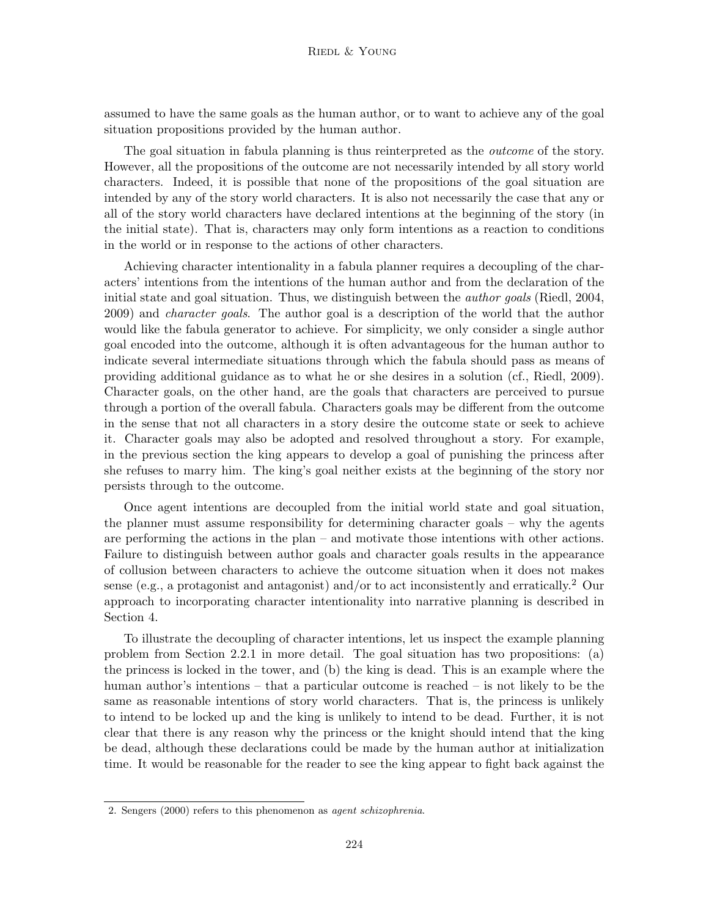assumed to have the same goals as the human author, or to want to achieve any of the goal situation propositions provided by the human author.

The goal situation in fabula planning is thus reinterpreted as the *outcome* of the story. However, all the propositions of the outcome are not necessarily intended by all story world characters. Indeed, it is possible that none of the propositions of the goal situation are intended by any of the story world characters. It is also not necessarily the case that any or all of the story world characters have declared intentions at the beginning of the story (in the initial state). That is, characters may only form intentions as a reaction to conditions in the world or in response to the actions of other characters.

Achieving character intentionality in a fabula planner requires a decoupling of the characters' intentions from the intentions of the human author and from the declaration of the initial state and goal situation. Thus, we distinguish between the *author goals* (Riedl, 2004, 2009) and character goals. The author goal is a description of the world that the author would like the fabula generator to achieve. For simplicity, we only consider a single author goal encoded into the outcome, although it is often advantageous for the human author to indicate several intermediate situations through which the fabula should pass as means of providing additional guidance as to what he or she desires in a solution (cf., Riedl, 2009). Character goals, on the other hand, are the goals that characters are perceived to pursue through a portion of the overall fabula. Characters goals may be different from the outcome in the sense that not all characters in a story desire the outcome state or seek to achieve it. Character goals may also be adopted and resolved throughout a story. For example, in the previous section the king appears to develop a goal of punishing the princess after she refuses to marry him. The king's goal neither exists at the beginning of the story nor persists through to the outcome.

Once agent intentions are decoupled from the initial world state and goal situation, the planner must assume responsibility for determining character goals – why the agents are performing the actions in the plan – and motivate those intentions with other actions. Failure to distinguish between author goals and character goals results in the appearance of collusion between characters to achieve the outcome situation when it does not makes sense (e.g., a protagonist and antagonist) and/or to act inconsistently and erratically.<sup>2</sup> Our approach to incorporating character intentionality into narrative planning is described in Section 4.

To illustrate the decoupling of character intentions, let us inspect the example planning problem from Section 2.2.1 in more detail. The goal situation has two propositions: (a) the princess is locked in the tower, and (b) the king is dead. This is an example where the human author's intentions – that a particular outcome is reached – is not likely to be the same as reasonable intentions of story world characters. That is, the princess is unlikely to intend to be locked up and the king is unlikely to intend to be dead. Further, it is not clear that there is any reason why the princess or the knight should intend that the king be dead, although these declarations could be made by the human author at initialization time. It would be reasonable for the reader to see the king appear to fight back against the

<sup>2.</sup> Sengers (2000) refers to this phenomenon as agent schizophrenia.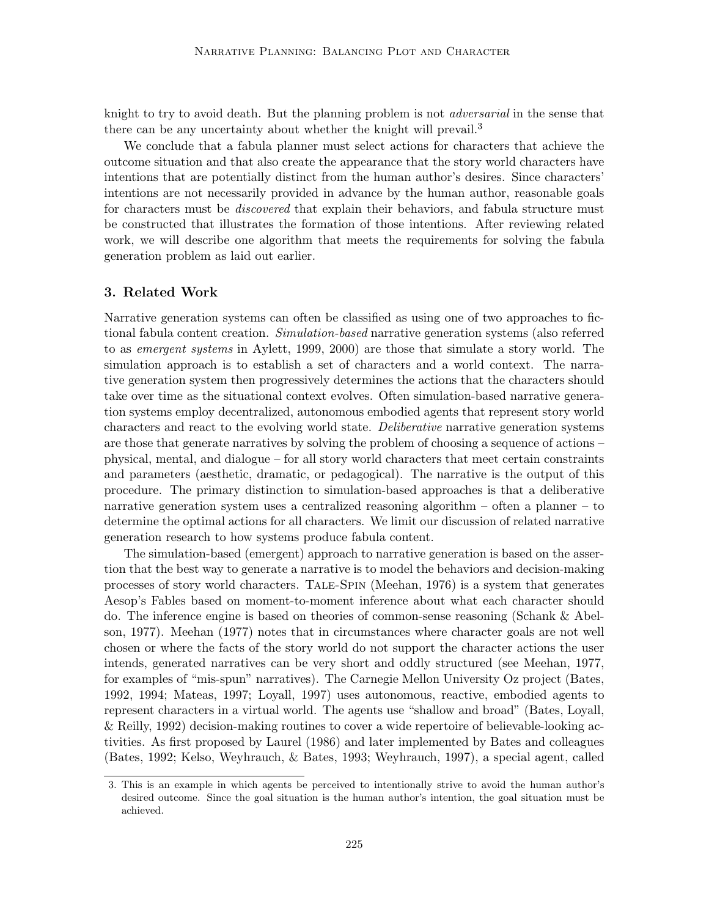knight to try to avoid death. But the planning problem is not *adversarial* in the sense that there can be any uncertainty about whether the knight will prevail.<sup>3</sup>

We conclude that a fabula planner must select actions for characters that achieve the outcome situation and that also create the appearance that the story world characters have intentions that are potentially distinct from the human author's desires. Since characters' intentions are not necessarily provided in advance by the human author, reasonable goals for characters must be *discovered* that explain their behaviors, and fabula structure must be constructed that illustrates the formation of those intentions. After reviewing related work, we will describe one algorithm that meets the requirements for solving the fabula generation problem as laid out earlier.

### 3. Related Work

Narrative generation systems can often be classified as using one of two approaches to fictional fabula content creation. Simulation-based narrative generation systems (also referred to as emergent systems in Aylett, 1999, 2000) are those that simulate a story world. The simulation approach is to establish a set of characters and a world context. The narrative generation system then progressively determines the actions that the characters should take over time as the situational context evolves. Often simulation-based narrative generation systems employ decentralized, autonomous embodied agents that represent story world characters and react to the evolving world state. Deliberative narrative generation systems are those that generate narratives by solving the problem of choosing a sequence of actions – physical, mental, and dialogue – for all story world characters that meet certain constraints and parameters (aesthetic, dramatic, or pedagogical). The narrative is the output of this procedure. The primary distinction to simulation-based approaches is that a deliberative narrative generation system uses a centralized reasoning algorithm – often a planner – to determine the optimal actions for all characters. We limit our discussion of related narrative generation research to how systems produce fabula content.

The simulation-based (emergent) approach to narrative generation is based on the assertion that the best way to generate a narrative is to model the behaviors and decision-making processes of story world characters. Tale-Spin (Meehan, 1976) is a system that generates Aesop's Fables based on moment-to-moment inference about what each character should do. The inference engine is based on theories of common-sense reasoning (Schank & Abelson, 1977). Meehan (1977) notes that in circumstances where character goals are not well chosen or where the facts of the story world do not support the character actions the user intends, generated narratives can be very short and oddly structured (see Meehan, 1977, for examples of "mis-spun" narratives). The Carnegie Mellon University Oz project (Bates, 1992, 1994; Mateas, 1997; Loyall, 1997) uses autonomous, reactive, embodied agents to represent characters in a virtual world. The agents use "shallow and broad" (Bates, Loyall, & Reilly, 1992) decision-making routines to cover a wide repertoire of believable-looking activities. As first proposed by Laurel (1986) and later implemented by Bates and colleagues (Bates, 1992; Kelso, Weyhrauch, & Bates, 1993; Weyhrauch, 1997), a special agent, called

<sup>3.</sup> This is an example in which agents be perceived to intentionally strive to avoid the human author's desired outcome. Since the goal situation is the human author's intention, the goal situation must be achieved.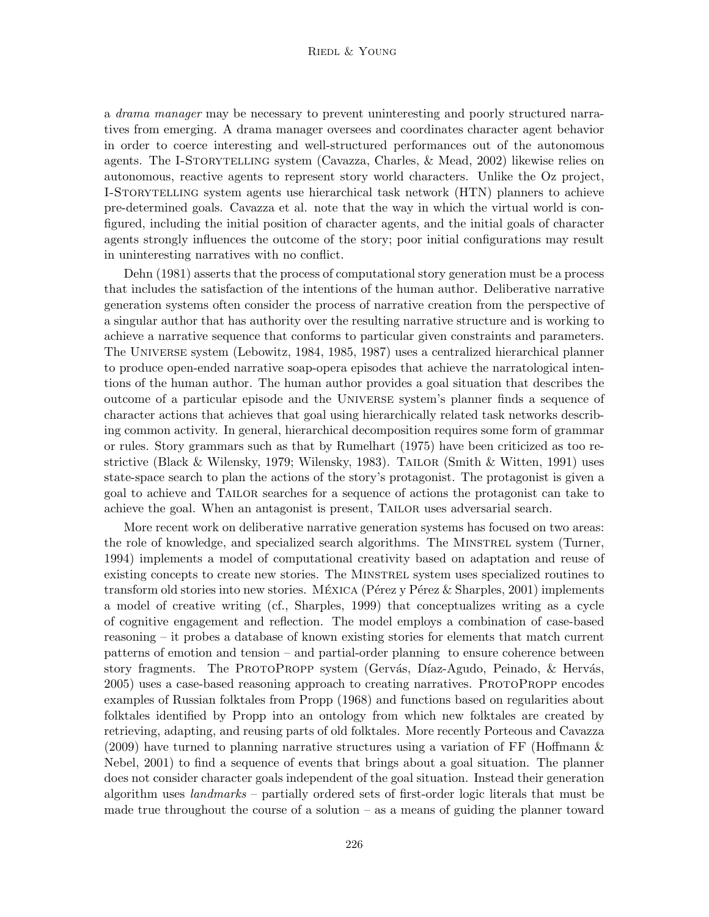#### Riedl & Young

a *drama manager* may be necessary to prevent uninteresting and poorly structured narratives from emerging. A drama manager oversees and coordinates character agent behavior in order to coerce interesting and well-structured performances out of the autonomous agents. The I-Storytelling system (Cavazza, Charles, & Mead, 2002) likewise relies on autonomous, reactive agents to represent story world characters. Unlike the Oz project, I-Storytelling system agents use hierarchical task network (HTN) planners to achieve pre-determined goals. Cavazza et al. note that the way in which the virtual world is configured, including the initial position of character agents, and the initial goals of character agents strongly influences the outcome of the story; poor initial configurations may result in uninteresting narratives with no conflict.

Dehn (1981) asserts that the process of computational story generation must be a process that includes the satisfaction of the intentions of the human author. Deliberative narrative generation systems often consider the process of narrative creation from the perspective of a singular author that has authority over the resulting narrative structure and is working to achieve a narrative sequence that conforms to particular given constraints and parameters. The Universe system (Lebowitz, 1984, 1985, 1987) uses a centralized hierarchical planner to produce open-ended narrative soap-opera episodes that achieve the narratological intentions of the human author. The human author provides a goal situation that describes the outcome of a particular episode and the Universe system's planner finds a sequence of character actions that achieves that goal using hierarchically related task networks describing common activity. In general, hierarchical decomposition requires some form of grammar or rules. Story grammars such as that by Rumelhart (1975) have been criticized as too restrictive (Black & Wilensky, 1979; Wilensky, 1983). Tailor (Smith & Witten, 1991) uses state-space search to plan the actions of the story's protagonist. The protagonist is given a goal to achieve and Tailor searches for a sequence of actions the protagonist can take to achieve the goal. When an antagonist is present, Tailor uses adversarial search.

More recent work on deliberative narrative generation systems has focused on two areas: the role of knowledge, and specialized search algorithms. The MINSTREL system (Turner, 1994) implements a model of computational creativity based on adaptation and reuse of existing concepts to create new stories. The MINSTREL system uses specialized routines to transform old stories into new stories. MÉXICA (Pérez y Pérez & Sharples, 2001) implements a model of creative writing (cf., Sharples, 1999) that conceptualizes writing as a cycle of cognitive engagement and reflection. The model employs a combination of case-based reasoning – it probes a database of known existing stories for elements that match current patterns of emotion and tension – and partial-order planning to ensure coherence between story fragments. The PROTOPROPP system (Gervás, Díaz-Agudo, Peinado, & Hervás, 2005) uses a case-based reasoning approach to creating narratives. PROTOPROPP encodes examples of Russian folktales from Propp (1968) and functions based on regularities about folktales identified by Propp into an ontology from which new folktales are created by retrieving, adapting, and reusing parts of old folktales. More recently Porteous and Cavazza (2009) have turned to planning narrative structures using a variation of FF (Hoffmann & Nebel, 2001) to find a sequence of events that brings about a goal situation. The planner does not consider character goals independent of the goal situation. Instead their generation algorithm uses landmarks – partially ordered sets of first-order logic literals that must be made true throughout the course of a solution – as a means of guiding the planner toward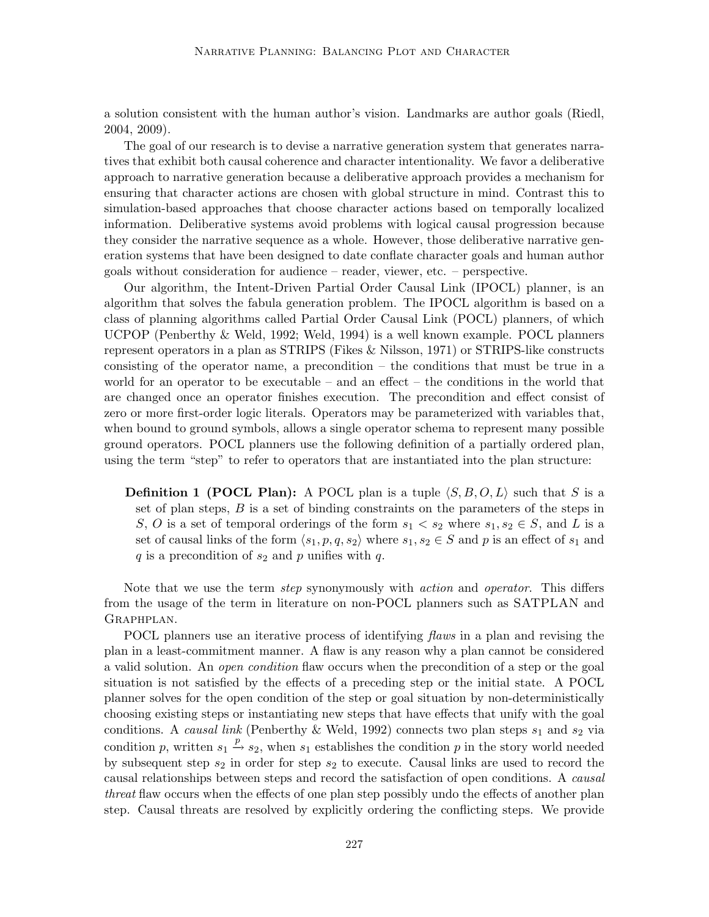a solution consistent with the human author's vision. Landmarks are author goals (Riedl, 2004, 2009).

The goal of our research is to devise a narrative generation system that generates narratives that exhibit both causal coherence and character intentionality. We favor a deliberative approach to narrative generation because a deliberative approach provides a mechanism for ensuring that character actions are chosen with global structure in mind. Contrast this to simulation-based approaches that choose character actions based on temporally localized information. Deliberative systems avoid problems with logical causal progression because they consider the narrative sequence as a whole. However, those deliberative narrative generation systems that have been designed to date conflate character goals and human author goals without consideration for audience – reader, viewer, etc. – perspective.

Our algorithm, the Intent-Driven Partial Order Causal Link (IPOCL) planner, is an algorithm that solves the fabula generation problem. The IPOCL algorithm is based on a class of planning algorithms called Partial Order Causal Link (POCL) planners, of which UCPOP (Penberthy & Weld, 1992; Weld, 1994) is a well known example. POCL planners represent operators in a plan as STRIPS (Fikes & Nilsson, 1971) or STRIPS-like constructs consisting of the operator name, a precondition – the conditions that must be true in a world for an operator to be executable – and an effect – the conditions in the world that are changed once an operator finishes execution. The precondition and effect consist of zero or more first-order logic literals. Operators may be parameterized with variables that, when bound to ground symbols, allows a single operator schema to represent many possible ground operators. POCL planners use the following definition of a partially ordered plan, using the term "step" to refer to operators that are instantiated into the plan structure:

**Definition 1 (POCL Plan):** A POCL plan is a tuple  $\langle S, B, O, L \rangle$  such that S is a set of plan steps, B is a set of binding constraints on the parameters of the steps in S, O is a set of temporal orderings of the form  $s_1 < s_2$  where  $s_1, s_2 \in S$ , and L is a set of causal links of the form  $\langle s_1, p, q, s_2 \rangle$  where  $s_1, s_2 \in S$  and p is an effect of  $s_1$  and q is a precondition of  $s_2$  and p unifies with q.

Note that we use the term step synonymously with action and operator. This differs from the usage of the term in literature on non-POCL planners such as SATPLAN and Graphplan.

POCL planners use an iterative process of identifying *flaws* in a plan and revising the plan in a least-commitment manner. A flaw is any reason why a plan cannot be considered a valid solution. An open condition flaw occurs when the precondition of a step or the goal situation is not satisfied by the effects of a preceding step or the initial state. A POCL planner solves for the open condition of the step or goal situation by non-deterministically choosing existing steps or instantiating new steps that have effects that unify with the goal conditions. A causal link (Penberthy & Weld, 1992) connects two plan steps  $s_1$  and  $s_2$  via condition p, written  $s_1 \stackrel{p}{\rightarrow} s_2$ , when  $s_1$  establishes the condition p in the story world needed by subsequent step  $s_2$  in order for step  $s_2$  to execute. Causal links are used to record the causal relationships between steps and record the satisfaction of open conditions. A causal threat flaw occurs when the effects of one plan step possibly undo the effects of another plan step. Causal threats are resolved by explicitly ordering the conflicting steps. We provide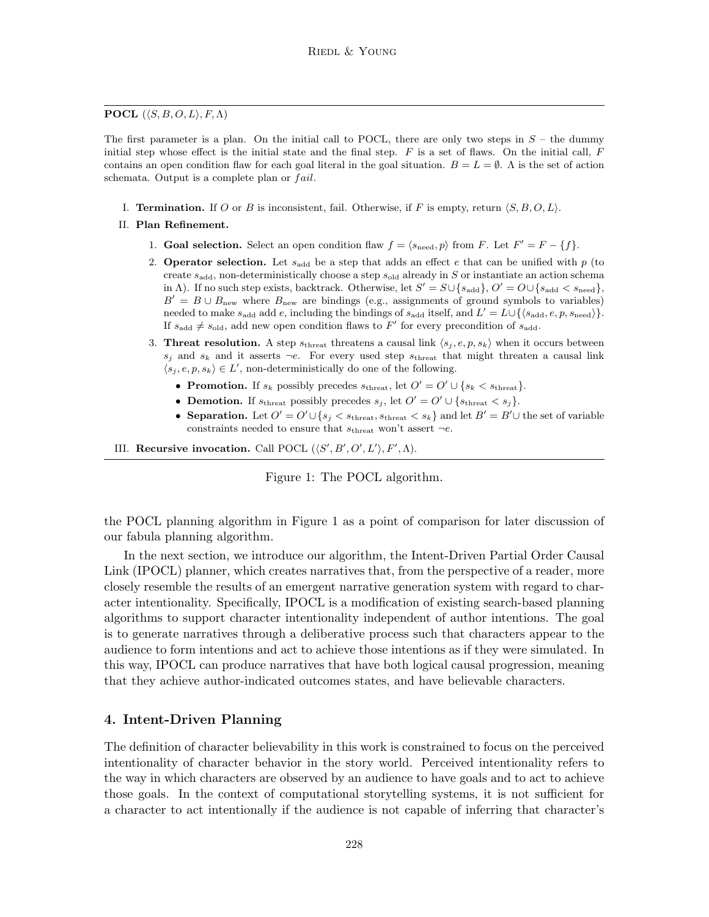### **POCL**  $(\langle S, B, O, L \rangle, F, \Lambda)$

The first parameter is a plan. On the initial call to POCL, there are only two steps in  $S$  – the dummy initial step whose effect is the initial state and the final step.  $F$  is a set of flaws. On the initial call,  $F$ contains an open condition flaw for each goal literal in the goal situation.  $B = L = \emptyset$ . A is the set of action schemata. Output is a complete plan or fail.

I. Termination. If O or B is inconsistent, fail. Otherwise, if F is empty, return  $\langle S, B, O, L \rangle$ .

#### II. Plan Refinement.

- 1. Goal selection. Select an open condition flaw  $f = \langle s_{\text{need}}, p \rangle$  from F. Let  $F' = F \{f\}.$
- 2. Operator selection. Let  $s_{\text{add}}$  be a step that adds an effect e that can be unified with p (to create sadd, non-deterministically choose a step sold already in S or instantiate an action schema in  $\Lambda$ ). If no such step exists, backtrack. Otherwise, let  $S' = S \cup \{s_{\text{add}}\}, O' = O \cup \{s_{\text{add}} < s_{\text{need}}\},$  $B' = B \cup B<sub>new</sub>$  where  $B<sub>new</sub>$  are bindings (e.g., assignments of ground symbols to variables) needed to make  $s_{\text{add}}$  add  $e$ , including the bindings of  $s_{\text{add}}$  itself, and  $L' = L \cup \{ \langle s_{\text{add}}, e, p, s_{\text{need}} \rangle \}.$ If  $s_{\text{add}} \neq s_{\text{old}}$ , add new open condition flaws to F' for every precondition of  $s_{\text{add}}$ .
- 3. Threat resolution. A step  $s_{\text{thresh}}$  threatens a causal link  $\langle s_j, e, p, s_k \rangle$  when it occurs between  $s_j$  and  $s_k$  and it asserts  $\neg e$ . For every used step  $s_{\text{thresh}}$  that might threaten a causal link  $\langle s_j, e, p, s_k \rangle \in L'$ , non-deterministically do one of the following.
	- Promotion. If  $s_k$  possibly precedes  $s_{\text{thresh}}$ , let  $O' = O' \cup \{ s_k < s_{\text{thresh}} \}.$
	- **Demotion.** If  $s_{\text{thresh}}$  possibly precedes  $s_j$ , let  $O' = O' \cup \{s_{\text{thresh}} < s_j\}.$
	- Separation. Let  $O' = O' \cup \{s_j < s_{\text{thresh}}, s_{\text{thresh}} < s_k\}$  and let  $B' = B' \cup$  the set of variable constraints needed to ensure that  $s_{\text{thresh}}$  won't assert  $\neg e$ .

III. Recursive invocation. Call POCL  $(\langle S', B', O', L' \rangle, F', \Lambda)$ .

Figure 1: The POCL algorithm.

the POCL planning algorithm in Figure 1 as a point of comparison for later discussion of our fabula planning algorithm.

In the next section, we introduce our algorithm, the Intent-Driven Partial Order Causal Link (IPOCL) planner, which creates narratives that, from the perspective of a reader, more closely resemble the results of an emergent narrative generation system with regard to character intentionality. Specifically, IPOCL is a modification of existing search-based planning algorithms to support character intentionality independent of author intentions. The goal is to generate narratives through a deliberative process such that characters appear to the audience to form intentions and act to achieve those intentions as if they were simulated. In this way, IPOCL can produce narratives that have both logical causal progression, meaning that they achieve author-indicated outcomes states, and have believable characters.

### 4. Intent-Driven Planning

The definition of character believability in this work is constrained to focus on the perceived intentionality of character behavior in the story world. Perceived intentionality refers to the way in which characters are observed by an audience to have goals and to act to achieve those goals. In the context of computational storytelling systems, it is not sufficient for a character to act intentionally if the audience is not capable of inferring that character's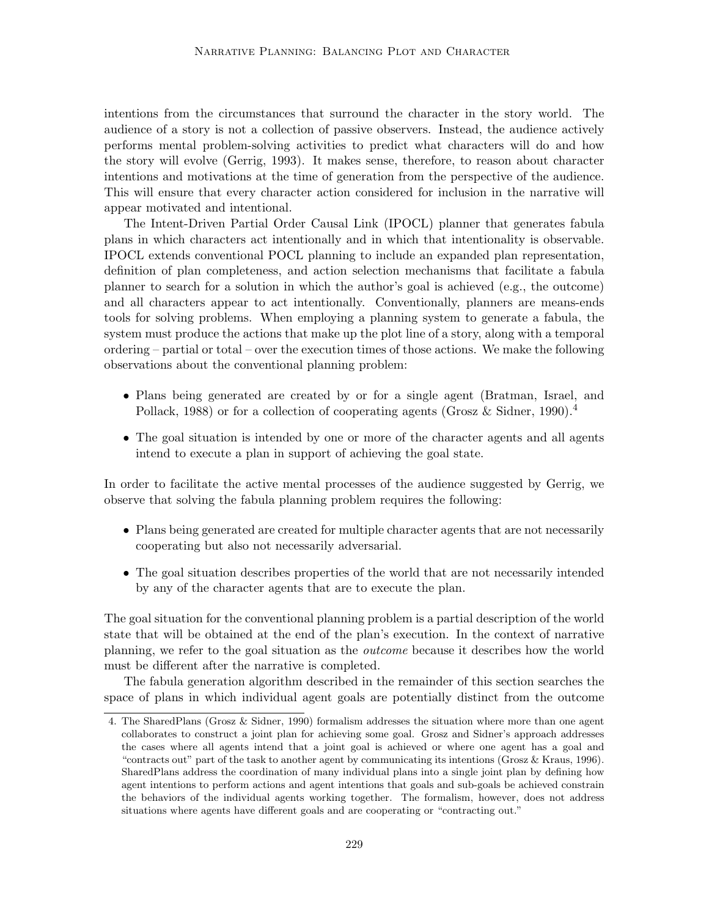intentions from the circumstances that surround the character in the story world. The audience of a story is not a collection of passive observers. Instead, the audience actively performs mental problem-solving activities to predict what characters will do and how the story will evolve (Gerrig, 1993). It makes sense, therefore, to reason about character intentions and motivations at the time of generation from the perspective of the audience. This will ensure that every character action considered for inclusion in the narrative will appear motivated and intentional.

The Intent-Driven Partial Order Causal Link (IPOCL) planner that generates fabula plans in which characters act intentionally and in which that intentionality is observable. IPOCL extends conventional POCL planning to include an expanded plan representation, definition of plan completeness, and action selection mechanisms that facilitate a fabula planner to search for a solution in which the author's goal is achieved (e.g., the outcome) and all characters appear to act intentionally. Conventionally, planners are means-ends tools for solving problems. When employing a planning system to generate a fabula, the system must produce the actions that make up the plot line of a story, along with a temporal ordering – partial or total – over the execution times of those actions. We make the following observations about the conventional planning problem:

- Plans being generated are created by or for a single agent (Bratman, Israel, and Pollack, 1988) or for a collection of cooperating agents (Grosz & Sidner, 1990).<sup>4</sup>
- The goal situation is intended by one or more of the character agents and all agents intend to execute a plan in support of achieving the goal state.

In order to facilitate the active mental processes of the audience suggested by Gerrig, we observe that solving the fabula planning problem requires the following:

- Plans being generated are created for multiple character agents that are not necessarily cooperating but also not necessarily adversarial.
- The goal situation describes properties of the world that are not necessarily intended by any of the character agents that are to execute the plan.

The goal situation for the conventional planning problem is a partial description of the world state that will be obtained at the end of the plan's execution. In the context of narrative planning, we refer to the goal situation as the outcome because it describes how the world must be different after the narrative is completed.

The fabula generation algorithm described in the remainder of this section searches the space of plans in which individual agent goals are potentially distinct from the outcome

<sup>4.</sup> The SharedPlans (Grosz & Sidner, 1990) formalism addresses the situation where more than one agent collaborates to construct a joint plan for achieving some goal. Grosz and Sidner's approach addresses the cases where all agents intend that a joint goal is achieved or where one agent has a goal and "contracts out" part of the task to another agent by communicating its intentions (Grosz & Kraus, 1996). SharedPlans address the coordination of many individual plans into a single joint plan by defining how agent intentions to perform actions and agent intentions that goals and sub-goals be achieved constrain the behaviors of the individual agents working together. The formalism, however, does not address situations where agents have different goals and are cooperating or "contracting out."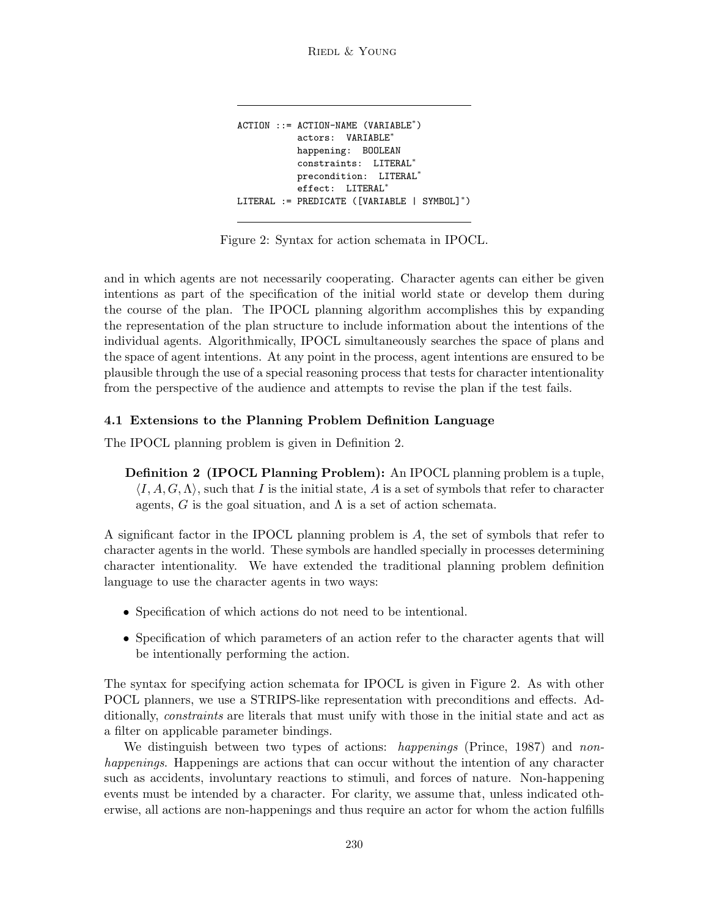```
ACTION ::= ACTION-NAME (VARIABLE<sup>*</sup>)
           actors: VARIABLE∗
           happening: BOOLEAN
           constraints: LITERAL∗
           precondition: LITERAL∗
           effect: LITERAL∗
LITERAL := PREDICATE ([VARIABLE | SYMBOL]∗
)
```
Figure 2: Syntax for action schemata in IPOCL.

and in which agents are not necessarily cooperating. Character agents can either be given intentions as part of the specification of the initial world state or develop them during the course of the plan. The IPOCL planning algorithm accomplishes this by expanding the representation of the plan structure to include information about the intentions of the individual agents. Algorithmically, IPOCL simultaneously searches the space of plans and the space of agent intentions. At any point in the process, agent intentions are ensured to be plausible through the use of a special reasoning process that tests for character intentionality from the perspective of the audience and attempts to revise the plan if the test fails.

# 4.1 Extensions to the Planning Problem Definition Language

The IPOCL planning problem is given in Definition 2.

Definition 2 (IPOCL Planning Problem): An IPOCL planning problem is a tuple,  $\langle I, A, G, \Lambda \rangle$ , such that I is the initial state, A is a set of symbols that refer to character agents, G is the goal situation, and  $\Lambda$  is a set of action schemata.

A significant factor in the IPOCL planning problem is A, the set of symbols that refer to character agents in the world. These symbols are handled specially in processes determining character intentionality. We have extended the traditional planning problem definition language to use the character agents in two ways:

- Specification of which actions do not need to be intentional.
- Specification of which parameters of an action refer to the character agents that will be intentionally performing the action.

The syntax for specifying action schemata for IPOCL is given in Figure 2. As with other POCL planners, we use a STRIPS-like representation with preconditions and effects. Additionally, *constraints* are literals that must unify with those in the initial state and act as a filter on applicable parameter bindings.

We distinguish between two types of actions: *happenings* (Prince, 1987) and nonhappenings. Happenings are actions that can occur without the intention of any character such as accidents, involuntary reactions to stimuli, and forces of nature. Non-happening events must be intended by a character. For clarity, we assume that, unless indicated otherwise, all actions are non-happenings and thus require an actor for whom the action fulfills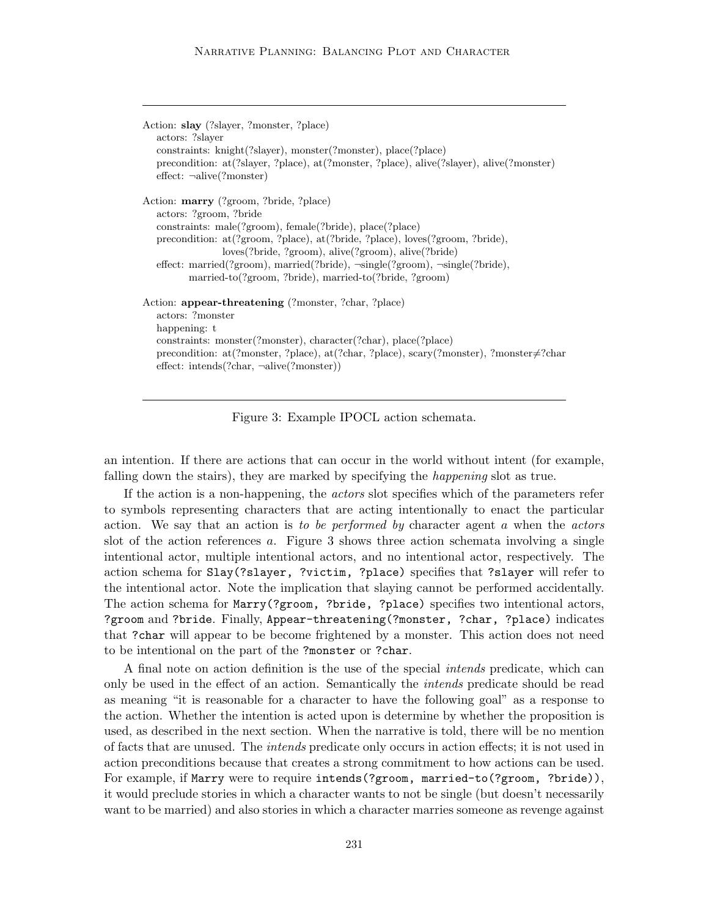### Narrative Planning: Balancing Plot and Character

```
Action: slay (?slayer, ?monster, ?place)
  actors: ?slayer
  constraints: knight(?slayer), monster(?monster), place(?place)
  precondition: at(?slayer, ?place), at(?monster, ?place), alive(?slayer), alive(?monster)
  effect: ¬alive(?monster)
Action: marry (?groom, ?bride, ?place)
  actors: ?groom, ?bride
  constraints: male(?groom), female(?bride), place(?place)
  precondition: at(?groom, ?place), at(?bride, ?place), loves(?groom, ?bride),
                 loves(?bride, ?groom), alive(?groom), alive(?bride)
  effect: married(?groom), married(?bride), ¬single(?groom), ¬single(?bride),
          married-to(?groom, ?bride), married-to(?bride, ?groom)
Action: appear-threatening (?monster, ?char, ?place)
  actors: ?monster
  happening: t
  constraints: monster(?monster), character(?char), place(?place)
  precondition: at(?monster, ?place), at(?char, ?place), scary(?monster), ?monster\neq?char
  effect: intends(?char, ¬alive(?monster))
```
Figure 3: Example IPOCL action schemata.

an intention. If there are actions that can occur in the world without intent (for example, falling down the stairs), they are marked by specifying the happening slot as true.

If the action is a non-happening, the actors slot specifies which of the parameters refer to symbols representing characters that are acting intentionally to enact the particular action. We say that an action is to be performed by character agent  $\alpha$  when the actors slot of the action references a. Figure 3 shows three action schemata involving a single intentional actor, multiple intentional actors, and no intentional actor, respectively. The action schema for Slay(?slayer, ?victim, ?place) specifies that ?slayer will refer to the intentional actor. Note the implication that slaying cannot be performed accidentally. The action schema for Marry(?groom, ?bride, ?place) specifies two intentional actors, ?groom and ?bride. Finally, Appear-threatening(?monster, ?char, ?place) indicates that ?char will appear to be become frightened by a monster. This action does not need to be intentional on the part of the ?monster or ?char.

A final note on action definition is the use of the special intends predicate, which can only be used in the effect of an action. Semantically the intends predicate should be read as meaning "it is reasonable for a character to have the following goal" as a response to the action. Whether the intention is acted upon is determine by whether the proposition is used, as described in the next section. When the narrative is told, there will be no mention of facts that are unused. The *intends* predicate only occurs in action effects; it is not used in action preconditions because that creates a strong commitment to how actions can be used. For example, if Marry were to require intends(?groom, married-to(?groom, ?bride)), it would preclude stories in which a character wants to not be single (but doesn't necessarily want to be married) and also stories in which a character marries someone as revenge against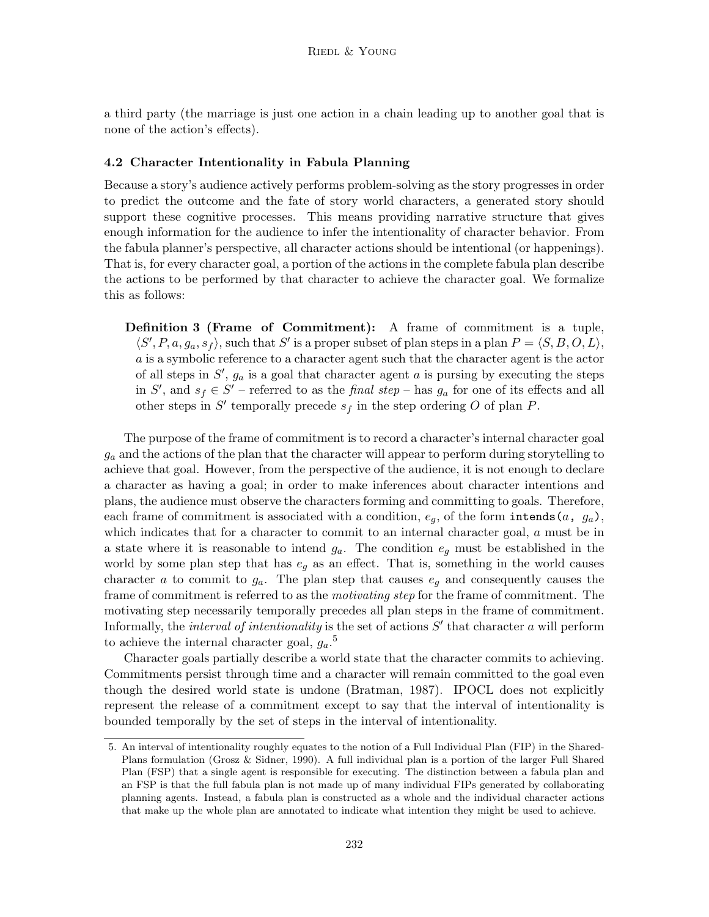a third party (the marriage is just one action in a chain leading up to another goal that is none of the action's effects).

### 4.2 Character Intentionality in Fabula Planning

Because a story's audience actively performs problem-solving as the story progresses in order to predict the outcome and the fate of story world characters, a generated story should support these cognitive processes. This means providing narrative structure that gives enough information for the audience to infer the intentionality of character behavior. From the fabula planner's perspective, all character actions should be intentional (or happenings). That is, for every character goal, a portion of the actions in the complete fabula plan describe the actions to be performed by that character to achieve the character goal. We formalize this as follows:

Definition 3 (Frame of Commitment): A frame of commitment is a tuple,  $\langle S', P, a, g_a, s_f \rangle$ , such that S' is a proper subset of plan steps in a plan  $P = \langle S, B, O, L \rangle$ , a is a symbolic reference to a character agent such that the character agent is the actor of all steps in  $S'$ ,  $g_a$  is a goal that character agent a is pursing by executing the steps in S', and  $s_f \in S'$  – referred to as the *final step* – has  $g_a$  for one of its effects and all other steps in  $S'$  temporally precede  $s_f$  in the step ordering O of plan P.

The purpose of the frame of commitment is to record a character's internal character goal  $g_a$  and the actions of the plan that the character will appear to perform during storytelling to achieve that goal. However, from the perspective of the audience, it is not enough to declare a character as having a goal; in order to make inferences about character intentions and plans, the audience must observe the characters forming and committing to goals. Therefore, each frame of commitment is associated with a condition,  $e_q$ , of the form intends  $(a, g_a)$ , which indicates that for a character to commit to an internal character goal, a must be in a state where it is reasonable to intend  $g_a$ . The condition  $e_g$  must be established in the world by some plan step that has  $e_q$  as an effect. That is, something in the world causes character a to commit to  $g_a$ . The plan step that causes  $e_g$  and consequently causes the frame of commitment is referred to as the *motivating step* for the frame of commitment. The motivating step necessarily temporally precedes all plan steps in the frame of commitment. Informally, the *interval of intentionality* is the set of actions  $S'$  that character  $a$  will perform to achieve the internal character goal,  $g_a$ <sup>5</sup>

Character goals partially describe a world state that the character commits to achieving. Commitments persist through time and a character will remain committed to the goal even though the desired world state is undone (Bratman, 1987). IPOCL does not explicitly represent the release of a commitment except to say that the interval of intentionality is bounded temporally by the set of steps in the interval of intentionality.

<sup>5.</sup> An interval of intentionality roughly equates to the notion of a Full Individual Plan (FIP) in the Shared-Plans formulation (Grosz & Sidner, 1990). A full individual plan is a portion of the larger Full Shared Plan (FSP) that a single agent is responsible for executing. The distinction between a fabula plan and an FSP is that the full fabula plan is not made up of many individual FIPs generated by collaborating planning agents. Instead, a fabula plan is constructed as a whole and the individual character actions that make up the whole plan are annotated to indicate what intention they might be used to achieve.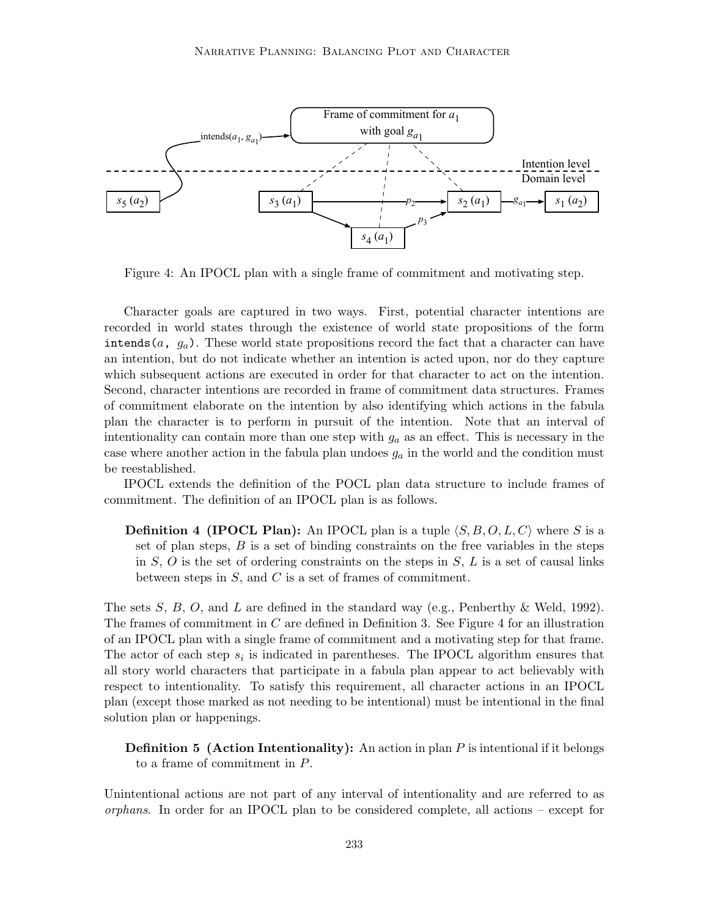

Figure 4: An IPOCL plan with a single frame of commitment and motivating step.

Character goals are captured in two ways. First, potential character intentions are recorded in world states through the existence of world state propositions of the form intends  $(a, g_a)$ . These world state propositions record the fact that a character can have an intention, but do not indicate whether an intention is acted upon, nor do they capture which subsequent actions are executed in order for that character to act on the intention. Second, character intentions are recorded in frame of commitment data structures. Frames of commitment elaborate on the intention by also identifying which actions in the fabula plan the character is to perform in pursuit of the intention. Note that an interval of intentionality can contain more than one step with  $g_a$  as an effect. This is necessary in the case where another action in the fabula plan undoes  $g_a$  in the world and the condition must be reestablished.

IPOCL extends the definition of the POCL plan data structure to include frames of commitment. The definition of an IPOCL plan is as follows.

**Definition 4 (IPOCL Plan):** An IPOCL plan is a tuple  $\langle S, B, O, L, C \rangle$  where S is a set of plan steps,  $B$  is a set of binding constraints on the free variables in the steps in  $S, O$  is the set of ordering constraints on the steps in  $S, L$  is a set of causal links between steps in  $S$ , and  $C$  is a set of frames of commitment.

The sets  $S, B, O$ , and L are defined in the standard way (e.g., Penberthy & Weld, 1992). The frames of commitment in C are defined in Definition 3. See Figure 4 for an illustration of an IPOCL plan with a single frame of commitment and a motivating step for that frame. The actor of each step  $s_i$  is indicated in parentheses. The IPOCL algorithm ensures that all story world characters that participate in a fabula plan appear to act believably with respect to intentionality. To satisfy this requirement, all character actions in an IPOCL plan (except those marked as not needing to be intentional) must be intentional in the final solution plan or happenings.

**Definition 5** (Action Intentionality): An action in plan  $P$  is intentional if it belongs to a frame of commitment in P.

Unintentional actions are not part of any interval of intentionality and are referred to as orphans. In order for an IPOCL plan to be considered complete, all actions – except for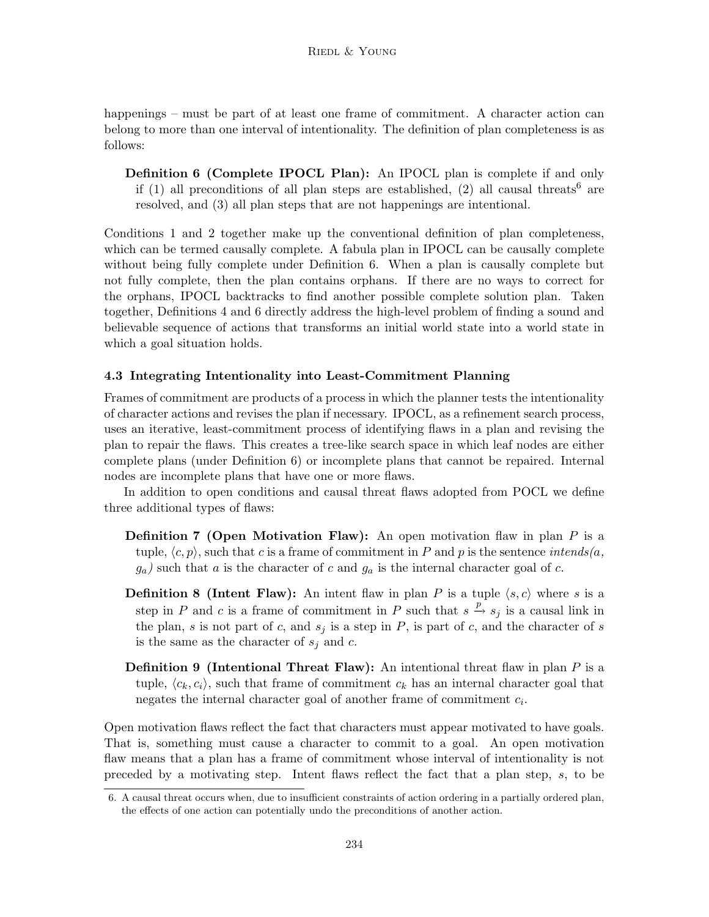happenings – must be part of at least one frame of commitment. A character action can belong to more than one interval of intentionality. The definition of plan completeness is as follows:

Definition 6 (Complete IPOCL Plan): An IPOCL plan is complete if and only if (1) all preconditions of all plan steps are established, (2) all causal threats<sup>6</sup> are resolved, and (3) all plan steps that are not happenings are intentional.

Conditions 1 and 2 together make up the conventional definition of plan completeness, which can be termed causally complete. A fabula plan in IPOCL can be causally complete without being fully complete under Definition 6. When a plan is causally complete but not fully complete, then the plan contains orphans. If there are no ways to correct for the orphans, IPOCL backtracks to find another possible complete solution plan. Taken together, Definitions 4 and 6 directly address the high-level problem of finding a sound and believable sequence of actions that transforms an initial world state into a world state in which a goal situation holds.

### 4.3 Integrating Intentionality into Least-Commitment Planning

Frames of commitment are products of a process in which the planner tests the intentionality of character actions and revises the plan if necessary. IPOCL, as a refinement search process, uses an iterative, least-commitment process of identifying flaws in a plan and revising the plan to repair the flaws. This creates a tree-like search space in which leaf nodes are either complete plans (under Definition 6) or incomplete plans that cannot be repaired. Internal nodes are incomplete plans that have one or more flaws.

In addition to open conditions and causal threat flaws adopted from POCL we define three additional types of flaws:

- **Definition 7 (Open Motivation Flaw):** An open motivation flaw in plan  $P$  is a tuple,  $\langle c, p \rangle$ , such that c is a frame of commitment in P and p is the sentence intends(a,  $g_a$ ) such that a is the character of c and  $g_a$  is the internal character goal of c.
- **Definition 8 (Intent Flaw):** An intent flaw in plan P is a tuple  $\langle s, c \rangle$  where s is a step in P and c is a frame of commitment in P such that  $s \stackrel{p}{\rightarrow} s_j$  is a causal link in the plan, s is not part of c, and  $s_i$  is a step in P, is part of c, and the character of s is the same as the character of  $s_i$  and c.
- **Definition 9 (Intentional Threat Flaw):** An intentional threat flaw in plan  $P$  is a tuple,  $\langle c_k, c_i \rangle$ , such that frame of commitment  $c_k$  has an internal character goal that negates the internal character goal of another frame of commitment  $c_i$ .

Open motivation flaws reflect the fact that characters must appear motivated to have goals. That is, something must cause a character to commit to a goal. An open motivation flaw means that a plan has a frame of commitment whose interval of intentionality is not preceded by a motivating step. Intent flaws reflect the fact that a plan step, s, to be

<sup>6.</sup> A causal threat occurs when, due to insufficient constraints of action ordering in a partially ordered plan, the effects of one action can potentially undo the preconditions of another action.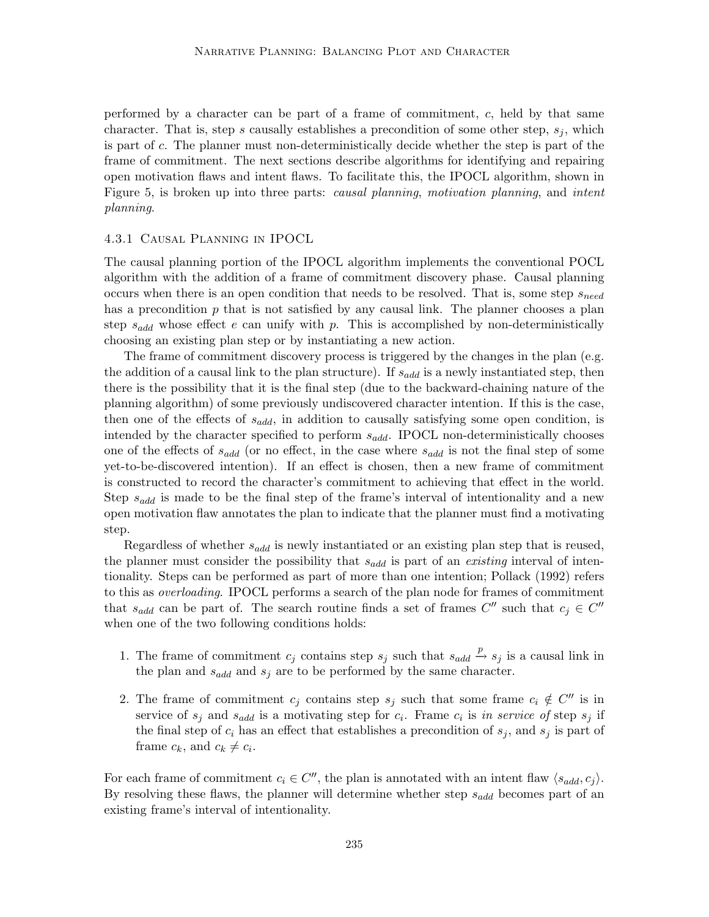performed by a character can be part of a frame of commitment,  $c$ , held by that same character. That is, step s causally establishes a precondition of some other step,  $s_i$ , which is part of c. The planner must non-deterministically decide whether the step is part of the frame of commitment. The next sections describe algorithms for identifying and repairing open motivation flaws and intent flaws. To facilitate this, the IPOCL algorithm, shown in Figure 5, is broken up into three parts: causal planning, motivation planning, and intent planning.

#### 4.3.1 Causal Planning in IPOCL

The causal planning portion of the IPOCL algorithm implements the conventional POCL algorithm with the addition of a frame of commitment discovery phase. Causal planning occurs when there is an open condition that needs to be resolved. That is, some step  $s_{need}$ has a precondition  $p$  that is not satisfied by any causal link. The planner chooses a plan step  $s_{add}$  whose effect e can unify with p. This is accomplished by non-deterministically choosing an existing plan step or by instantiating a new action.

The frame of commitment discovery process is triggered by the changes in the plan (e.g. the addition of a causal link to the plan structure). If  $s_{add}$  is a newly instantiated step, then there is the possibility that it is the final step (due to the backward-chaining nature of the planning algorithm) of some previously undiscovered character intention. If this is the case, then one of the effects of  $s_{add}$ , in addition to causally satisfying some open condition, is intended by the character specified to perform  $s_{add}$ . IPOCL non-deterministically chooses one of the effects of  $s_{add}$  (or no effect, in the case where  $s_{add}$  is not the final step of some yet-to-be-discovered intention). If an effect is chosen, then a new frame of commitment is constructed to record the character's commitment to achieving that effect in the world. Step  $s_{add}$  is made to be the final step of the frame's interval of intentionality and a new open motivation flaw annotates the plan to indicate that the planner must find a motivating step.

Regardless of whether  $s_{add}$  is newly instantiated or an existing plan step that is reused, the planner must consider the possibility that  $s_{add}$  is part of an *existing* interval of intentionality. Steps can be performed as part of more than one intention; Pollack (1992) refers to this as overloading. IPOCL performs a search of the plan node for frames of commitment that  $s_{add}$  can be part of. The search routine finds a set of frames  $C''$  such that  $c_j \in C''$ when one of the two following conditions holds:

- 1. The frame of commitment  $c_j$  contains step  $s_j$  such that  $s_{add} \stackrel{p}{\rightarrow} s_j$  is a causal link in the plan and  $s_{add}$  and  $s_j$  are to be performed by the same character.
- 2. The frame of commitment  $c_j$  contains step  $s_j$  such that some frame  $c_i \notin C''$  is in service of  $s_j$  and  $s_{add}$  is a motivating step for  $c_i$ . Frame  $c_i$  is in service of step  $s_j$  if the final step of  $c_i$  has an effect that establishes a precondition of  $s_j$ , and  $s_j$  is part of frame  $c_k$ , and  $c_k \neq c_i$ .

For each frame of commitment  $c_i \in C''$ , the plan is annotated with an intent flaw  $\langle s_{add}, c_j \rangle$ . By resolving these flaws, the planner will determine whether step  $s_{add}$  becomes part of an existing frame's interval of intentionality.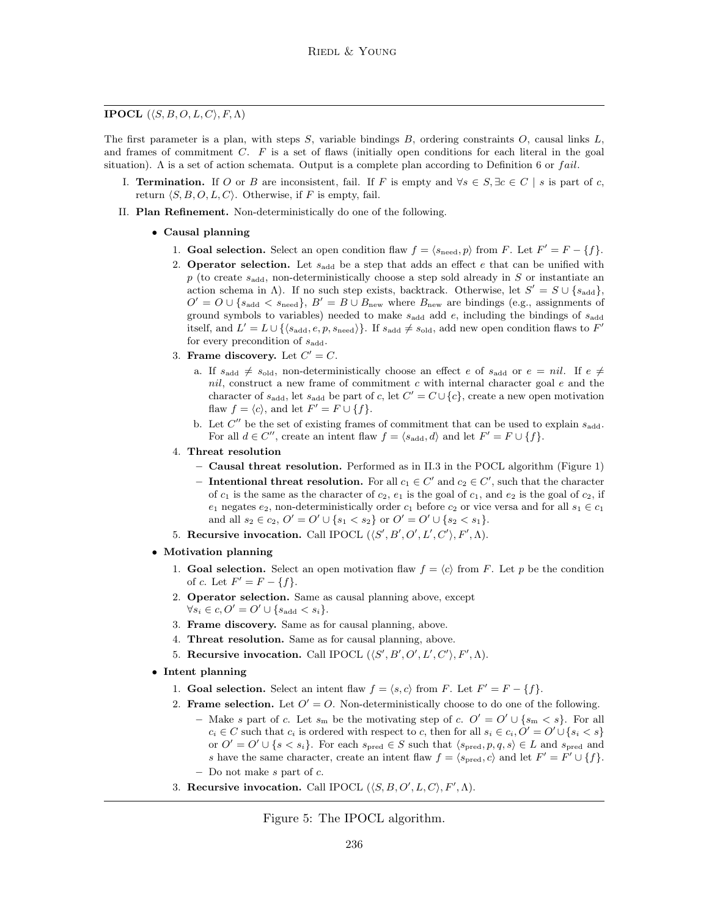### **IPOCL**  $(\langle S, B, O, L, C \rangle, F, \Lambda)$

The first parameter is a plan, with steps  $S$ , variable bindings  $B$ , ordering constraints  $O$ , causal links  $L$ , and frames of commitment  $C$ .  $F$  is a set of flaws (initially open conditions for each literal in the goal situation).  $\Lambda$  is a set of action schemata. Output is a complete plan according to Definition 6 or fail.

- I. Termination. If O or B are inconsistent, fail. If F is empty and  $\forall s \in S, \exists c \in C \mid s$  is part of c, return  $\langle S, B, O, L, C \rangle$ . Otherwise, if F is empty, fail.
- II. Plan Refinement. Non-deterministically do one of the following.

#### • Causal planning

- 1. Goal selection. Select an open condition flaw  $f = \langle s_{\text{need}}, p \rangle$  from F. Let  $F' = F \{f\}.$
- 2. Operator selection. Let  $s_{\text{add}}$  be a step that adds an effect  $e$  that can be unified with p (to create  $s_{\text{add}}$ , non-deterministically choose a step sold already in S or instantiate an action schema in  $\Lambda$ ). If no such step exists, backtrack. Otherwise, let  $S' = S \cup \{s_{\text{add}}\},$  $O' = O \cup \{s_{\text{add}} < s_{\text{need}}\}, B' = B \cup B_{\text{new}}$  where  $B_{\text{new}}$  are bindings (e.g., assignments of ground symbols to variables) needed to make  $s_{\text{add}}$  add  $e$ , including the bindings of  $s_{\text{add}}$ itself, and  $L' = L \cup \{\langle s_{\text{add}}, e, p, s_{\text{need}}\rangle\}$ . If  $s_{\text{add}} \neq s_{\text{old}}$ , add new open condition flaws to  $F'$ for every precondition of  $s_{\text{add}}$ .
- 3. Frame discovery. Let  $C' = C$ .
	- a. If  $s_{\text{add}} \neq s_{\text{old}}$ , non-deterministically choose an effect e of  $s_{\text{add}}$  or  $e = nil$ . If  $e \neq$ nil, construct a new frame of commitment  $c$  with internal character goal  $e$  and the character of  $s_{\text{add}}$ , let  $s_{\text{add}}$  be part of c, let  $C' = C \cup \{c\}$ , create a new open motivation flaw  $f = \langle c \rangle$ , and let  $F' = F \cup \{f\}.$
	- b. Let  $C''$  be the set of existing frames of commitment that can be used to explain  $s_{\text{add}}$ . For all  $d \in C''$ , create an intent flaw  $f = \langle s_{\text{add}} , d \rangle$  and let  $F' = F \cup \{f\}.$
- 4. Threat resolution
	- $-$  Causal threat resolution. Performed as in II.3 in the POCL algorithm (Figure 1)
	- − Intentional threat resolution. For all  $c_1 \in C'$  and  $c_2 \in C'$ , such that the character of  $c_1$  is the same as the character of  $c_2$ ,  $e_1$  is the goal of  $c_1$ , and  $e_2$  is the goal of  $c_2$ , if  $e_1$  negates  $e_2$ , non-deterministically order  $c_1$  before  $c_2$  or vice versa and for all  $s_1 \in c_1$ and all  $s_2 \in c_2$ ,  $O' = O' \cup \{s_1 < s_2\}$  or  $O' = O' \cup \{s_2 < s_1\}.$
- 5. Recursive invocation. Call IPOCL  $(\langle S', B', O', L', C' \rangle, F', \Lambda)$ .
- Motivation planning
	- 1. Goal selection. Select an open motivation flaw  $f = \langle c \rangle$  from F. Let p be the condition of c. Let  $F' = F - \{f\}.$
	- 2. Operator selection. Same as causal planning above, except  $\forall s_i \in c, O' = O' \cup \{s_{\text{add}} < s_i\}.$
	- 3. Frame discovery. Same as for causal planning, above.
	- 4. Threat resolution. Same as for causal planning, above.
	- 5. Recursive invocation. Call IPOCL  $(\langle S', B', O', L', C' \rangle, F', \Lambda)$ .
- Intent planning
	- 1. **Goal selection.** Select an intent flaw  $f = \langle s, c \rangle$  from F. Let  $F' = F \{f\}$ .
	- 2. Frame selection. Let  $O' = O$ . Non-deterministically choose to do one of the following. – Make s part of c. Let  $s_m$  be the motivating step of c.  $O' = O' \cup \{s_m < s\}$ . For all  $c_i \in C$  such that  $c_i$  is ordered with respect to c, then for all  $s_i \in c_i, O' = O' \cup \{s_i \leq s\}$ or  $O' = O' \cup \{s < s_i\}.$  For each  $s_{\text{pred}} \in S$  such that  $\langle s_{\text{pred}}, p, q, s \rangle \in L$  and  $s_{\text{pred}}$  and s have the same character, create an intent flaw  $f = \langle s_{\text{pred}}, c \rangle$  and let  $F' = F' \cup \{f\}.$ 
		- $-$  Do not make s part of c.
	- 3. Recursive invocation. Call IPOCL  $(\langle S, B, O', L, C \rangle, F', \Lambda)$ .

Figure 5: The IPOCL algorithm.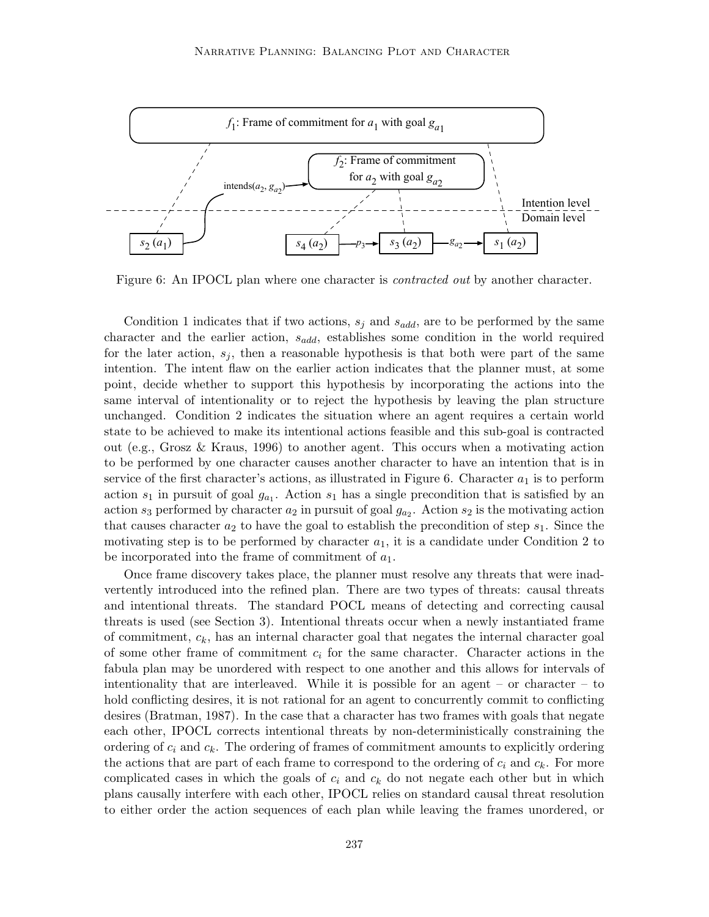

Figure 6: An IPOCL plan where one character is *contracted out* by another character.

Condition 1 indicates that if two actions,  $s_i$  and  $s_{add}$ , are to be performed by the same character and the earlier action,  $s_{add}$ , establishes some condition in the world required for the later action,  $s_i$ , then a reasonable hypothesis is that both were part of the same intention. The intent flaw on the earlier action indicates that the planner must, at some point, decide whether to support this hypothesis by incorporating the actions into the same interval of intentionality or to reject the hypothesis by leaving the plan structure unchanged. Condition 2 indicates the situation where an agent requires a certain world state to be achieved to make its intentional actions feasible and this sub-goal is contracted out (e.g., Grosz & Kraus, 1996) to another agent. This occurs when a motivating action to be performed by one character causes another character to have an intention that is in service of the first character's actions, as illustrated in Figure 6. Character  $a_1$  is to perform action  $s_1$  in pursuit of goal  $g_{a_1}$ . Action  $s_1$  has a single precondition that is satisfied by an action  $s_3$  performed by character  $a_2$  in pursuit of goal  $g_{a_2}$ . Action  $s_2$  is the motivating action that causes character  $a_2$  to have the goal to establish the precondition of step  $s_1$ . Since the motivating step is to be performed by character  $a_1$ , it is a candidate under Condition 2 to be incorporated into the frame of commitment of  $a_1$ .

Once frame discovery takes place, the planner must resolve any threats that were inadvertently introduced into the refined plan. There are two types of threats: causal threats and intentional threats. The standard POCL means of detecting and correcting causal threats is used (see Section 3). Intentional threats occur when a newly instantiated frame of commitment,  $c_k$ , has an internal character goal that negates the internal character goal of some other frame of commitment  $c_i$  for the same character. Character actions in the fabula plan may be unordered with respect to one another and this allows for intervals of intentionality that are interleaved. While it is possible for an agent – or character – to hold conflicting desires, it is not rational for an agent to concurrently commit to conflicting desires (Bratman, 1987). In the case that a character has two frames with goals that negate each other, IPOCL corrects intentional threats by non-deterministically constraining the ordering of  $c_i$  and  $c_k$ . The ordering of frames of commitment amounts to explicitly ordering the actions that are part of each frame to correspond to the ordering of  $c_i$  and  $c_k$ . For more complicated cases in which the goals of  $c_i$  and  $c_k$  do not negate each other but in which plans causally interfere with each other, IPOCL relies on standard causal threat resolution to either order the action sequences of each plan while leaving the frames unordered, or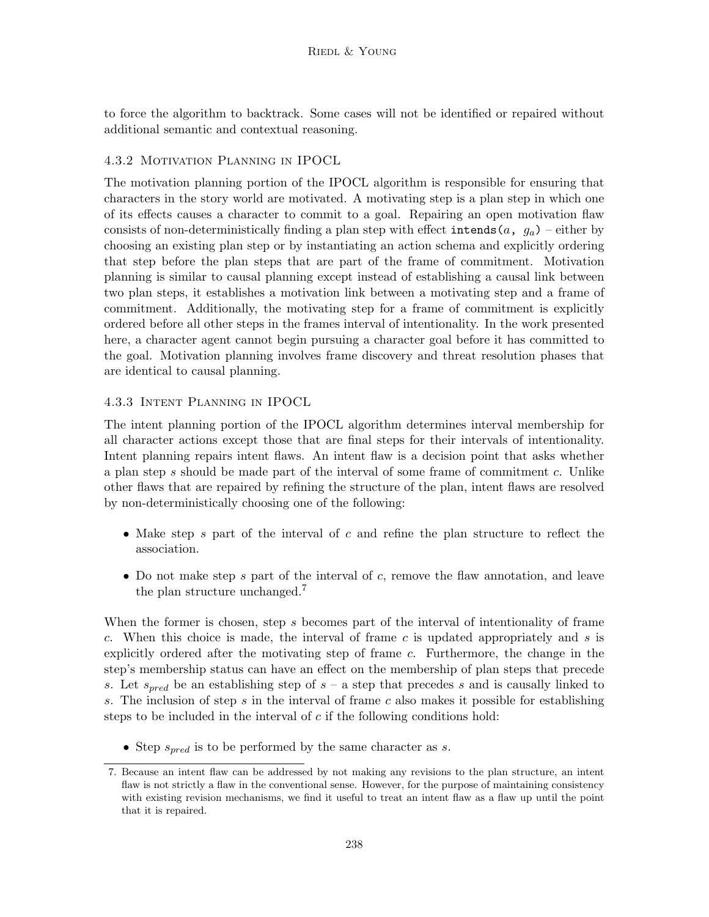to force the algorithm to backtrack. Some cases will not be identified or repaired without additional semantic and contextual reasoning.

### 4.3.2 Motivation Planning in IPOCL

The motivation planning portion of the IPOCL algorithm is responsible for ensuring that characters in the story world are motivated. A motivating step is a plan step in which one of its effects causes a character to commit to a goal. Repairing an open motivation flaw consists of non-deterministically finding a plan step with effect intends  $(a, g_a)$  – either by choosing an existing plan step or by instantiating an action schema and explicitly ordering that step before the plan steps that are part of the frame of commitment. Motivation planning is similar to causal planning except instead of establishing a causal link between two plan steps, it establishes a motivation link between a motivating step and a frame of commitment. Additionally, the motivating step for a frame of commitment is explicitly ordered before all other steps in the frames interval of intentionality. In the work presented here, a character agent cannot begin pursuing a character goal before it has committed to the goal. Motivation planning involves frame discovery and threat resolution phases that are identical to causal planning.

## 4.3.3 Intent Planning in IPOCL

The intent planning portion of the IPOCL algorithm determines interval membership for all character actions except those that are final steps for their intervals of intentionality. Intent planning repairs intent flaws. An intent flaw is a decision point that asks whether a plan step s should be made part of the interval of some frame of commitment c. Unlike other flaws that are repaired by refining the structure of the plan, intent flaws are resolved by non-deterministically choosing one of the following:

- Make step s part of the interval of c and refine the plan structure to reflect the association.
- Do not make step s part of the interval of c, remove the flaw annotation, and leave the plan structure unchanged.<sup>7</sup>

When the former is chosen, step s becomes part of the interval of intentionality of frame c. When this choice is made, the interval of frame c is updated appropriately and s is explicitly ordered after the motivating step of frame c. Furthermore, the change in the step's membership status can have an effect on the membership of plan steps that precede s. Let  $s_{pred}$  be an establishing step of  $s - a$  step that precedes s and is causally linked to s. The inclusion of step s in the interval of frame c also makes it possible for establishing steps to be included in the interval of  $c$  if the following conditions hold:

• Step  $s_{pred}$  is to be performed by the same character as s.

<sup>7.</sup> Because an intent flaw can be addressed by not making any revisions to the plan structure, an intent flaw is not strictly a flaw in the conventional sense. However, for the purpose of maintaining consistency with existing revision mechanisms, we find it useful to treat an intent flaw as a flaw up until the point that it is repaired.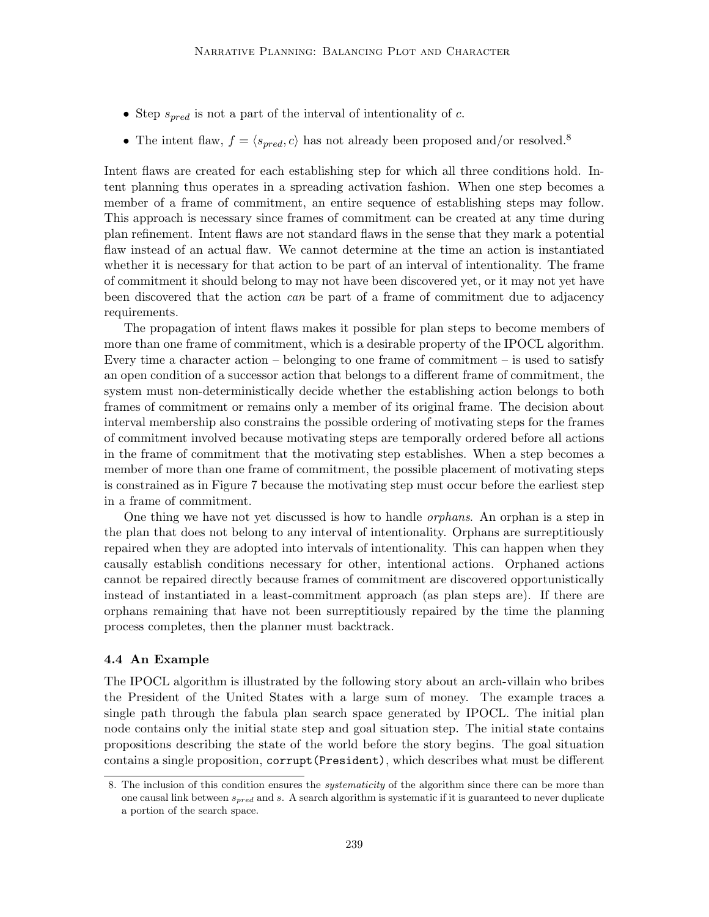- Step  $s_{pred}$  is not a part of the interval of intentionality of c.
- The intent flaw,  $f = \langle s_{pred}, c \rangle$  has not already been proposed and/or resolved.<sup>8</sup>

Intent flaws are created for each establishing step for which all three conditions hold. Intent planning thus operates in a spreading activation fashion. When one step becomes a member of a frame of commitment, an entire sequence of establishing steps may follow. This approach is necessary since frames of commitment can be created at any time during plan refinement. Intent flaws are not standard flaws in the sense that they mark a potential flaw instead of an actual flaw. We cannot determine at the time an action is instantiated whether it is necessary for that action to be part of an interval of intentionality. The frame of commitment it should belong to may not have been discovered yet, or it may not yet have been discovered that the action can be part of a frame of commitment due to adjacency requirements.

The propagation of intent flaws makes it possible for plan steps to become members of more than one frame of commitment, which is a desirable property of the IPOCL algorithm. Every time a character action – belonging to one frame of commitment – is used to satisfy an open condition of a successor action that belongs to a different frame of commitment, the system must non-deterministically decide whether the establishing action belongs to both frames of commitment or remains only a member of its original frame. The decision about interval membership also constrains the possible ordering of motivating steps for the frames of commitment involved because motivating steps are temporally ordered before all actions in the frame of commitment that the motivating step establishes. When a step becomes a member of more than one frame of commitment, the possible placement of motivating steps is constrained as in Figure 7 because the motivating step must occur before the earliest step in a frame of commitment.

One thing we have not yet discussed is how to handle orphans. An orphan is a step in the plan that does not belong to any interval of intentionality. Orphans are surreptitiously repaired when they are adopted into intervals of intentionality. This can happen when they causally establish conditions necessary for other, intentional actions. Orphaned actions cannot be repaired directly because frames of commitment are discovered opportunistically instead of instantiated in a least-commitment approach (as plan steps are). If there are orphans remaining that have not been surreptitiously repaired by the time the planning process completes, then the planner must backtrack.

#### 4.4 An Example

The IPOCL algorithm is illustrated by the following story about an arch-villain who bribes the President of the United States with a large sum of money. The example traces a single path through the fabula plan search space generated by IPOCL. The initial plan node contains only the initial state step and goal situation step. The initial state contains propositions describing the state of the world before the story begins. The goal situation contains a single proposition, corrupt(President), which describes what must be different

<sup>8.</sup> The inclusion of this condition ensures the systematicity of the algorithm since there can be more than one causal link between  $s_{pred}$  and s. A search algorithm is systematic if it is guaranteed to never duplicate a portion of the search space.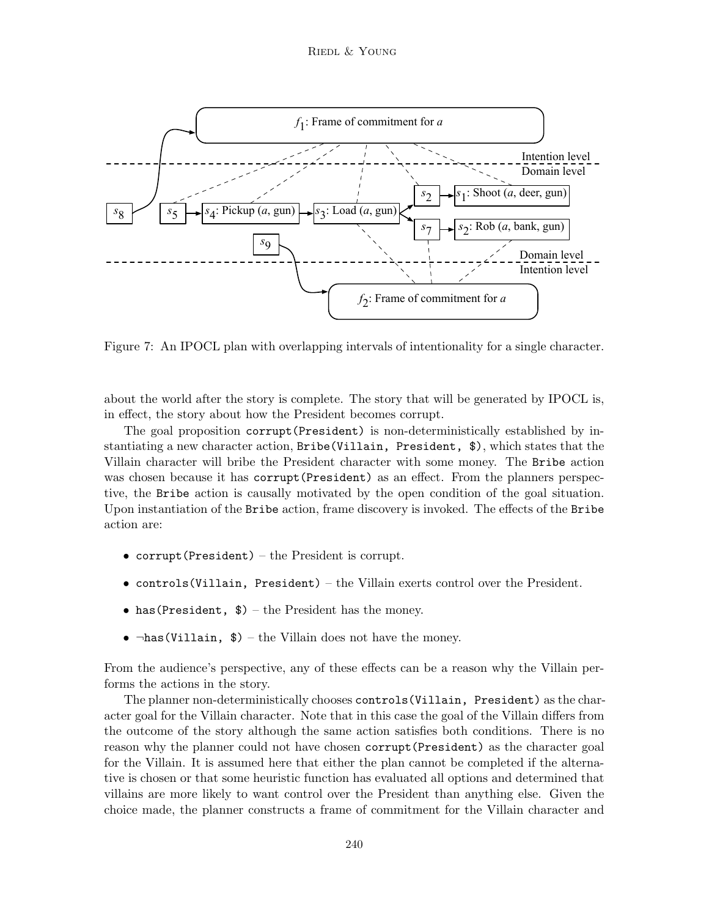

Figure 7: An IPOCL plan with overlapping intervals of intentionality for a single character.

about the world after the story is complete. The story that will be generated by IPOCL is, in effect, the story about how the President becomes corrupt.

The goal proposition corrupt(President) is non-deterministically established by instantiating a new character action, Bribe(Villain, President, \$), which states that the Villain character will bribe the President character with some money. The Bribe action was chosen because it has corrupt (President) as an effect. From the planners perspective, the Bribe action is causally motivated by the open condition of the goal situation. Upon instantiation of the Bribe action, frame discovery is invoked. The effects of the Bribe action are:

- corrupt(President) the President is corrupt.
- controls(Villain, President) the Villain exerts control over the President.
- has (President,  $\hat{\boldsymbol{\theta}}$ ) the President has the money.
- $\neg$ has(Villain, \$) the Villain does not have the money.

From the audience's perspective, any of these effects can be a reason why the Villain performs the actions in the story.

The planner non-deterministically chooses controls(Villain, President) as the character goal for the Villain character. Note that in this case the goal of the Villain differs from the outcome of the story although the same action satisfies both conditions. There is no reason why the planner could not have chosen corrupt(President) as the character goal for the Villain. It is assumed here that either the plan cannot be completed if the alternative is chosen or that some heuristic function has evaluated all options and determined that villains are more likely to want control over the President than anything else. Given the choice made, the planner constructs a frame of commitment for the Villain character and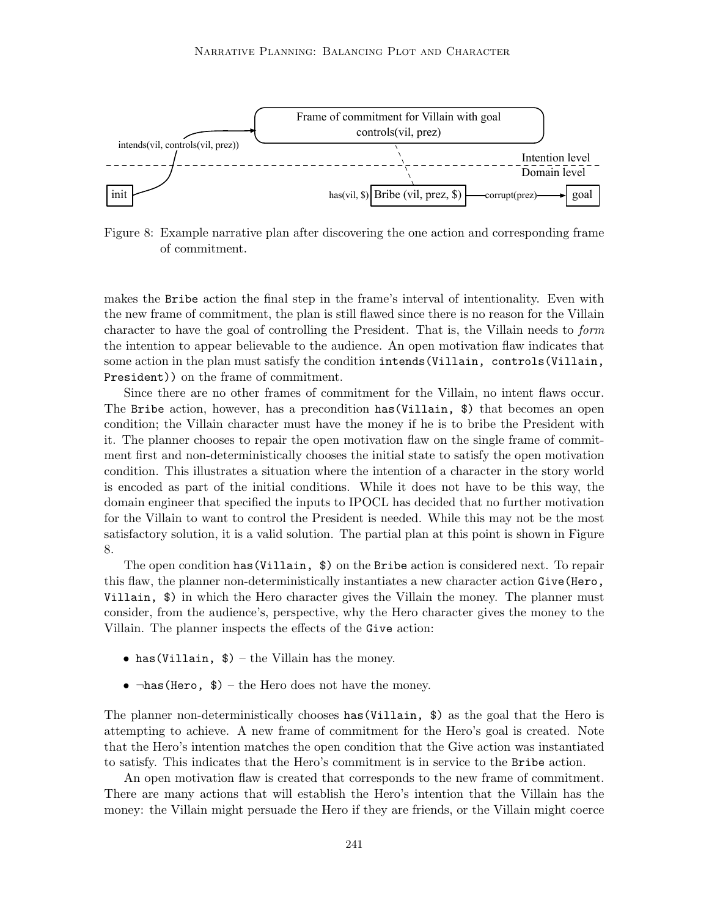

Figure 8: Example narrative plan after discovering the one action and corresponding frame of commitment.

makes the Bribe action the final step in the frame's interval of intentionality. Even with the new frame of commitment, the plan is still flawed since there is no reason for the Villain character to have the goal of controlling the President. That is, the Villain needs to form the intention to appear believable to the audience. An open motivation flaw indicates that some action in the plan must satisfy the condition intends (Villain, controls (Villain, President)) on the frame of commitment.

Since there are no other frames of commitment for the Villain, no intent flaws occur. The Bribe action, however, has a precondition has(Villain, \$) that becomes an open condition; the Villain character must have the money if he is to bribe the President with it. The planner chooses to repair the open motivation flaw on the single frame of commitment first and non-deterministically chooses the initial state to satisfy the open motivation condition. This illustrates a situation where the intention of a character in the story world is encoded as part of the initial conditions. While it does not have to be this way, the domain engineer that specified the inputs to IPOCL has decided that no further motivation for the Villain to want to control the President is needed. While this may not be the most satisfactory solution, it is a valid solution. The partial plan at this point is shown in Figure 8.

The open condition has(Villain, \$) on the Bribe action is considered next. To repair this flaw, the planner non-deterministically instantiates a new character action Give(Hero, Villain, \$) in which the Hero character gives the Villain the money. The planner must consider, from the audience's, perspective, why the Hero character gives the money to the Villain. The planner inspects the effects of the Give action:

- has (Villain,  $\phi$ ) the Villain has the money.
- $\neg$ has(Hero, \$) the Hero does not have the money.

The planner non-deterministically chooses has(Villain, \$) as the goal that the Hero is attempting to achieve. A new frame of commitment for the Hero's goal is created. Note that the Hero's intention matches the open condition that the Give action was instantiated to satisfy. This indicates that the Hero's commitment is in service to the Bribe action.

An open motivation flaw is created that corresponds to the new frame of commitment. There are many actions that will establish the Hero's intention that the Villain has the money: the Villain might persuade the Hero if they are friends, or the Villain might coerce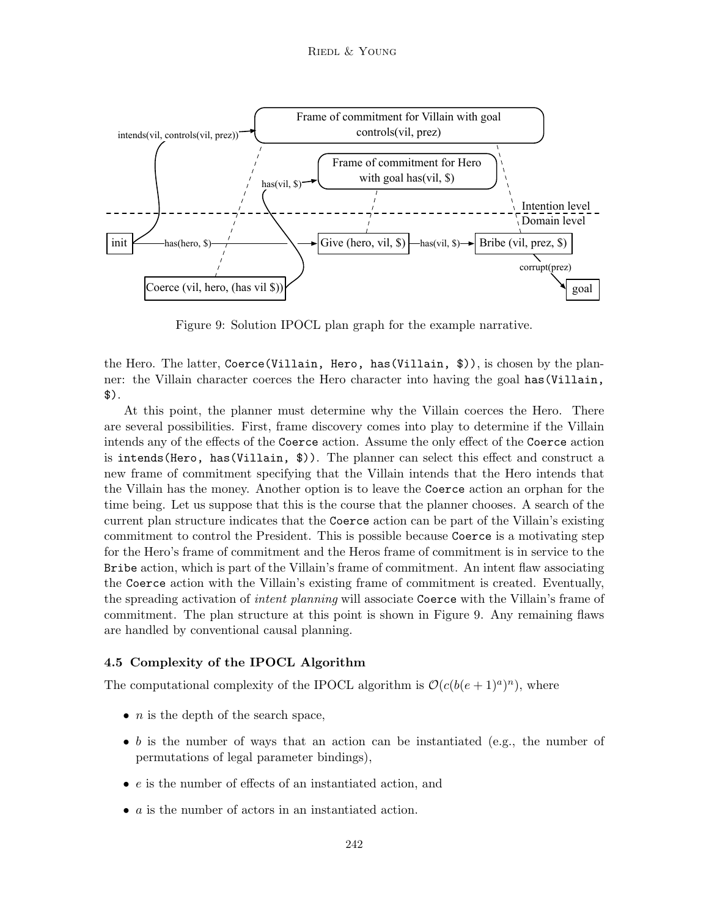

Figure 9: Solution IPOCL plan graph for the example narrative.

the Hero. The latter, Coerce(Villain, Hero, has(Villain, \$)), is chosen by the planner: the Villain character coerces the Hero character into having the goal has (Villain, \$).

At this point, the planner must determine why the Villain coerces the Hero. There are several possibilities. First, frame discovery comes into play to determine if the Villain intends any of the effects of the Coerce action. Assume the only effect of the Coerce action is intends(Hero, has(Villain, \$)). The planner can select this effect and construct a new frame of commitment specifying that the Villain intends that the Hero intends that the Villain has the money. Another option is to leave the Coerce action an orphan for the time being. Let us suppose that this is the course that the planner chooses. A search of the current plan structure indicates that the Coerce action can be part of the Villain's existing commitment to control the President. This is possible because Coerce is a motivating step for the Hero's frame of commitment and the Heros frame of commitment is in service to the Bribe action, which is part of the Villain's frame of commitment. An intent flaw associating the Coerce action with the Villain's existing frame of commitment is created. Eventually, the spreading activation of *intent planning* will associate Coerce with the Villain's frame of commitment. The plan structure at this point is shown in Figure 9. Any remaining flaws are handled by conventional causal planning.

### 4.5 Complexity of the IPOCL Algorithm

The computational complexity of the IPOCL algorithm is  $\mathcal{O}(c(b(e+1)^a)^n)$ , where

- $n$  is the depth of the search space,
- b is the number of ways that an action can be instantiated (e.g., the number of permutations of legal parameter bindings),
- e is the number of effects of an instantiated action, and
- *a* is the number of actors in an instantiated action.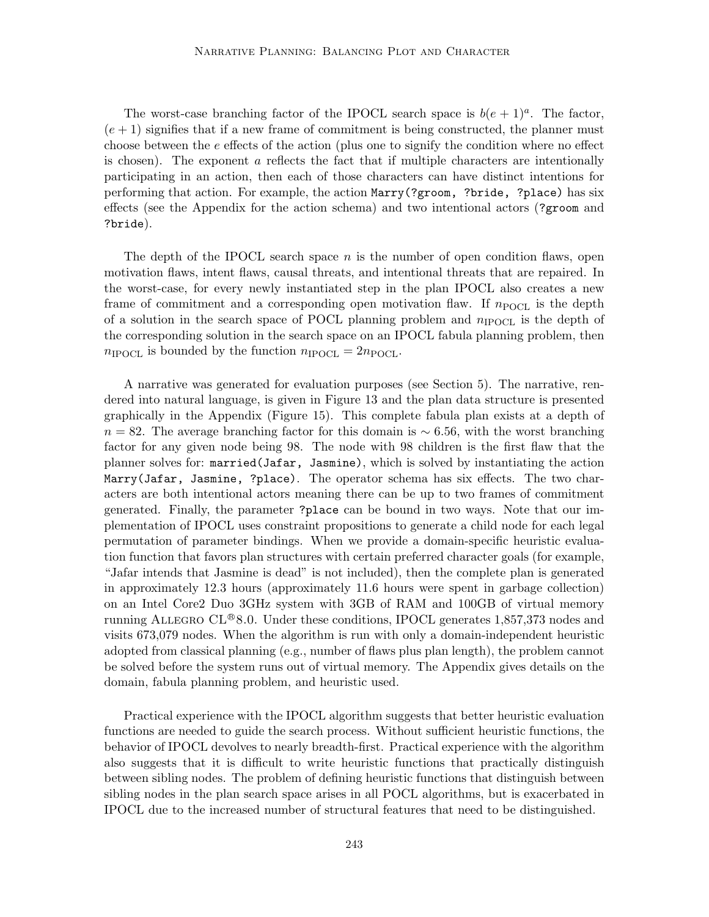The worst-case branching factor of the IPOCL search space is  $b(e + 1)^a$ . The factor,  $(e + 1)$  signifies that if a new frame of commitment is being constructed, the planner must choose between the  $e$  effects of the action (plus one to signify the condition where no effect is chosen). The exponent  $\alpha$  reflects the fact that if multiple characters are intentionally participating in an action, then each of those characters can have distinct intentions for performing that action. For example, the action Marry(?groom, ?bride, ?place) has six effects (see the Appendix for the action schema) and two intentional actors (?groom and ?bride).

The depth of the IPOCL search space  $n$  is the number of open condition flaws, open motivation flaws, intent flaws, causal threats, and intentional threats that are repaired. In the worst-case, for every newly instantiated step in the plan IPOCL also creates a new frame of commitment and a corresponding open motivation flaw. If  $n_{\text{POCL}}$  is the depth of a solution in the search space of POCL planning problem and  $n_{\text{IPOCL}}$  is the depth of the corresponding solution in the search space on an IPOCL fabula planning problem, then  $n_{\text{IPOCL}}$  is bounded by the function  $n_{\text{IPOCL}} = 2n_{\text{POCL}}$ .

A narrative was generated for evaluation purposes (see Section 5). The narrative, rendered into natural language, is given in Figure 13 and the plan data structure is presented graphically in the Appendix (Figure 15). This complete fabula plan exists at a depth of  $n = 82$ . The average branching factor for this domain is ~ 6.56, with the worst branching factor for any given node being 98. The node with 98 children is the first flaw that the planner solves for: married(Jafar, Jasmine), which is solved by instantiating the action Marry(Jafar, Jasmine, ?place). The operator schema has six effects. The two characters are both intentional actors meaning there can be up to two frames of commitment generated. Finally, the parameter ?place can be bound in two ways. Note that our implementation of IPOCL uses constraint propositions to generate a child node for each legal permutation of parameter bindings. When we provide a domain-specific heuristic evaluation function that favors plan structures with certain preferred character goals (for example, "Jafar intends that Jasmine is dead" is not included), then the complete plan is generated in approximately 12.3 hours (approximately 11.6 hours were spent in garbage collection) on an Intel Core2 Duo 3GHz system with 3GB of RAM and 100GB of virtual memory running ALLEGRO CL<sup>®</sup>8.0. Under these conditions, IPOCL generates 1,857,373 nodes and visits 673,079 nodes. When the algorithm is run with only a domain-independent heuristic adopted from classical planning (e.g., number of flaws plus plan length), the problem cannot be solved before the system runs out of virtual memory. The Appendix gives details on the domain, fabula planning problem, and heuristic used.

Practical experience with the IPOCL algorithm suggests that better heuristic evaluation functions are needed to guide the search process. Without sufficient heuristic functions, the behavior of IPOCL devolves to nearly breadth-first. Practical experience with the algorithm also suggests that it is difficult to write heuristic functions that practically distinguish between sibling nodes. The problem of defining heuristic functions that distinguish between sibling nodes in the plan search space arises in all POCL algorithms, but is exacerbated in IPOCL due to the increased number of structural features that need to be distinguished.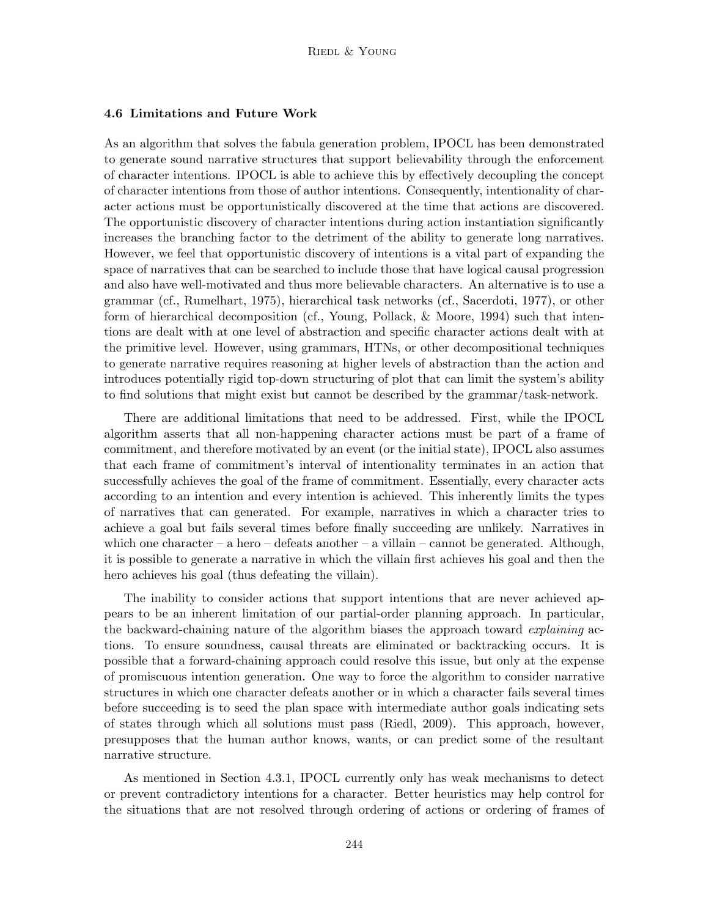### 4.6 Limitations and Future Work

As an algorithm that solves the fabula generation problem, IPOCL has been demonstrated to generate sound narrative structures that support believability through the enforcement of character intentions. IPOCL is able to achieve this by effectively decoupling the concept of character intentions from those of author intentions. Consequently, intentionality of character actions must be opportunistically discovered at the time that actions are discovered. The opportunistic discovery of character intentions during action instantiation significantly increases the branching factor to the detriment of the ability to generate long narratives. However, we feel that opportunistic discovery of intentions is a vital part of expanding the space of narratives that can be searched to include those that have logical causal progression and also have well-motivated and thus more believable characters. An alternative is to use a grammar (cf., Rumelhart, 1975), hierarchical task networks (cf., Sacerdoti, 1977), or other form of hierarchical decomposition (cf., Young, Pollack, & Moore, 1994) such that intentions are dealt with at one level of abstraction and specific character actions dealt with at the primitive level. However, using grammars, HTNs, or other decompositional techniques to generate narrative requires reasoning at higher levels of abstraction than the action and introduces potentially rigid top-down structuring of plot that can limit the system's ability to find solutions that might exist but cannot be described by the grammar/task-network.

There are additional limitations that need to be addressed. First, while the IPOCL algorithm asserts that all non-happening character actions must be part of a frame of commitment, and therefore motivated by an event (or the initial state), IPOCL also assumes that each frame of commitment's interval of intentionality terminates in an action that successfully achieves the goal of the frame of commitment. Essentially, every character acts according to an intention and every intention is achieved. This inherently limits the types of narratives that can generated. For example, narratives in which a character tries to achieve a goal but fails several times before finally succeeding are unlikely. Narratives in which one character – a hero – defeats another – a villain – cannot be generated. Although, it is possible to generate a narrative in which the villain first achieves his goal and then the hero achieves his goal (thus defeating the villain).

The inability to consider actions that support intentions that are never achieved appears to be an inherent limitation of our partial-order planning approach. In particular, the backward-chaining nature of the algorithm biases the approach toward *explaining* actions. To ensure soundness, causal threats are eliminated or backtracking occurs. It is possible that a forward-chaining approach could resolve this issue, but only at the expense of promiscuous intention generation. One way to force the algorithm to consider narrative structures in which one character defeats another or in which a character fails several times before succeeding is to seed the plan space with intermediate author goals indicating sets of states through which all solutions must pass (Riedl, 2009). This approach, however, presupposes that the human author knows, wants, or can predict some of the resultant narrative structure.

As mentioned in Section 4.3.1, IPOCL currently only has weak mechanisms to detect or prevent contradictory intentions for a character. Better heuristics may help control for the situations that are not resolved through ordering of actions or ordering of frames of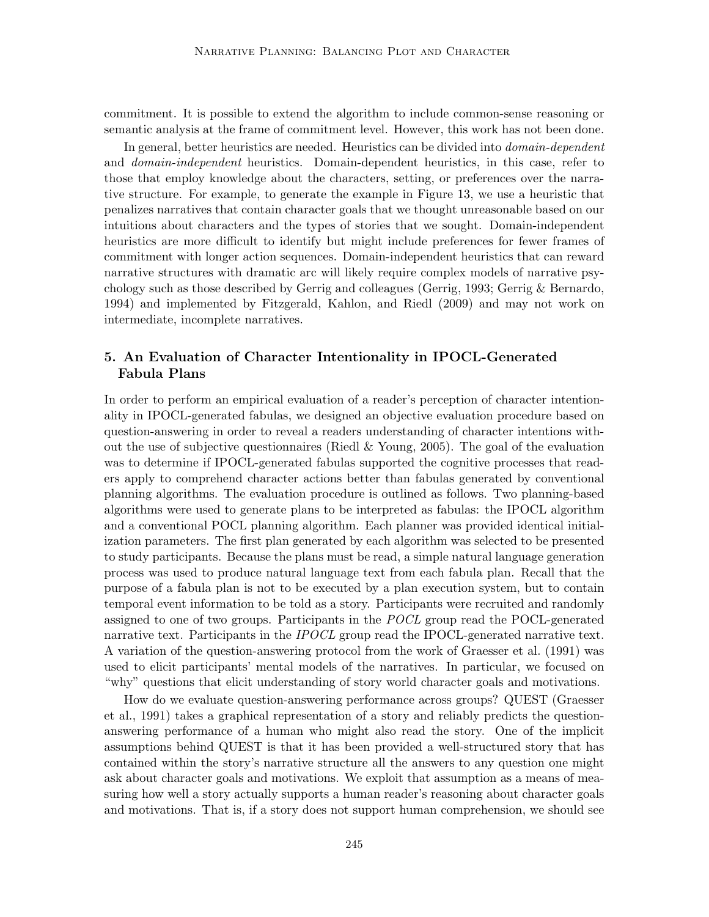commitment. It is possible to extend the algorithm to include common-sense reasoning or semantic analysis at the frame of commitment level. However, this work has not been done.

In general, better heuristics are needed. Heuristics can be divided into domain-dependent and domain-independent heuristics. Domain-dependent heuristics, in this case, refer to those that employ knowledge about the characters, setting, or preferences over the narrative structure. For example, to generate the example in Figure 13, we use a heuristic that penalizes narratives that contain character goals that we thought unreasonable based on our intuitions about characters and the types of stories that we sought. Domain-independent heuristics are more difficult to identify but might include preferences for fewer frames of commitment with longer action sequences. Domain-independent heuristics that can reward narrative structures with dramatic arc will likely require complex models of narrative psychology such as those described by Gerrig and colleagues (Gerrig, 1993; Gerrig & Bernardo, 1994) and implemented by Fitzgerald, Kahlon, and Riedl (2009) and may not work on intermediate, incomplete narratives.

# 5. An Evaluation of Character Intentionality in IPOCL-Generated Fabula Plans

In order to perform an empirical evaluation of a reader's perception of character intentionality in IPOCL-generated fabulas, we designed an objective evaluation procedure based on question-answering in order to reveal a readers understanding of character intentions without the use of subjective questionnaires (Riedl  $&$  Young, 2005). The goal of the evaluation was to determine if IPOCL-generated fabulas supported the cognitive processes that readers apply to comprehend character actions better than fabulas generated by conventional planning algorithms. The evaluation procedure is outlined as follows. Two planning-based algorithms were used to generate plans to be interpreted as fabulas: the IPOCL algorithm and a conventional POCL planning algorithm. Each planner was provided identical initialization parameters. The first plan generated by each algorithm was selected to be presented to study participants. Because the plans must be read, a simple natural language generation process was used to produce natural language text from each fabula plan. Recall that the purpose of a fabula plan is not to be executed by a plan execution system, but to contain temporal event information to be told as a story. Participants were recruited and randomly assigned to one of two groups. Participants in the POCL group read the POCL-generated narrative text. Participants in the *IPOCL* group read the IPOCL-generated narrative text. A variation of the question-answering protocol from the work of Graesser et al. (1991) was used to elicit participants' mental models of the narratives. In particular, we focused on "why" questions that elicit understanding of story world character goals and motivations.

How do we evaluate question-answering performance across groups? QUEST (Graesser et al., 1991) takes a graphical representation of a story and reliably predicts the questionanswering performance of a human who might also read the story. One of the implicit assumptions behind QUEST is that it has been provided a well-structured story that has contained within the story's narrative structure all the answers to any question one might ask about character goals and motivations. We exploit that assumption as a means of measuring how well a story actually supports a human reader's reasoning about character goals and motivations. That is, if a story does not support human comprehension, we should see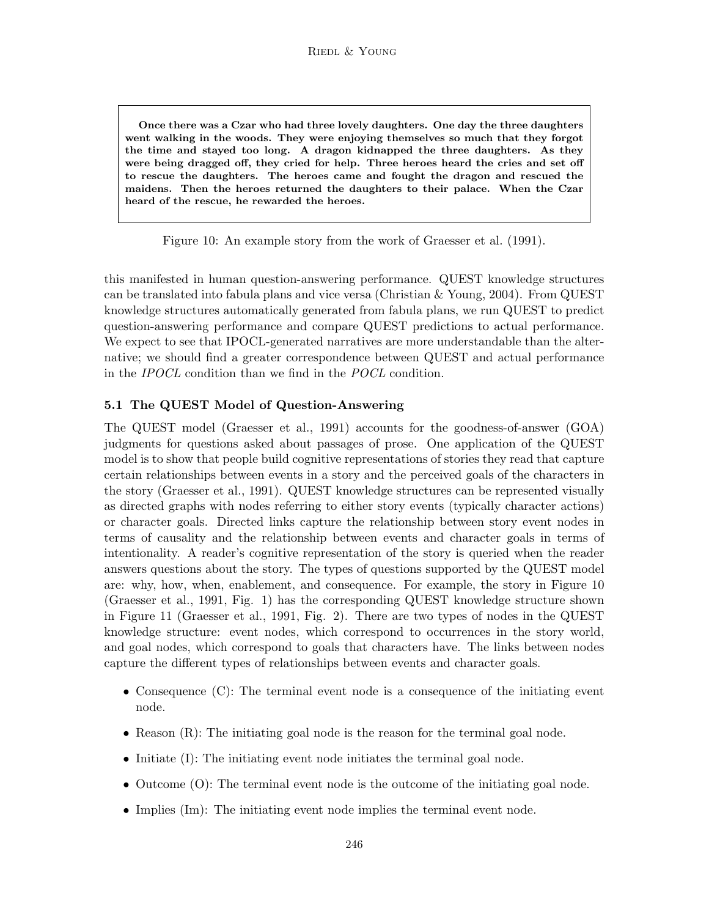Once there was a Czar who had three lovely daughters. One day the three daughters went walking in the woods. They were enjoying themselves so much that they forgot the time and stayed too long. A dragon kidnapped the three daughters. As they were being dragged off, they cried for help. Three heroes heard the cries and set off to rescue the daughters. The heroes came and fought the dragon and rescued the maidens. Then the heroes returned the daughters to their palace. When the Czar heard of the rescue, he rewarded the heroes.

Figure 10: An example story from the work of Graesser et al. (1991).

this manifested in human question-answering performance. QUEST knowledge structures can be translated into fabula plans and vice versa (Christian & Young, 2004). From QUEST knowledge structures automatically generated from fabula plans, we run QUEST to predict question-answering performance and compare QUEST predictions to actual performance. We expect to see that IPOCL-generated narratives are more understandable than the alternative; we should find a greater correspondence between QUEST and actual performance in the IPOCL condition than we find in the POCL condition.

# 5.1 The QUEST Model of Question-Answering

The QUEST model (Graesser et al., 1991) accounts for the goodness-of-answer (GOA) judgments for questions asked about passages of prose. One application of the QUEST model is to show that people build cognitive representations of stories they read that capture certain relationships between events in a story and the perceived goals of the characters in the story (Graesser et al., 1991). QUEST knowledge structures can be represented visually as directed graphs with nodes referring to either story events (typically character actions) or character goals. Directed links capture the relationship between story event nodes in terms of causality and the relationship between events and character goals in terms of intentionality. A reader's cognitive representation of the story is queried when the reader answers questions about the story. The types of questions supported by the QUEST model are: why, how, when, enablement, and consequence. For example, the story in Figure 10 (Graesser et al., 1991, Fig. 1) has the corresponding QUEST knowledge structure shown in Figure 11 (Graesser et al., 1991, Fig. 2). There are two types of nodes in the QUEST knowledge structure: event nodes, which correspond to occurrences in the story world, and goal nodes, which correspond to goals that characters have. The links between nodes capture the different types of relationships between events and character goals.

- Consequence (C): The terminal event node is a consequence of the initiating event node.
- Reason  $(R)$ : The initiating goal node is the reason for the terminal goal node.
- Initiate (I): The initiating event node initiates the terminal goal node.
- Outcome (O): The terminal event node is the outcome of the initiating goal node.
- Implies (Im): The initiating event node implies the terminal event node.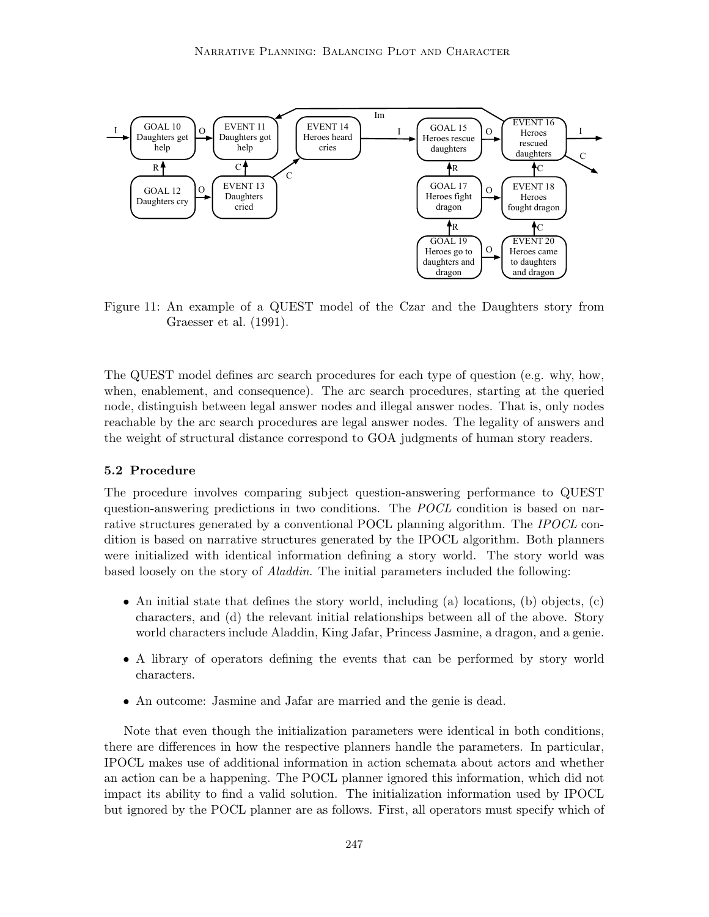

Figure 11: An example of a QUEST model of the Czar and the Daughters story from Graesser et al. (1991).

The QUEST model defines arc search procedures for each type of question (e.g. why, how, when, enablement, and consequence). The arc search procedures, starting at the queried node, distinguish between legal answer nodes and illegal answer nodes. That is, only nodes reachable by the arc search procedures are legal answer nodes. The legality of answers and the weight of structural distance correspond to GOA judgments of human story readers.

#### 5.2 Procedure

The procedure involves comparing subject question-answering performance to QUEST question-answering predictions in two conditions. The POCL condition is based on narrative structures generated by a conventional POCL planning algorithm. The IPOCL condition is based on narrative structures generated by the IPOCL algorithm. Both planners were initialized with identical information defining a story world. The story world was based loosely on the story of Aladdin. The initial parameters included the following:

- An initial state that defines the story world, including (a) locations, (b) objects, (c) characters, and (d) the relevant initial relationships between all of the above. Story world characters include Aladdin, King Jafar, Princess Jasmine, a dragon, and a genie.
- A library of operators defining the events that can be performed by story world characters.
- An outcome: Jasmine and Jafar are married and the genie is dead.

Note that even though the initialization parameters were identical in both conditions, there are differences in how the respective planners handle the parameters. In particular, IPOCL makes use of additional information in action schemata about actors and whether an action can be a happening. The POCL planner ignored this information, which did not impact its ability to find a valid solution. The initialization information used by IPOCL but ignored by the POCL planner are as follows. First, all operators must specify which of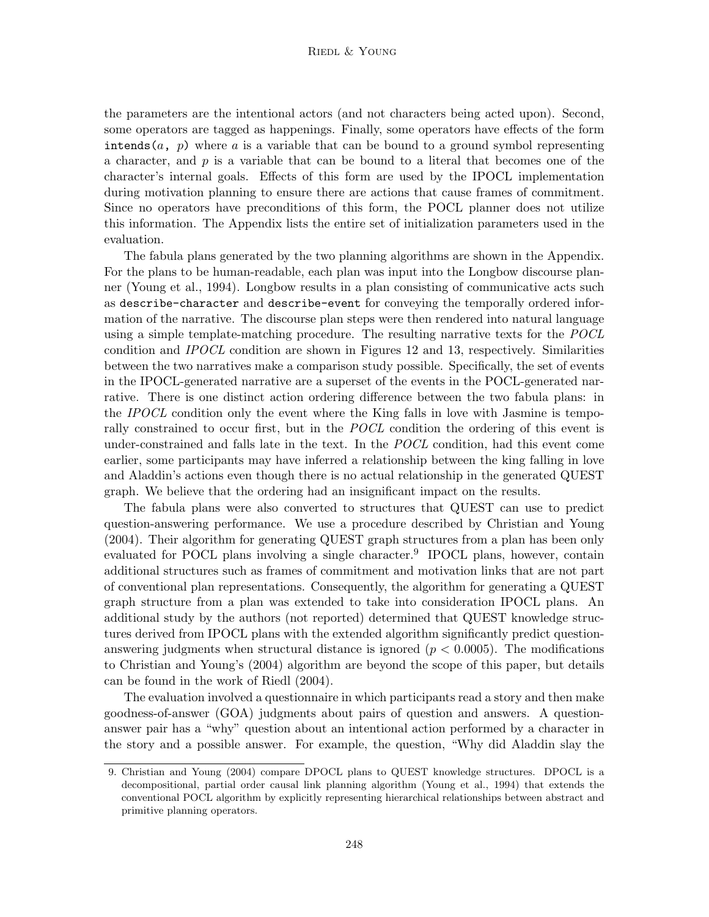the parameters are the intentional actors (and not characters being acted upon). Second, some operators are tagged as happenings. Finally, some operators have effects of the form intends  $(a, p)$  where a is a variable that can be bound to a ground symbol representing a character, and  $p$  is a variable that can be bound to a literal that becomes one of the character's internal goals. Effects of this form are used by the IPOCL implementation during motivation planning to ensure there are actions that cause frames of commitment. Since no operators have preconditions of this form, the POCL planner does not utilize this information. The Appendix lists the entire set of initialization parameters used in the evaluation.

The fabula plans generated by the two planning algorithms are shown in the Appendix. For the plans to be human-readable, each plan was input into the Longbow discourse planner (Young et al., 1994). Longbow results in a plan consisting of communicative acts such as describe-character and describe-event for conveying the temporally ordered information of the narrative. The discourse plan steps were then rendered into natural language using a simple template-matching procedure. The resulting narrative texts for the POCL condition and IPOCL condition are shown in Figures 12 and 13, respectively. Similarities between the two narratives make a comparison study possible. Specifically, the set of events in the IPOCL-generated narrative are a superset of the events in the POCL-generated narrative. There is one distinct action ordering difference between the two fabula plans: in the IPOCL condition only the event where the King falls in love with Jasmine is temporally constrained to occur first, but in the *POCL* condition the ordering of this event is under-constrained and falls late in the text. In the POCL condition, had this event come earlier, some participants may have inferred a relationship between the king falling in love and Aladdin's actions even though there is no actual relationship in the generated QUEST graph. We believe that the ordering had an insignificant impact on the results.

The fabula plans were also converted to structures that QUEST can use to predict question-answering performance. We use a procedure described by Christian and Young (2004). Their algorithm for generating QUEST graph structures from a plan has been only evaluated for POCL plans involving a single character.<sup>9</sup> IPOCL plans, however, contain additional structures such as frames of commitment and motivation links that are not part of conventional plan representations. Consequently, the algorithm for generating a QUEST graph structure from a plan was extended to take into consideration IPOCL plans. An additional study by the authors (not reported) determined that QUEST knowledge structures derived from IPOCL plans with the extended algorithm significantly predict questionanswering judgments when structural distance is ignored ( $p < 0.0005$ ). The modifications to Christian and Young's (2004) algorithm are beyond the scope of this paper, but details can be found in the work of Riedl (2004).

The evaluation involved a questionnaire in which participants read a story and then make goodness-of-answer (GOA) judgments about pairs of question and answers. A questionanswer pair has a "why" question about an intentional action performed by a character in the story and a possible answer. For example, the question, "Why did Aladdin slay the

<sup>9.</sup> Christian and Young (2004) compare DPOCL plans to QUEST knowledge structures. DPOCL is a decompositional, partial order causal link planning algorithm (Young et al., 1994) that extends the conventional POCL algorithm by explicitly representing hierarchical relationships between abstract and primitive planning operators.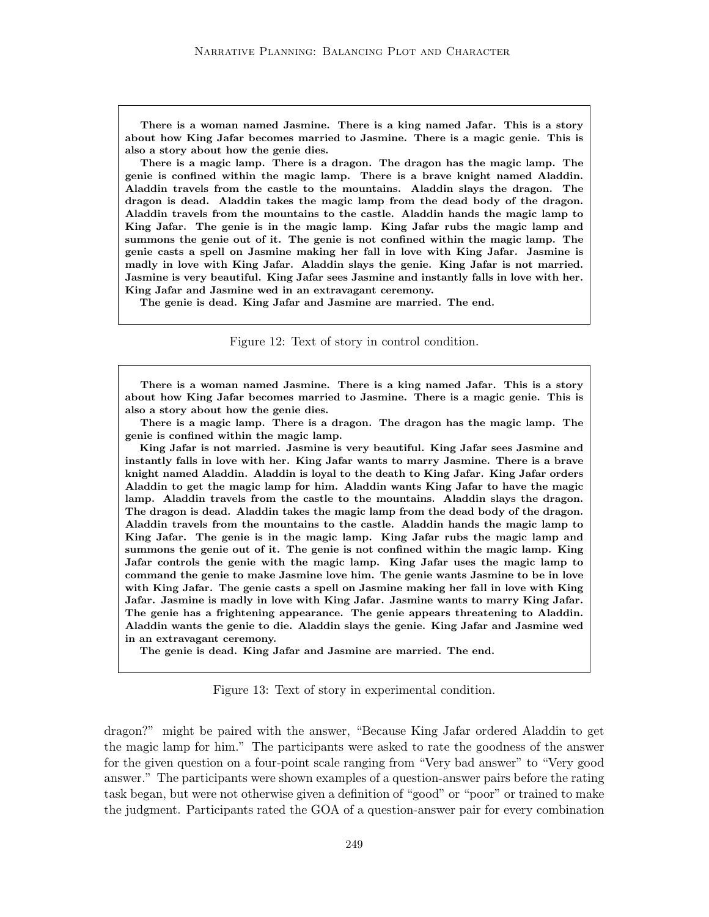There is a woman named Jasmine. There is a king named Jafar. This is a story about how King Jafar becomes married to Jasmine. There is a magic genie. This is also a story about how the genie dies.

There is a magic lamp. There is a dragon. The dragon has the magic lamp. The genie is confined within the magic lamp. There is a brave knight named Aladdin. Aladdin travels from the castle to the mountains. Aladdin slays the dragon. The dragon is dead. Aladdin takes the magic lamp from the dead body of the dragon. Aladdin travels from the mountains to the castle. Aladdin hands the magic lamp to King Jafar. The genie is in the magic lamp. King Jafar rubs the magic lamp and summons the genie out of it. The genie is not confined within the magic lamp. The genie casts a spell on Jasmine making her fall in love with King Jafar. Jasmine is madly in love with King Jafar. Aladdin slays the genie. King Jafar is not married. Jasmine is very beautiful. King Jafar sees Jasmine and instantly falls in love with her. King Jafar and Jasmine wed in an extravagant ceremony.

The genie is dead. King Jafar and Jasmine are married. The end.

Figure 12: Text of story in control condition.

There is a woman named Jasmine. There is a king named Jafar. This is a story about how King Jafar becomes married to Jasmine. There is a magic genie. This is also a story about how the genie dies.

There is a magic lamp. There is a dragon. The dragon has the magic lamp. The genie is confined within the magic lamp.

King Jafar is not married. Jasmine is very beautiful. King Jafar sees Jasmine and instantly falls in love with her. King Jafar wants to marry Jasmine. There is a brave knight named Aladdin. Aladdin is loyal to the death to King Jafar. King Jafar orders Aladdin to get the magic lamp for him. Aladdin wants King Jafar to have the magic lamp. Aladdin travels from the castle to the mountains. Aladdin slays the dragon. The dragon is dead. Aladdin takes the magic lamp from the dead body of the dragon. Aladdin travels from the mountains to the castle. Aladdin hands the magic lamp to King Jafar. The genie is in the magic lamp. King Jafar rubs the magic lamp and summons the genie out of it. The genie is not confined within the magic lamp. King Jafar controls the genie with the magic lamp. King Jafar uses the magic lamp to command the genie to make Jasmine love him. The genie wants Jasmine to be in love with King Jafar. The genie casts a spell on Jasmine making her fall in love with King Jafar. Jasmine is madly in love with King Jafar. Jasmine wants to marry King Jafar. The genie has a frightening appearance. The genie appears threatening to Aladdin. Aladdin wants the genie to die. Aladdin slays the genie. King Jafar and Jasmine wed in an extravagant ceremony.

The genie is dead. King Jafar and Jasmine are married. The end.

Figure 13: Text of story in experimental condition.

dragon?" might be paired with the answer, "Because King Jafar ordered Aladdin to get the magic lamp for him." The participants were asked to rate the goodness of the answer for the given question on a four-point scale ranging from "Very bad answer" to "Very good answer." The participants were shown examples of a question-answer pairs before the rating task began, but were not otherwise given a definition of "good" or "poor" or trained to make the judgment. Participants rated the GOA of a question-answer pair for every combination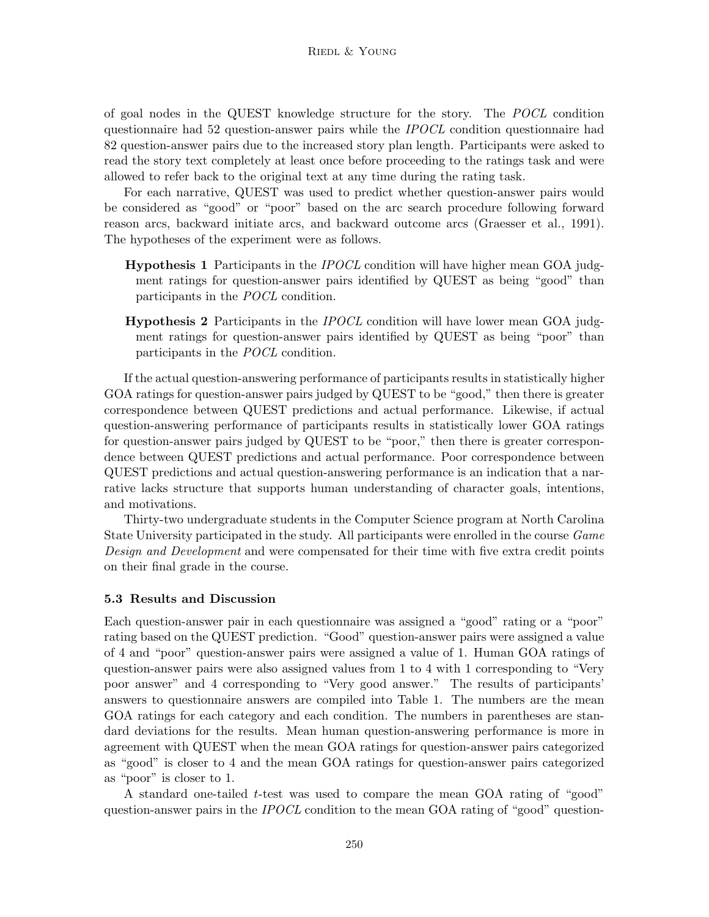of goal nodes in the QUEST knowledge structure for the story. The POCL condition questionnaire had 52 question-answer pairs while the IPOCL condition questionnaire had 82 question-answer pairs due to the increased story plan length. Participants were asked to read the story text completely at least once before proceeding to the ratings task and were allowed to refer back to the original text at any time during the rating task.

For each narrative, QUEST was used to predict whether question-answer pairs would be considered as "good" or "poor" based on the arc search procedure following forward reason arcs, backward initiate arcs, and backward outcome arcs (Graesser et al., 1991). The hypotheses of the experiment were as follows.

- Hypothesis 1 Participants in the IPOCL condition will have higher mean GOA judgment ratings for question-answer pairs identified by QUEST as being "good" than participants in the POCL condition.
- Hypothesis 2 Participants in the IPOCL condition will have lower mean GOA judgment ratings for question-answer pairs identified by QUEST as being "poor" than participants in the POCL condition.

If the actual question-answering performance of participants results in statistically higher GOA ratings for question-answer pairs judged by QUEST to be "good," then there is greater correspondence between QUEST predictions and actual performance. Likewise, if actual question-answering performance of participants results in statistically lower GOA ratings for question-answer pairs judged by QUEST to be "poor," then there is greater correspondence between QUEST predictions and actual performance. Poor correspondence between QUEST predictions and actual question-answering performance is an indication that a narrative lacks structure that supports human understanding of character goals, intentions, and motivations.

Thirty-two undergraduate students in the Computer Science program at North Carolina State University participated in the study. All participants were enrolled in the course Game Design and Development and were compensated for their time with five extra credit points on their final grade in the course.

### 5.3 Results and Discussion

Each question-answer pair in each questionnaire was assigned a "good" rating or a "poor" rating based on the QUEST prediction. "Good" question-answer pairs were assigned a value of 4 and "poor" question-answer pairs were assigned a value of 1. Human GOA ratings of question-answer pairs were also assigned values from 1 to 4 with 1 corresponding to "Very poor answer" and 4 corresponding to "Very good answer." The results of participants' answers to questionnaire answers are compiled into Table 1. The numbers are the mean GOA ratings for each category and each condition. The numbers in parentheses are standard deviations for the results. Mean human question-answering performance is more in agreement with QUEST when the mean GOA ratings for question-answer pairs categorized as "good" is closer to 4 and the mean GOA ratings for question-answer pairs categorized as "poor" is closer to 1.

A standard one-tailed t-test was used to compare the mean GOA rating of "good" question-answer pairs in the IPOCL condition to the mean GOA rating of "good" question-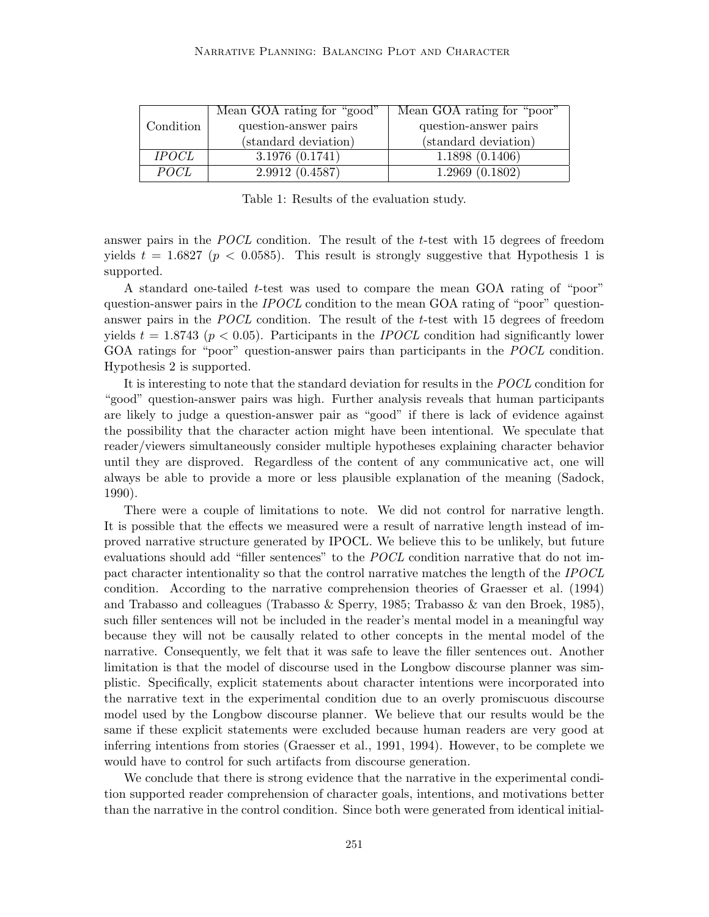|              | Mean GOA rating for "good" | Mean GOA rating for "poor" |
|--------------|----------------------------|----------------------------|
| Condition    | question-answer pairs      | question-answer pairs      |
|              | (standard deviation)       | (standard deviation)       |
| <b>IPOCL</b> | 3.1976(0.1741)             | 1.1898(0.1406)             |
| <i>POCL</i>  | 2.9912 (0.4587)            | 1.2969(0.1802)             |

Table 1: Results of the evaluation study.

answer pairs in the *POCL* condition. The result of the  $t$ -test with 15 degrees of freedom yields  $t = 1.6827$  ( $p < 0.0585$ ). This result is strongly suggestive that Hypothesis 1 is supported.

A standard one-tailed t-test was used to compare the mean GOA rating of "poor" question-answer pairs in the *IPOCL* condition to the mean GOA rating of "poor" questionanswer pairs in the *POCL* condition. The result of the  $t$ -test with 15 degrees of freedom yields  $t = 1.8743$  ( $p < 0.05$ ). Participants in the *IPOCL* condition had significantly lower GOA ratings for "poor" question-answer pairs than participants in the *POCL* condition. Hypothesis 2 is supported.

It is interesting to note that the standard deviation for results in the POCL condition for "good" question-answer pairs was high. Further analysis reveals that human participants are likely to judge a question-answer pair as "good" if there is lack of evidence against the possibility that the character action might have been intentional. We speculate that reader/viewers simultaneously consider multiple hypotheses explaining character behavior until they are disproved. Regardless of the content of any communicative act, one will always be able to provide a more or less plausible explanation of the meaning (Sadock, 1990).

There were a couple of limitations to note. We did not control for narrative length. It is possible that the effects we measured were a result of narrative length instead of improved narrative structure generated by IPOCL. We believe this to be unlikely, but future evaluations should add "filler sentences" to the POCL condition narrative that do not impact character intentionality so that the control narrative matches the length of the IPOCL condition. According to the narrative comprehension theories of Graesser et al. (1994) and Trabasso and colleagues (Trabasso & Sperry, 1985; Trabasso & van den Broek, 1985), such filler sentences will not be included in the reader's mental model in a meaningful way because they will not be causally related to other concepts in the mental model of the narrative. Consequently, we felt that it was safe to leave the filler sentences out. Another limitation is that the model of discourse used in the Longbow discourse planner was simplistic. Specifically, explicit statements about character intentions were incorporated into the narrative text in the experimental condition due to an overly promiscuous discourse model used by the Longbow discourse planner. We believe that our results would be the same if these explicit statements were excluded because human readers are very good at inferring intentions from stories (Graesser et al., 1991, 1994). However, to be complete we would have to control for such artifacts from discourse generation.

We conclude that there is strong evidence that the narrative in the experimental condition supported reader comprehension of character goals, intentions, and motivations better than the narrative in the control condition. Since both were generated from identical initial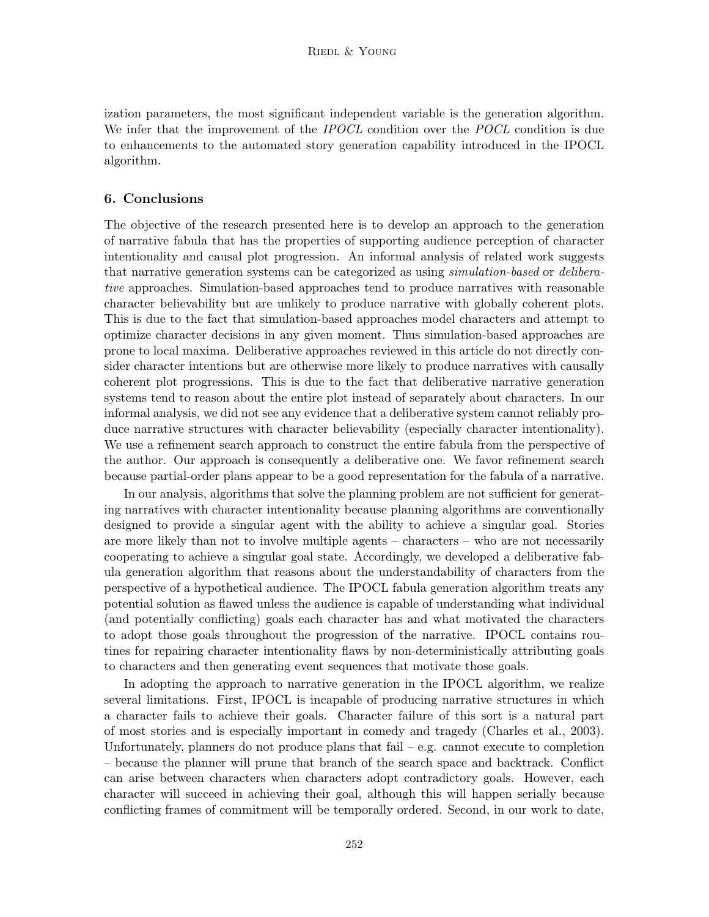ization parameters, the most significant independent variable is the generation algorithm. We infer that the improvement of the *IPOCL* condition over the *POCL* condition is due to enhancements to the automated story generation capability introduced in the IPOCL algorithm.

### 6. Conclusions

The objective of the research presented here is to develop an approach to the generation of narrative fabula that has the properties of supporting audience perception of character intentionality and causal plot progression. An informal analysis of related work suggests that narrative generation systems can be categorized as using *simulation-based* or *delibera*tive approaches. Simulation-based approaches tend to produce narratives with reasonable character believability but are unlikely to produce narrative with globally coherent plots. This is due to the fact that simulation-based approaches model characters and attempt to optimize character decisions in any given moment. Thus simulation-based approaches are prone to local maxima. Deliberative approaches reviewed in this article do not directly consider character intentions but are otherwise more likely to produce narratives with causally coherent plot progressions. This is due to the fact that deliberative narrative generation systems tend to reason about the entire plot instead of separately about characters. In our informal analysis, we did not see any evidence that a deliberative system cannot reliably produce narrative structures with character believability (especially character intentionality). We use a refinement search approach to construct the entire fabula from the perspective of the author. Our approach is consequently a deliberative one. We favor refinement search because partial-order plans appear to be a good representation for the fabula of a narrative.

In our analysis, algorithms that solve the planning problem are not sufficient for generating narratives with character intentionality because planning algorithms are conventionally designed to provide a singular agent with the ability to achieve a singular goal. Stories are more likely than not to involve multiple agents – characters – who are not necessarily cooperating to achieve a singular goal state. Accordingly, we developed a deliberative fabula generation algorithm that reasons about the understandability of characters from the perspective of a hypothetical audience. The IPOCL fabula generation algorithm treats any potential solution as flawed unless the audience is capable of understanding what individual (and potentially conflicting) goals each character has and what motivated the characters to adopt those goals throughout the progression of the narrative. IPOCL contains routines for repairing character intentionality flaws by non-deterministically attributing goals to characters and then generating event sequences that motivate those goals.

In adopting the approach to narrative generation in the IPOCL algorithm, we realize several limitations. First, IPOCL is incapable of producing narrative structures in which a character fails to achieve their goals. Character failure of this sort is a natural part of most stories and is especially important in comedy and tragedy (Charles et al., 2003). Unfortunately, planners do not produce plans that fail – e.g. cannot execute to completion – because the planner will prune that branch of the search space and backtrack. Conflict can arise between characters when characters adopt contradictory goals. However, each character will succeed in achieving their goal, although this will happen serially because conflicting frames of commitment will be temporally ordered. Second, in our work to date,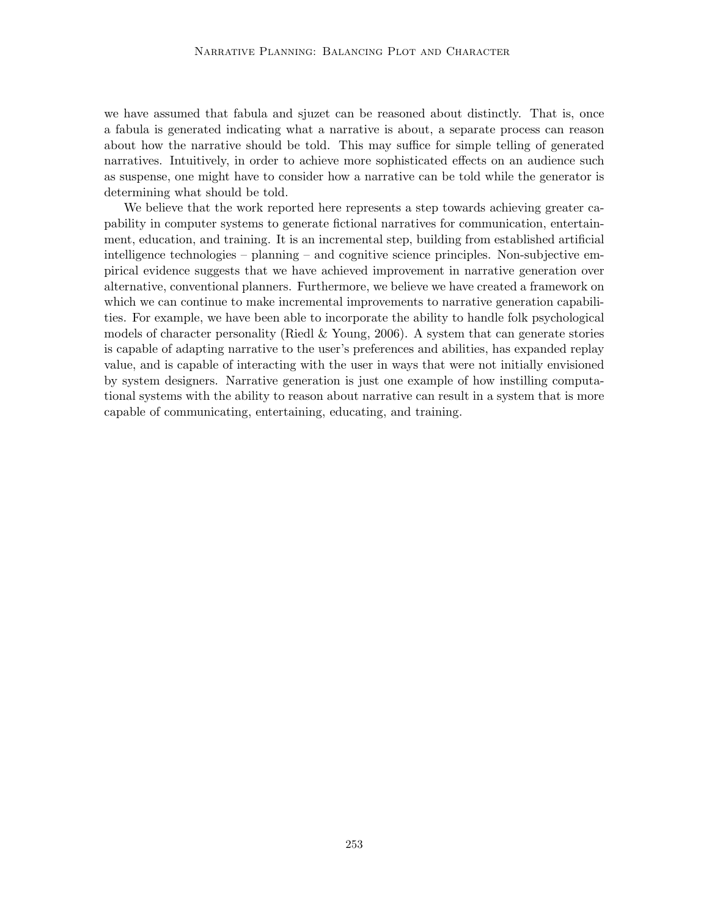we have assumed that fabula and sjuzet can be reasoned about distinctly. That is, once a fabula is generated indicating what a narrative is about, a separate process can reason about how the narrative should be told. This may suffice for simple telling of generated narratives. Intuitively, in order to achieve more sophisticated effects on an audience such as suspense, one might have to consider how a narrative can be told while the generator is determining what should be told.

We believe that the work reported here represents a step towards achieving greater capability in computer systems to generate fictional narratives for communication, entertainment, education, and training. It is an incremental step, building from established artificial intelligence technologies – planning – and cognitive science principles. Non-subjective empirical evidence suggests that we have achieved improvement in narrative generation over alternative, conventional planners. Furthermore, we believe we have created a framework on which we can continue to make incremental improvements to narrative generation capabilities. For example, we have been able to incorporate the ability to handle folk psychological models of character personality (Riedl  $&$  Young, 2006). A system that can generate stories is capable of adapting narrative to the user's preferences and abilities, has expanded replay value, and is capable of interacting with the user in ways that were not initially envisioned by system designers. Narrative generation is just one example of how instilling computational systems with the ability to reason about narrative can result in a system that is more capable of communicating, entertaining, educating, and training.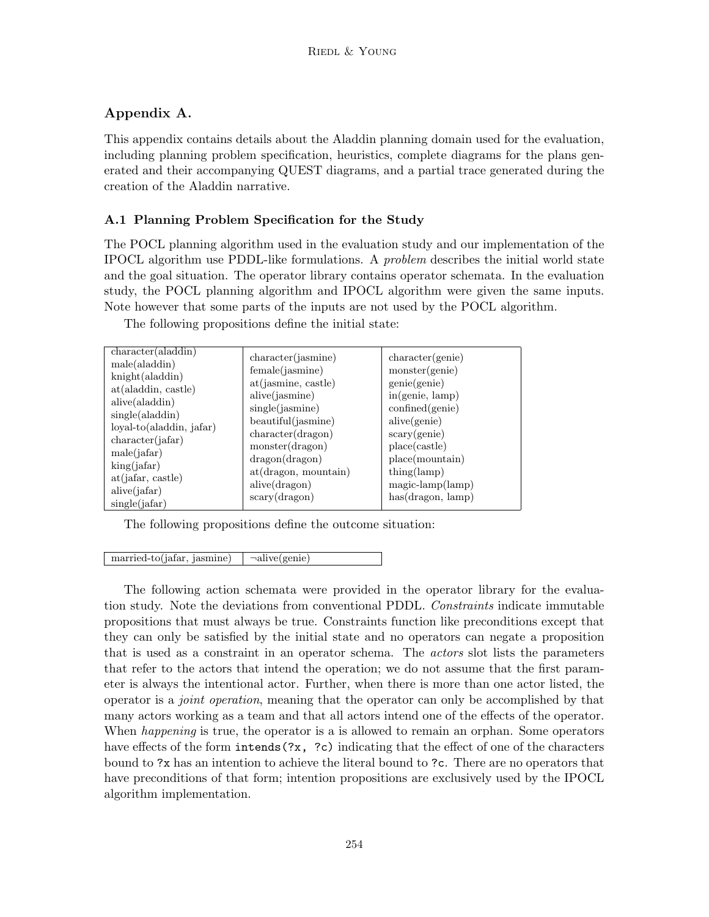# Appendix A.

This appendix contains details about the Aladdin planning domain used for the evaluation, including planning problem specification, heuristics, complete diagrams for the plans generated and their accompanying QUEST diagrams, and a partial trace generated during the creation of the Aladdin narrative.

### A.1 Planning Problem Specification for the Study

The POCL planning algorithm used in the evaluation study and our implementation of the IPOCL algorithm use PDDL-like formulations. A problem describes the initial world state and the goal situation. The operator library contains operator schemata. In the evaluation study, the POCL planning algorithm and IPOCL algorithm were given the same inputs. Note however that some parts of the inputs are not used by the POCL algorithm.

| character(aldin)              | character( <i>is</i> mine)      | character(genie)               |
|-------------------------------|---------------------------------|--------------------------------|
| male(aladdin)                 | female(jasmine)                 | $\text{monster}(\text{genic})$ |
| knight(aladdin)               | at(iasmine, castle)             | genie(genie)                   |
| at(aladdin, castle)           | alive(jasmine)                  | in(genie, lamp)                |
| alive(aladdin)                | single("> <sub>ismine</sub> )   | confined(genie)                |
| single(aldin)                 | beautiful(jasmine)              | alive(genie)                   |
| $logal-to(aladdin, jafar)$    | character(dragon)               | scary(genie)                   |
| character(iafar)              | $\text{monster}(\text{dragon})$ | place(castle)                  |
| male(iafar)                   | dragon (dragon)                 | place(mountain)                |
| king(iafar)                   | at(dragon, mountain)            | $\text{thing}(\text{lamp})$    |
| at(jafar, castle)             | alive(dragon)                   | $magic-lamp(lamp)$             |
| alive(iafar)<br>single(iafar) | scary(dragon)                   | has(dragon, lamp)              |

The following propositions define the initial state:

The following propositions define the outcome situation:

married-to(jafar, jasmine)  $\Box$   $\neg$ alive(genie)

The following action schemata were provided in the operator library for the evaluation study. Note the deviations from conventional PDDL. Constraints indicate immutable propositions that must always be true. Constraints function like preconditions except that they can only be satisfied by the initial state and no operators can negate a proposition that is used as a constraint in an operator schema. The actors slot lists the parameters that refer to the actors that intend the operation; we do not assume that the first parameter is always the intentional actor. Further, when there is more than one actor listed, the operator is a joint operation, meaning that the operator can only be accomplished by that many actors working as a team and that all actors intend one of the effects of the operator. When *happening* is true, the operator is a is allowed to remain an orphan. Some operators have effects of the form intends (?x, ?c) indicating that the effect of one of the characters bound to ?x has an intention to achieve the literal bound to ?c. There are no operators that have preconditions of that form; intention propositions are exclusively used by the IPOCL algorithm implementation.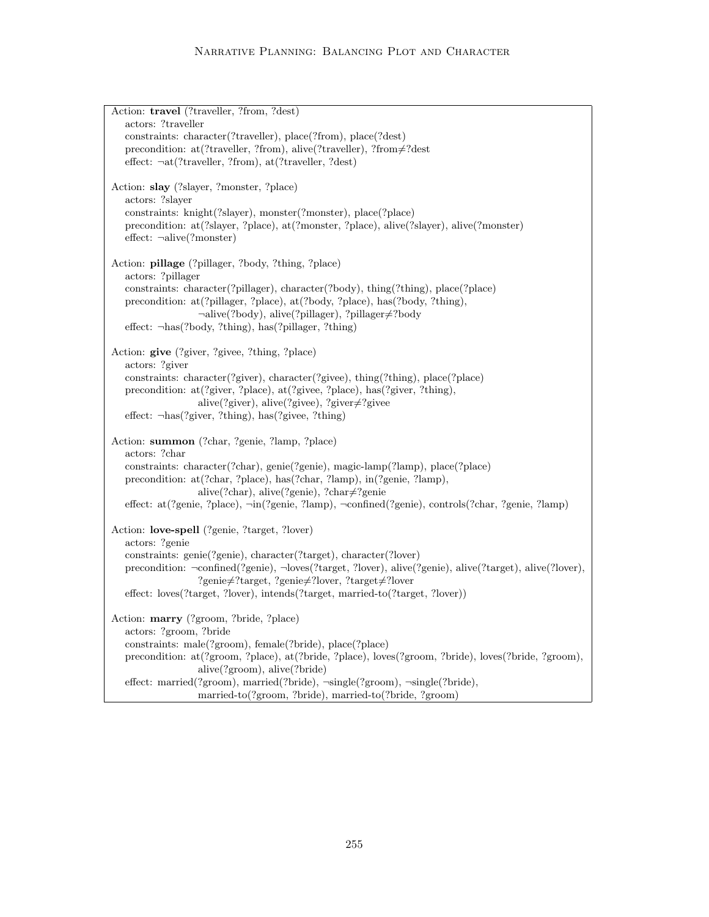| Action: travel (?traveller, ?from, ?dest)<br>actors: ?traveller<br>constraints: character(?traveller), place(?from), place(?dest)<br>precondition: at(?traveller, ?from), alive(?traveller), ?from $\neq$ ?dest<br>effect: $\neg$ at(?traveller, ?from), at(?traveller, ?dest)                                                                                                                                                                        |
|-------------------------------------------------------------------------------------------------------------------------------------------------------------------------------------------------------------------------------------------------------------------------------------------------------------------------------------------------------------------------------------------------------------------------------------------------------|
| Action: slay (?slayer, ?monster, ?place)<br>actors: ?slayer<br>constraints: knight(?slayer), monster(?monster), place(?place)<br>precondition: at(?slayer, ?place), at(?monster, ?place), alive(?slayer), alive(?monster)<br>effect: $\neg alive$ (?monster)                                                                                                                                                                                          |
| Action: pillage (?pillager, ?body, ?thing, ?place)<br>actors: ?pillager<br>constraints: character(?pillager), character(?body), thing(?thing), place(?place)<br>precondition: at(?pillager, ?place), at(?body, ?place), has(?body, ?thing),<br>$\neg alive(?body)$ , alive(?pillager), ?pillager $\neq$ ?body<br>effect: $\neg has(?body, ?thing)$ , has(?pillager, ?thing)                                                                           |
| Action: <b>give</b> (?giver, ?givee, ?thing, ?place)<br>actors: ?giver<br>constraints: character(?giver), character(?givee), thing(?thing), place(?place)<br>precondition: at(?giver, ?place), at(?givee, ?place), has(?giver, ?thing),<br>alive(?giver), alive(?givee), ?giver $\neq$ ?givee<br>effect: $\neg has(?given, ?thing)$ , has $(?givee, ?thing)$                                                                                          |
| Action: summon (?char, ?genie, ?lamp, ?place)<br>actors: ?char<br>constraints: character(?char), genie(?genie), magic-lamp(?lamp), place(?place)<br>precondition: at(?char, ?place), has(?char, ?lamp), in(?genie, ?lamp),<br>alive(?char), alive(?genie), ?char $\neq$ ?genie<br>effect: at(?genie, ?place), $\neg in(?genie, ?lamp)$ , $\neg confined(?genie)$ , controls(?char, ?genie, ?lamp)                                                     |
| Action: love-spell (?genie, ?target, ?lover)<br>actors: ?genie<br>constraints: genie(?genie), character(?target), character(?lover)<br>precondition: $\neg$ confined(?genie), $\neg$ loves(?target, ?lover), alive(?genie), alive(?target), alive(?lover),<br>?genie≠?target, ?genie≠?lover, ?target≠?lover<br>effect: loves(?target, ?lover), intends(?target, married-to(?target, ?lover))                                                          |
| Action: marry (?groom, ?bride, ?place)<br>actors: ?groom, ?bride<br>constraints: male(?groom), female(?bride), place(?place)<br>precondition: at(?groom, ?place), at(?bride, ?place), loves(?groom, ?bride), loves(?bride, ?groom),<br>alive(?groom), alive(?bride)<br>effect: married(?groom), married(?bride), $\neg\text{single}(?\text{groom})$ , $\neg\text{single}(?\text{bridge})$ ,<br>married-to(?groom, ?bride), married-to(?bride, ?groom) |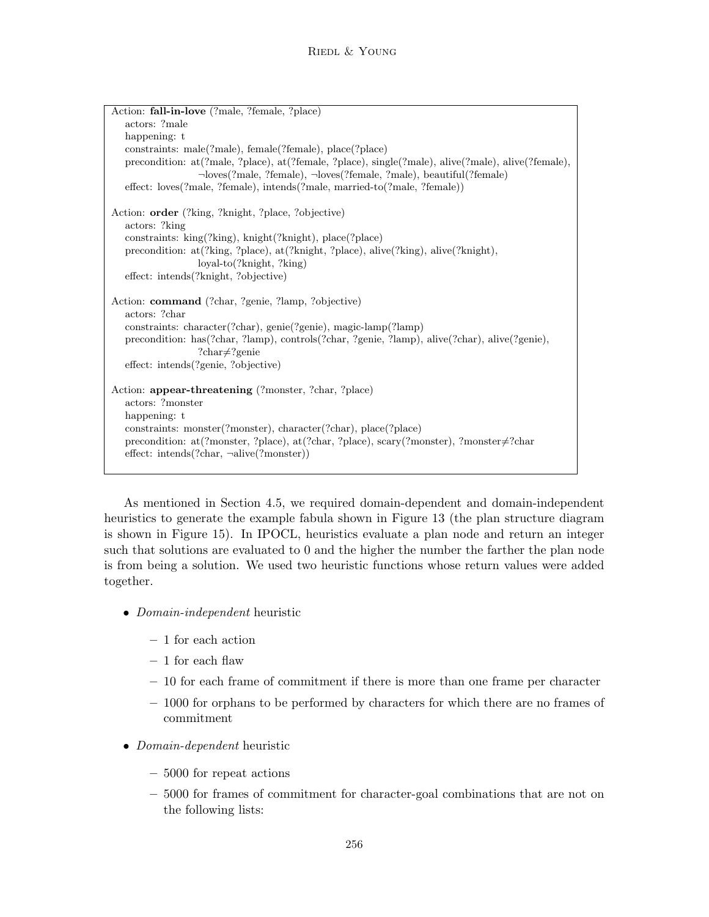```
Action: fall-in-love (?male, ?female, ?place)
   actors: ?male
   happening: t
   constraints: male(?male), female(?female), place(?place)
   precondition: at(?male, ?place), at(?female, ?place), single(?male), alive(?male), alive(?female),
                   ¬loves(?male, ?female), ¬loves(?female, ?male), beautiful(?female)
   effect: loves(?male, ?female), intends(?male, married-to(?male, ?female))
Action: order (?king, ?knight, ?place, ?objective)
   actors: ?king
   constraints: king(?king), knight(?knight), place(?place)
   precondition: at(?king, ?place), at(?knight, ?place), alive(?king), alive(?knight),
                  loyal-to(?knight, ?king)
   effect: intends(?knight, ?objective)
Action: command (?char, ?genie, ?lamp, ?objective)
   actors: ?char
   constraints: character(?char), genie(?genie), magic-lamp(?lamp)
   precondition: has(?char, ?lamp), controls(?char, ?genie, ?lamp), alive(?char), alive(?genie),
                   ?char≠?genie
   effect: intends(?genie, ?objective)
Action: appear-threatening (?monster, ?char, ?place)
   actors: ?monster
   happening: t
   constraints: monster(?monster), character(?char), place(?place)
   precondition: at(?monster, ?place), at(?char, ?place), scary(?monster), ?monster\neq?char
   effect: intends(?char, ¬alive(?monster))
```
As mentioned in Section 4.5, we required domain-dependent and domain-independent heuristics to generate the example fabula shown in Figure 13 (the plan structure diagram is shown in Figure 15). In IPOCL, heuristics evaluate a plan node and return an integer such that solutions are evaluated to 0 and the higher the number the farther the plan node is from being a solution. We used two heuristic functions whose return values were added together.

- Domain-independent heuristic
	- 1 for each action
	- 1 for each flaw
	- 10 for each frame of commitment if there is more than one frame per character
	- 1000 for orphans to be performed by characters for which there are no frames of commitment
- Domain-dependent heuristic
	- 5000 for repeat actions
	- 5000 for frames of commitment for character-goal combinations that are not on the following lists: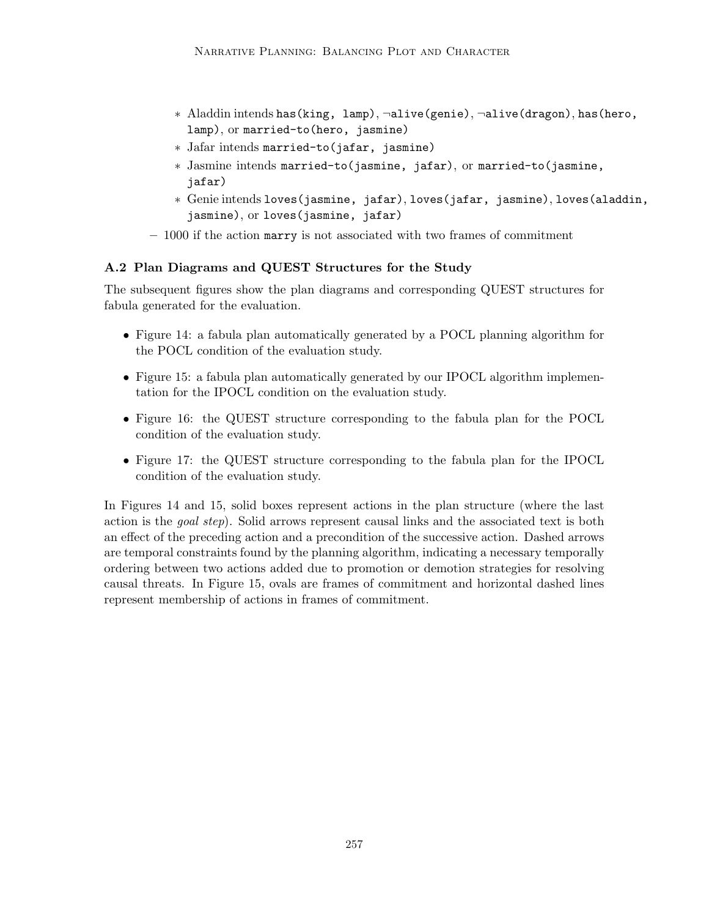- ∗ Aladdin intends has(king, lamp), ¬alive(genie), ¬alive(dragon), has(hero, lamp), or married-to(hero, jasmine)
- ∗ Jafar intends married-to(jafar, jasmine)
- ∗ Jasmine intends married-to(jasmine, jafar), or married-to(jasmine, jafar)
- ∗ Genie intends loves(jasmine, jafar), loves(jafar, jasmine), loves(aladdin, jasmine), or loves(jasmine, jafar)
- 1000 if the action marry is not associated with two frames of commitment

# A.2 Plan Diagrams and QUEST Structures for the Study

The subsequent figures show the plan diagrams and corresponding QUEST structures for fabula generated for the evaluation.

- Figure 14: a fabula plan automatically generated by a POCL planning algorithm for the POCL condition of the evaluation study.
- Figure 15: a fabula plan automatically generated by our IPOCL algorithm implementation for the IPOCL condition on the evaluation study.
- Figure 16: the QUEST structure corresponding to the fabula plan for the POCL condition of the evaluation study.
- Figure 17: the QUEST structure corresponding to the fabula plan for the IPOCL condition of the evaluation study.

In Figures 14 and 15, solid boxes represent actions in the plan structure (where the last action is the *goal step*). Solid arrows represent causal links and the associated text is both an effect of the preceding action and a precondition of the successive action. Dashed arrows are temporal constraints found by the planning algorithm, indicating a necessary temporally ordering between two actions added due to promotion or demotion strategies for resolving causal threats. In Figure 15, ovals are frames of commitment and horizontal dashed lines represent membership of actions in frames of commitment.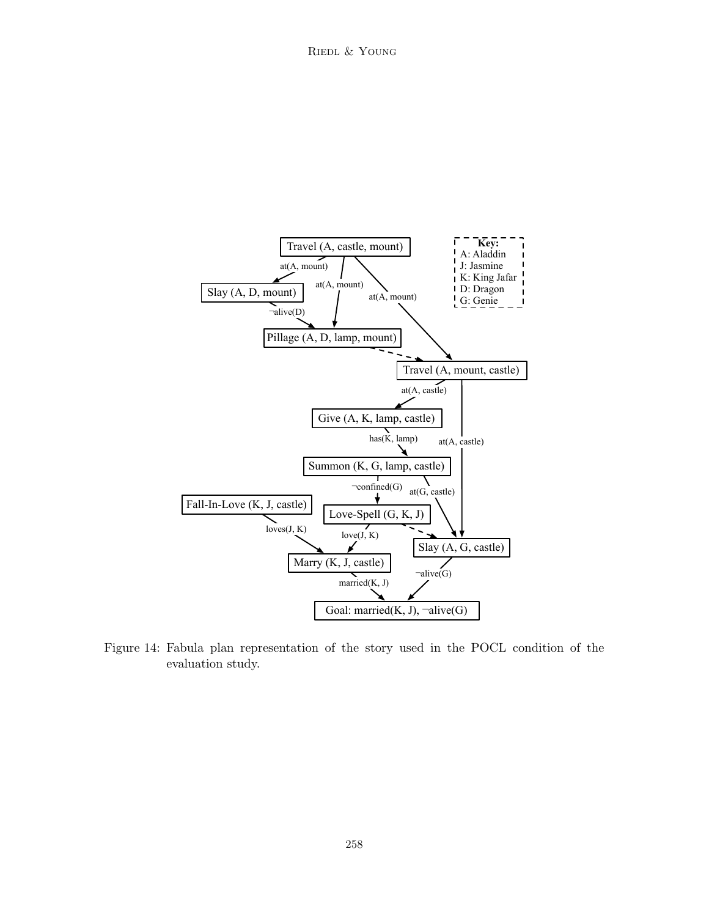

Figure 14: Fabula plan representation of the story used in the POCL condition of the evaluation study.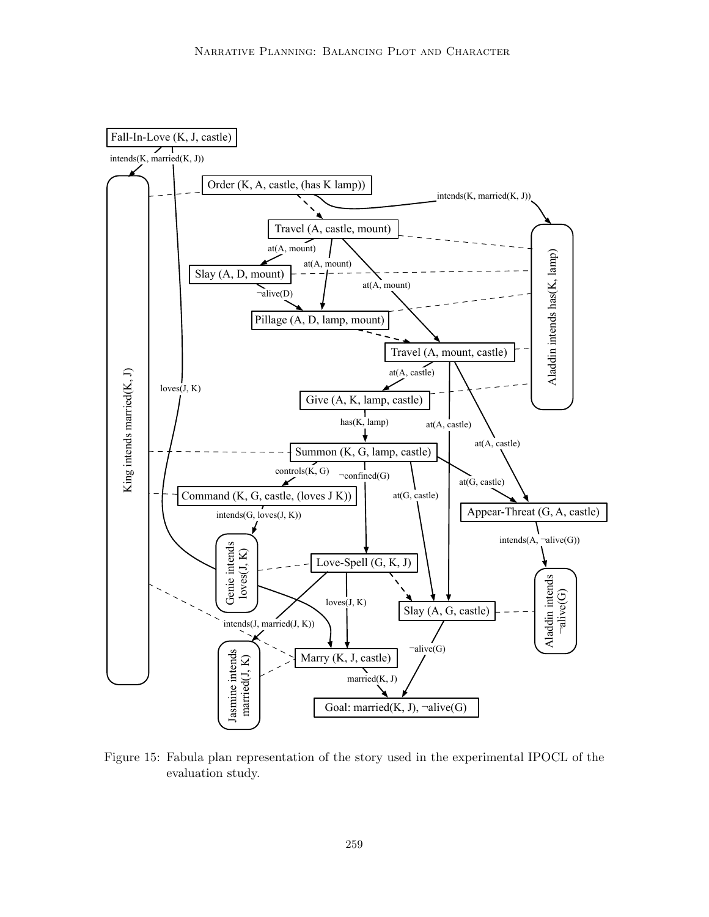

Figure 15: Fabula plan representation of the story used in the experimental IPOCL of the evaluation study.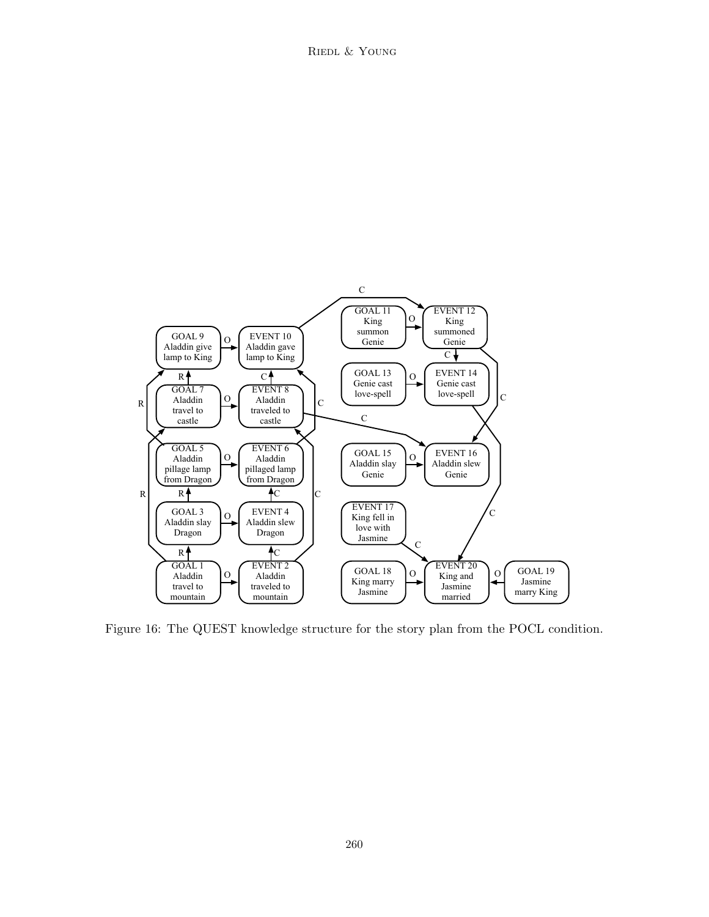

Figure 16: The QUEST knowledge structure for the story plan from the POCL condition.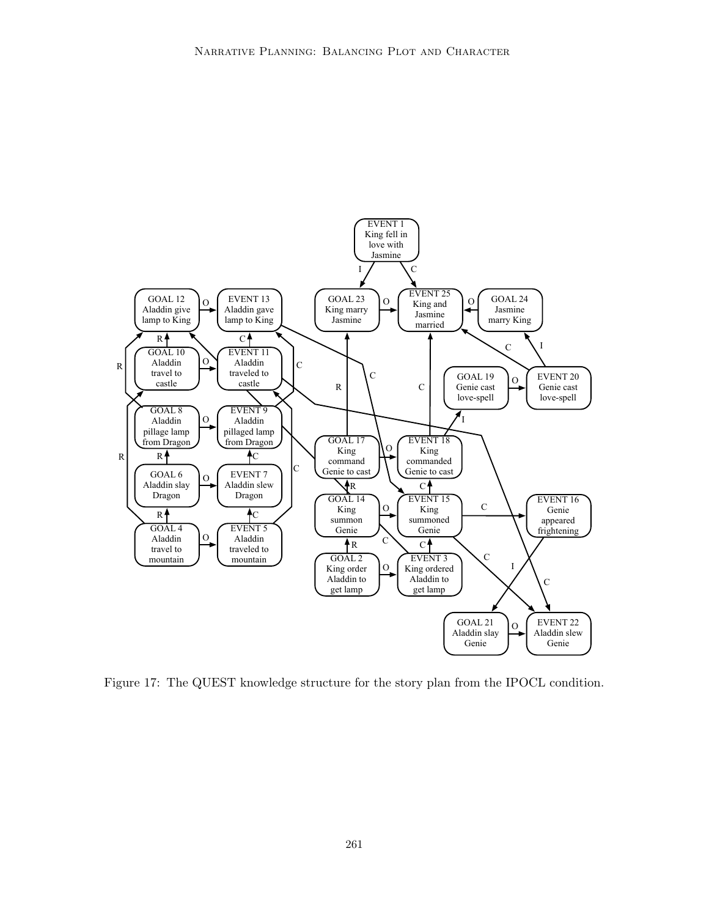

Figure 17: The QUEST knowledge structure for the story plan from the IPOCL condition.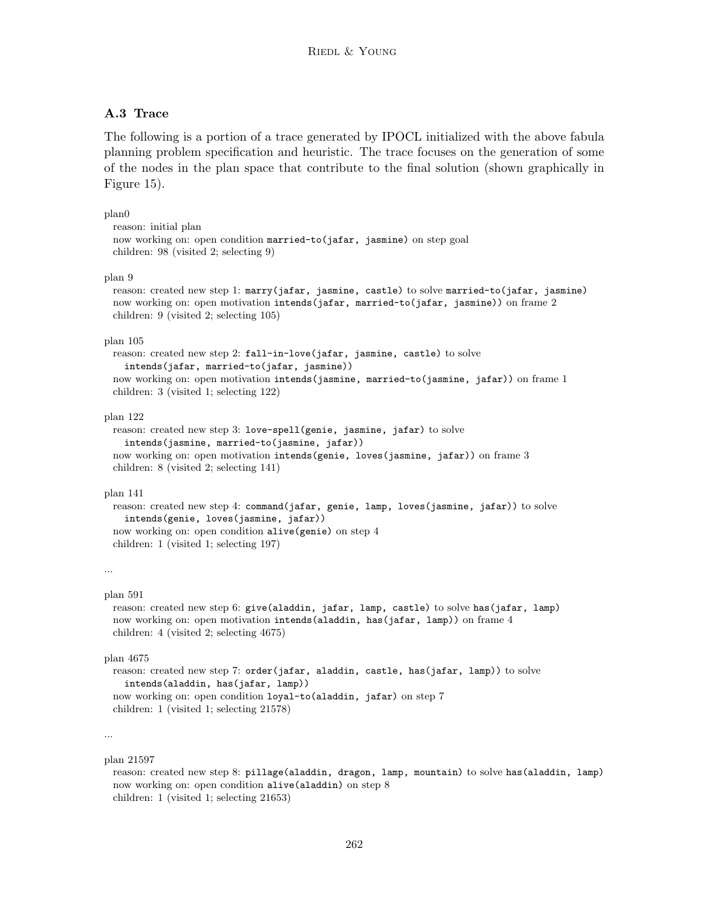### A.3 Trace

The following is a portion of a trace generated by IPOCL initialized with the above fabula planning problem specification and heuristic. The trace focuses on the generation of some of the nodes in the plan space that contribute to the final solution (shown graphically in Figure 15).

plan0

```
reason: initial plan
now working on: open condition married-to(jafar, jasmine) on step goal
children: 98 (visited 2; selecting 9)
```
plan 9

```
reason: created new step 1: marry(jafar, jasmine, castle) to solve married-to(jafar, jasmine)
now working on: open motivation intends(jafar, married-to(jafar, jasmine)) on frame 2
children: 9 (visited 2; selecting 105)
```
plan 105

```
reason: created new step 2: fall-in-love(jafar, jasmine, castle) to solve
  intends(jafar, married-to(jafar, jasmine))
now working on: open motivation intends(jasmine, married-to(jasmine, jafar)) on frame 1
children: 3 (visited 1; selecting 122)
```
plan 122

```
reason: created new step 3: love-spell(genie, jasmine, jafar) to solve
  intends(jasmine, married-to(jasmine, jafar))
now working on: open motivation intends(genie, loves(jasmine, jafar)) on frame 3
children: 8 (visited 2; selecting 141)
```
plan 141

```
reason: created new step 4: command(jafar, genie, lamp, loves(jasmine, jafar)) to solve
  intends(genie, loves(jasmine, jafar))
now working on: open condition alive(genie) on step 4
children: 1 (visited 1; selecting 197)
```
...

plan 591

reason: created new step 6: give(aladdin, jafar, lamp, castle) to solve has(jafar, lamp) now working on: open motivation intends (aladdin, has (jafar, lamp)) on frame 4 children: 4 (visited 2; selecting 4675)

plan 4675

reason: created new step 7: order(jafar, aladdin, castle, has(jafar, lamp)) to solve intends(aladdin, has(jafar, lamp)) now working on: open condition loyal-to(aladdin, jafar) on step 7 children: 1 (visited 1; selecting 21578)

...

plan 21597

reason: created new step 8: pillage(aladdin, dragon, lamp, mountain) to solve has(aladdin, lamp) now working on: open condition alive(aladdin) on step 8 children: 1 (visited 1; selecting 21653)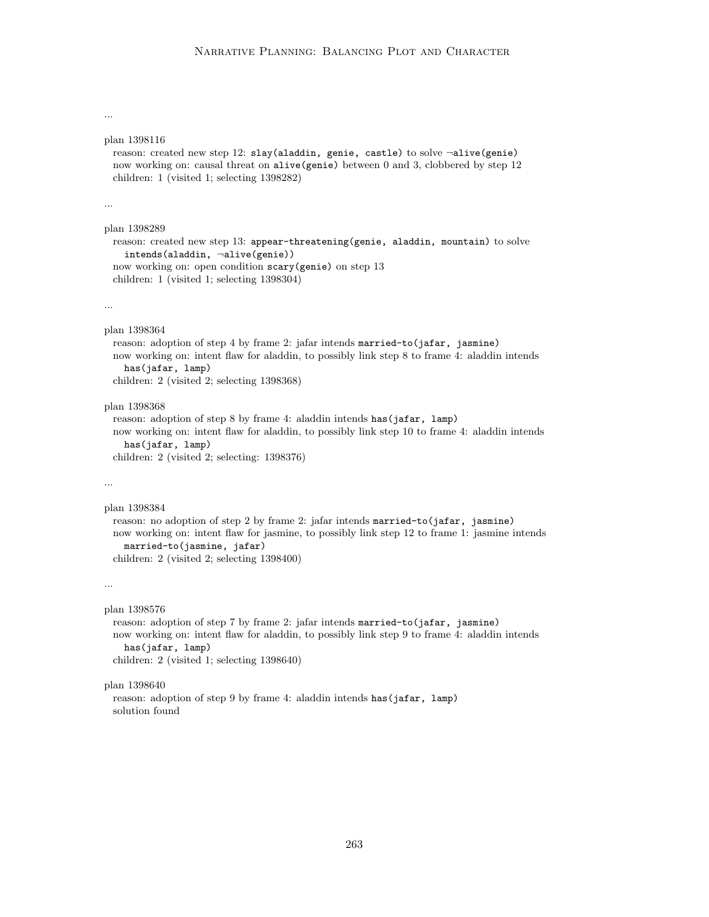#### Narrative Planning: Balancing Plot and Character

...

```
plan 1398116
 reason: created new step 12: slay(aladdin, genie, castle) to solve ¬alive(genie)
 now working on: causal threat on alive(genie) between 0 and 3, clobbered by step 12
 children: 1 (visited 1; selecting 1398282)
...
plan 1398289
 reason: created new step 13: appear-threatening(genie, aladdin, mountain) to solve
    intends(aladdin, ¬alive(genie))
 now working on: open condition scary(genie) on step 13
 children: 1 (visited 1; selecting 1398304)
...
plan 1398364
 reason: adoption of step 4 by frame 2: jafar intends married-to(jafar, jasmine)
 now working on: intent flaw for aladdin, to possibly link step 8 to frame 4: aladdin intends
    has(jafar, lamp)
 children: 2 (visited 2; selecting 1398368)
plan 1398368
 reason: adoption of step 8 by frame 4: aladdin intends has (jafar, lamp)
  now working on: intent flaw for aladdin, to possibly link step 10 to frame 4: aladdin intends
    has(jafar, lamp)
 children: 2 (visited 2; selecting: 1398376)
...
plan 1398384
 reason: no adoption of step 2 by frame 2: jafar intends married-to(jafar, jasmine)
 now working on: intent flaw for jasmine, to possibly link step 12 to frame 1: jasmine intends
    married-to(jasmine, jafar)
 children: 2 (visited 2; selecting 1398400)
...
plan 1398576
 reason: adoption of step 7 by frame 2: jafar intends married-to(jafar, jasmine)
 now working on: intent flaw for aladdin, to possibly link step 9 to frame 4: aladdin intends
    has(jafar, lamp)
 children: 2 (visited 1; selecting 1398640)
```
plan 1398640

reason: adoption of step 9 by frame 4: aladdin intends has (jafar, lamp) solution found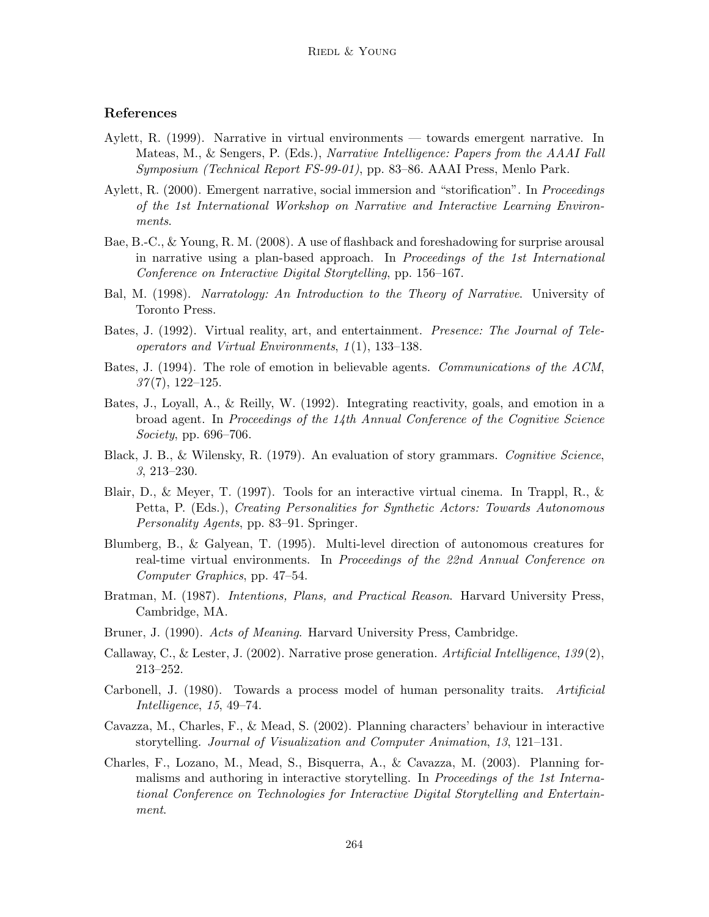# References

- Aylett, R. (1999). Narrative in virtual environments towards emergent narrative. In Mateas, M., & Sengers, P. (Eds.), Narrative Intelligence: Papers from the AAAI Fall Symposium (Technical Report FS-99-01), pp. 83–86. AAAI Press, Menlo Park.
- Aylett, R. (2000). Emergent narrative, social immersion and "storification". In *Proceedings* of the 1st International Workshop on Narrative and Interactive Learning Environments.
- Bae, B.-C., & Young, R. M. (2008). A use of flashback and foreshadowing for surprise arousal in narrative using a plan-based approach. In Proceedings of the 1st International Conference on Interactive Digital Storytelling, pp. 156–167.
- Bal, M. (1998). Narratology: An Introduction to the Theory of Narrative. University of Toronto Press.
- Bates, J. (1992). Virtual reality, art, and entertainment. Presence: The Journal of Teleoperators and Virtual Environments,  $1(1)$ , 133–138.
- Bates, J. (1994). The role of emotion in believable agents. Communications of the ACM,  $37(7), 122 - 125.$
- Bates, J., Loyall, A., & Reilly, W. (1992). Integrating reactivity, goals, and emotion in a broad agent. In Proceedings of the 14th Annual Conference of the Cognitive Science Society, pp. 696–706.
- Black, J. B., & Wilensky, R. (1979). An evaluation of story grammars. Cognitive Science, 3, 213–230.
- Blair, D., & Meyer, T. (1997). Tools for an interactive virtual cinema. In Trappl, R., & Petta, P. (Eds.), Creating Personalities for Synthetic Actors: Towards Autonomous Personality Agents, pp. 83–91. Springer.
- Blumberg, B., & Galyean, T. (1995). Multi-level direction of autonomous creatures for real-time virtual environments. In Proceedings of the 22nd Annual Conference on Computer Graphics, pp. 47–54.
- Bratman, M. (1987). Intentions, Plans, and Practical Reason. Harvard University Press, Cambridge, MA.
- Bruner, J. (1990). Acts of Meaning. Harvard University Press, Cambridge.
- Callaway, C., & Lester, J. (2002). Narrative prose generation. Artificial Intelligence,  $139(2)$ , 213–252.
- Carbonell, J. (1980). Towards a process model of human personality traits. Artificial Intelligence, 15, 49–74.
- Cavazza, M., Charles, F., & Mead, S. (2002). Planning characters' behaviour in interactive storytelling. Journal of Visualization and Computer Animation, 13, 121–131.
- Charles, F., Lozano, M., Mead, S., Bisquerra, A., & Cavazza, M. (2003). Planning formalisms and authoring in interactive storytelling. In *Proceedings of the 1st Interna*tional Conference on Technologies for Interactive Digital Storytelling and Entertainment.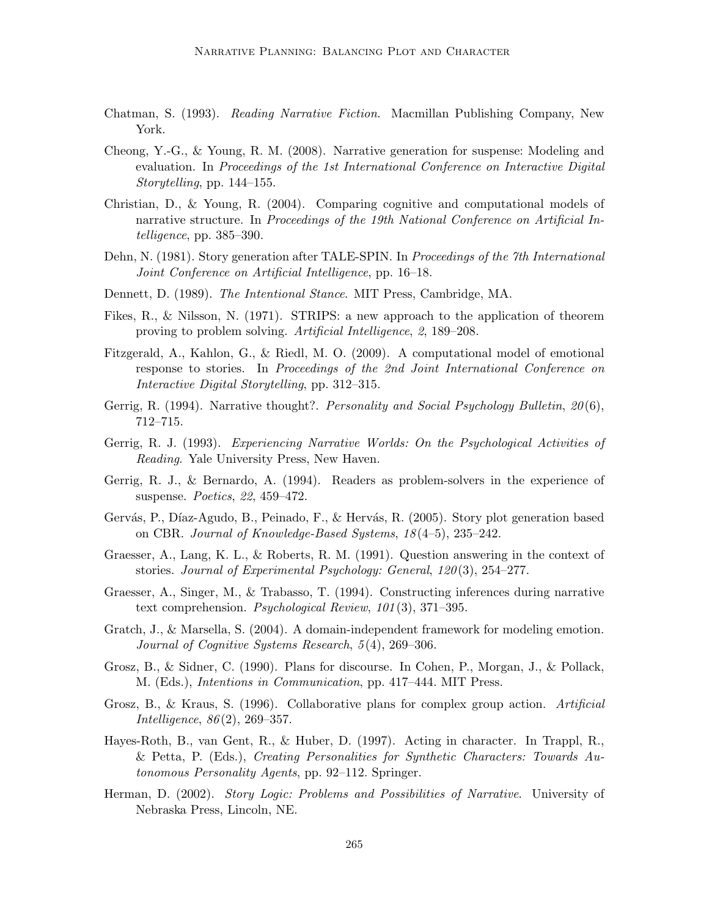- Chatman, S. (1993). Reading Narrative Fiction. Macmillan Publishing Company, New York.
- Cheong, Y.-G., & Young, R. M. (2008). Narrative generation for suspense: Modeling and evaluation. In Proceedings of the 1st International Conference on Interactive Digital Storytelling, pp. 144–155.
- Christian, D., & Young, R. (2004). Comparing cognitive and computational models of narrative structure. In Proceedings of the 19th National Conference on Artificial Intelligence, pp. 385–390.
- Dehn, N. (1981). Story generation after TALE-SPIN. In *Proceedings of the 7th International* Joint Conference on Artificial Intelligence, pp. 16–18.
- Dennett, D. (1989). The Intentional Stance. MIT Press, Cambridge, MA.
- Fikes, R., & Nilsson, N. (1971). STRIPS: a new approach to the application of theorem proving to problem solving. Artificial Intelligence, 2, 189–208.
- Fitzgerald, A., Kahlon, G., & Riedl, M. O. (2009). A computational model of emotional response to stories. In Proceedings of the 2nd Joint International Conference on Interactive Digital Storytelling, pp. 312–315.
- Gerrig, R. (1994). Narrative thought?. *Personality and Social Psychology Bulletin, 20*(6), 712–715.
- Gerrig, R. J. (1993). Experiencing Narrative Worlds: On the Psychological Activities of Reading. Yale University Press, New Haven.
- Gerrig, R. J., & Bernardo, A. (1994). Readers as problem-solvers in the experience of suspense. Poetics, 22, 459–472.
- Gervás, P., Díaz-Agudo, B., Peinado, F., & Hervás, R. (2005). Story plot generation based on CBR. Journal of Knowledge-Based Systems, 18 (4–5), 235–242.
- Graesser, A., Lang, K. L., & Roberts, R. M. (1991). Question answering in the context of stories. Journal of Experimental Psychology: General, 120(3), 254–277.
- Graesser, A., Singer, M., & Trabasso, T. (1994). Constructing inferences during narrative text comprehension. Psychological Review, 101 (3), 371–395.
- Gratch, J., & Marsella, S. (2004). A domain-independent framework for modeling emotion. Journal of Cognitive Systems Research, 5 (4), 269–306.
- Grosz, B., & Sidner, C. (1990). Plans for discourse. In Cohen, P., Morgan, J., & Pollack, M. (Eds.), Intentions in Communication, pp. 417–444. MIT Press.
- Grosz, B., & Kraus, S. (1996). Collaborative plans for complex group action. Artificial Intelligence, 86 (2), 269–357.
- Hayes-Roth, B., van Gent, R., & Huber, D. (1997). Acting in character. In Trappl, R., & Petta, P. (Eds.), Creating Personalities for Synthetic Characters: Towards Autonomous Personality Agents, pp. 92–112. Springer.
- Herman, D. (2002). Story Logic: Problems and Possibilities of Narrative. University of Nebraska Press, Lincoln, NE.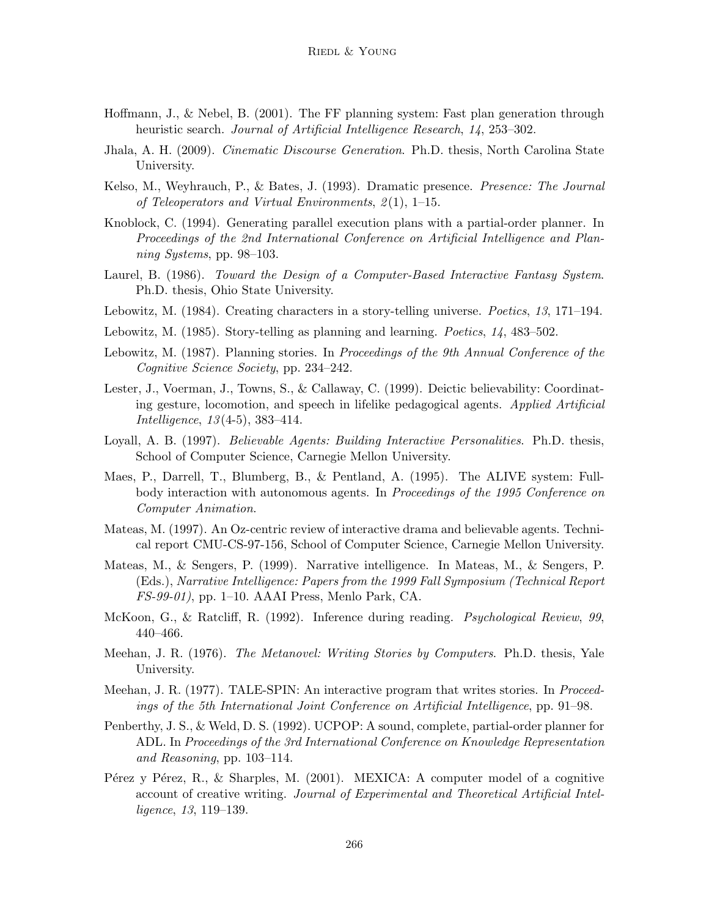- Hoffmann, J., & Nebel, B. (2001). The FF planning system: Fast plan generation through heuristic search. Journal of Artificial Intelligence Research, 14, 253–302.
- Jhala, A. H. (2009). Cinematic Discourse Generation. Ph.D. thesis, North Carolina State University.
- Kelso, M., Weyhrauch, P., & Bates, J. (1993). Dramatic presence. *Presence: The Journal* of Teleoperators and Virtual Environments,  $2(1)$ , 1–15.
- Knoblock, C. (1994). Generating parallel execution plans with a partial-order planner. In Proceedings of the 2nd International Conference on Artificial Intelligence and Planning Systems, pp. 98–103.
- Laurel, B. (1986). Toward the Design of a Computer-Based Interactive Fantasy System. Ph.D. thesis, Ohio State University.
- Lebowitz, M. (1984). Creating characters in a story-telling universe. Poetics, 13, 171–194.
- Lebowitz, M. (1985). Story-telling as planning and learning. *Poetics*, 14, 483–502.
- Lebowitz, M. (1987). Planning stories. In Proceedings of the 9th Annual Conference of the Cognitive Science Society, pp. 234–242.
- Lester, J., Voerman, J., Towns, S., & Callaway, C. (1999). Deictic believability: Coordinating gesture, locomotion, and speech in lifelike pedagogical agents. Applied Artificial Intelligence, 13 (4-5), 383–414.
- Loyall, A. B. (1997). Believable Agents: Building Interactive Personalities. Ph.D. thesis, School of Computer Science, Carnegie Mellon University.
- Maes, P., Darrell, T., Blumberg, B., & Pentland, A. (1995). The ALIVE system: Fullbody interaction with autonomous agents. In Proceedings of the 1995 Conference on Computer Animation.
- Mateas, M. (1997). An Oz-centric review of interactive drama and believable agents. Technical report CMU-CS-97-156, School of Computer Science, Carnegie Mellon University.
- Mateas, M., & Sengers, P. (1999). Narrative intelligence. In Mateas, M., & Sengers, P. (Eds.), Narrative Intelligence: Papers from the 1999 Fall Symposium (Technical Report  $FS-99-01$ , pp. 1–10. AAAI Press, Menlo Park, CA.
- McKoon, G., & Ratcliff, R. (1992). Inference during reading. *Psychological Review*, 99, 440–466.
- Meehan, J. R. (1976). The Metanovel: Writing Stories by Computers. Ph.D. thesis, Yale University.
- Meehan, J. R. (1977). TALE-SPIN: An interactive program that writes stories. In *Proceed*ings of the 5th International Joint Conference on Artificial Intelligence, pp. 91–98.
- Penberthy, J. S., & Weld, D. S. (1992). UCPOP: A sound, complete, partial-order planner for ADL. In Proceedings of the 3rd International Conference on Knowledge Representation and Reasoning, pp. 103–114.
- P $\acute{e}$ rez y P $\acute{e}$ rez, R., & Sharples, M. (2001). MEXICA: A computer model of a cognitive account of creative writing. Journal of Experimental and Theoretical Artificial Intelligence, 13, 119–139.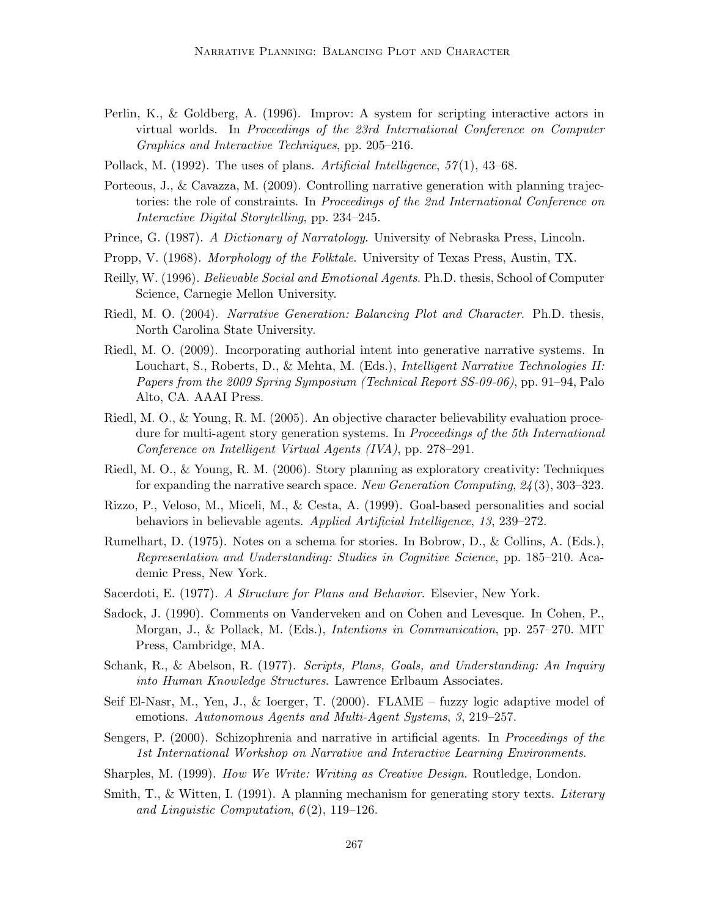- Perlin, K., & Goldberg, A. (1996). Improv: A system for scripting interactive actors in virtual worlds. In Proceedings of the 23rd International Conference on Computer Graphics and Interactive Techniques, pp. 205–216.
- Pollack, M. (1992). The uses of plans. Artificial Intelligence,  $57(1)$ ,  $43-68$ .
- Porteous, J., & Cavazza, M. (2009). Controlling narrative generation with planning trajectories: the role of constraints. In Proceedings of the 2nd International Conference on Interactive Digital Storytelling, pp. 234–245.
- Prince, G. (1987). A Dictionary of Narratology. University of Nebraska Press, Lincoln.
- Propp, V. (1968). Morphology of the Folktale. University of Texas Press, Austin, TX.
- Reilly, W. (1996). Believable Social and Emotional Agents. Ph.D. thesis, School of Computer Science, Carnegie Mellon University.
- Riedl, M. O. (2004). Narrative Generation: Balancing Plot and Character. Ph.D. thesis, North Carolina State University.
- Riedl, M. O. (2009). Incorporating authorial intent into generative narrative systems. In Louchart, S., Roberts, D., & Mehta, M. (Eds.), *Intelligent Narrative Technologies II:* Papers from the 2009 Spring Symposium (Technical Report SS-09-06), pp. 91–94, Palo Alto, CA. AAAI Press.
- Riedl, M. O., & Young, R. M. (2005). An objective character believability evaluation procedure for multi-agent story generation systems. In *Proceedings of the 5th International* Conference on Intelligent Virtual Agents (IVA), pp. 278–291.
- Riedl, M. O., & Young, R. M. (2006). Story planning as exploratory creativity: Techniques for expanding the narrative search space. New Generation Computing, 24 (3), 303–323.
- Rizzo, P., Veloso, M., Miceli, M., & Cesta, A. (1999). Goal-based personalities and social behaviors in believable agents. Applied Artificial Intelligence, 13, 239–272.
- Rumelhart, D. (1975). Notes on a schema for stories. In Bobrow, D., & Collins, A. (Eds.), Representation and Understanding: Studies in Cognitive Science, pp. 185–210. Academic Press, New York.
- Sacerdoti, E. (1977). A Structure for Plans and Behavior. Elsevier, New York.
- Sadock, J. (1990). Comments on Vanderveken and on Cohen and Levesque. In Cohen, P., Morgan, J., & Pollack, M. (Eds.), Intentions in Communication, pp. 257–270. MIT Press, Cambridge, MA.
- Schank, R., & Abelson, R. (1977). Scripts, Plans, Goals, and Understanding: An Inquiry into Human Knowledge Structures. Lawrence Erlbaum Associates.
- Seif El-Nasr, M., Yen, J., & Ioerger, T. (2000). FLAME fuzzy logic adaptive model of emotions. Autonomous Agents and Multi-Agent Systems, 3, 219–257.
- Sengers, P. (2000). Schizophrenia and narrative in artificial agents. In *Proceedings of the* 1st International Workshop on Narrative and Interactive Learning Environments.
- Sharples, M. (1999). How We Write: Writing as Creative Design. Routledge, London.
- Smith, T., & Witten, I. (1991). A planning mechanism for generating story texts. Literary and Linguistic Computation,  $6(2)$ , 119–126.